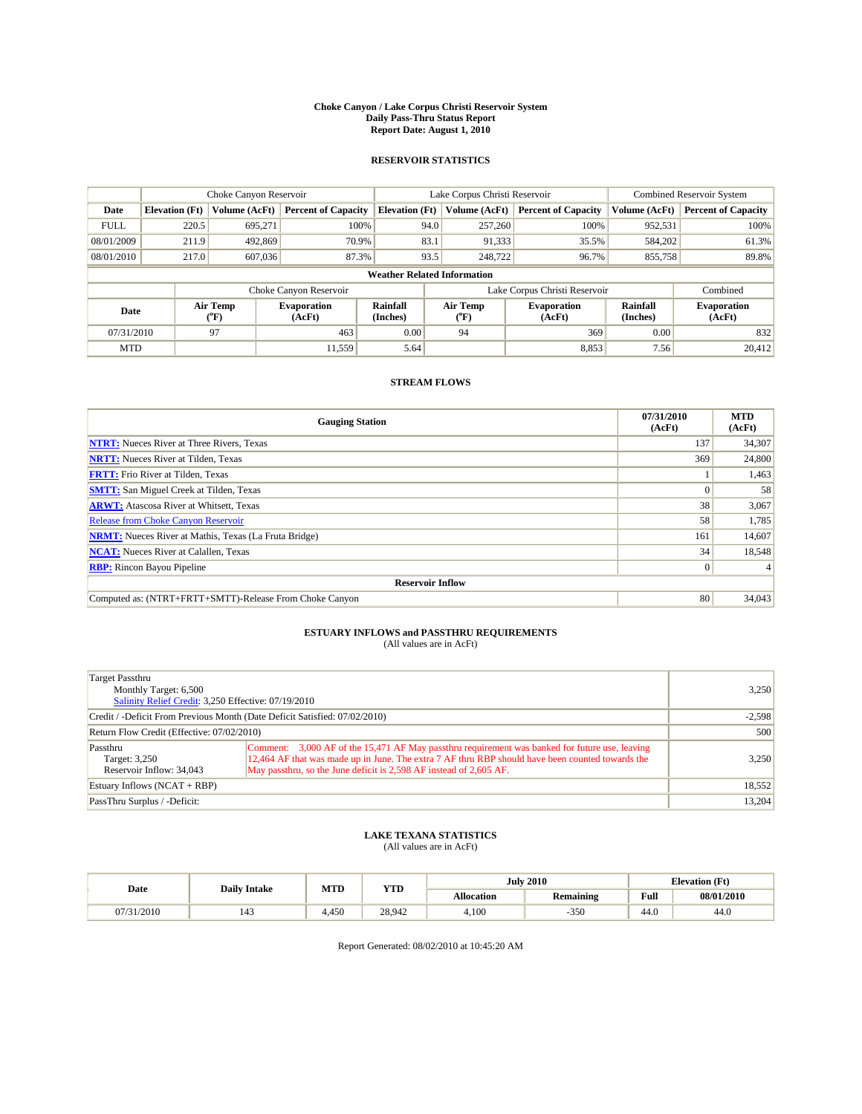#### **Choke Canyon / Lake Corpus Christi Reservoir System Daily Pass-Thru Status Report Report Date: August 1, 2010**

### **RESERVOIR STATISTICS**

|             | Choke Canyon Reservoir             |                                           |                              |                       | Lake Corpus Christi Reservoir  |                               |                      | <b>Combined Reservoir System</b> |  |  |
|-------------|------------------------------------|-------------------------------------------|------------------------------|-----------------------|--------------------------------|-------------------------------|----------------------|----------------------------------|--|--|
| Date        | <b>Elevation</b> (Ft)              | Volume (AcFt)                             | <b>Percent of Capacity</b>   | <b>Elevation</b> (Ft) | Volume (AcFt)                  | <b>Percent of Capacity</b>    | Volume (AcFt)        | <b>Percent of Capacity</b>       |  |  |
| <b>FULL</b> | 220.5                              | 695,271                                   | 100%                         | 94.0                  | 257,260                        | 100%                          | 952,531              | 100%                             |  |  |
| 08/01/2009  | 211.9                              | 492,869                                   | 70.9%                        | 83.1                  | 91,333                         | 35.5%                         | 584,202              | 61.3%                            |  |  |
| 08/01/2010  | 217.0                              | 607,036                                   | 87.3%                        | 93.5                  | 248,722                        | 96.7%                         | 855,758              | 89.8%                            |  |  |
|             | <b>Weather Related Information</b> |                                           |                              |                       |                                |                               |                      |                                  |  |  |
|             |                                    |                                           | Choke Canyon Reservoir       |                       |                                | Lake Corpus Christi Reservoir |                      | Combined                         |  |  |
| Date        |                                    | Air Temp<br>$({}^{\mathrm{o}}\mathrm{F})$ | <b>Evaporation</b><br>(AcFt) | Rainfall<br>(Inches)  | Air Temp<br>$({}^o\mathrm{F})$ | <b>Evaporation</b><br>(AcFt)  | Rainfall<br>(Inches) | <b>Evaporation</b><br>(AcFt)     |  |  |
| 07/31/2010  |                                    | 97                                        | 463                          | 0.00                  | 94                             | 369                           | 0.00                 | 832                              |  |  |
| <b>MTD</b>  |                                    |                                           | 11.559                       | 5.64                  |                                | 8,853                         | 7.56                 | 20.412                           |  |  |

## **STREAM FLOWS**

| <b>Gauging Station</b>                                       | 07/31/2010<br>(AcFt) | <b>MTD</b><br>(AcFt) |  |  |  |  |
|--------------------------------------------------------------|----------------------|----------------------|--|--|--|--|
| <b>NTRT:</b> Nueces River at Three Rivers, Texas             | 137                  | 34,307               |  |  |  |  |
| <b>NRTT:</b> Nueces River at Tilden, Texas                   | 369                  | 24,800               |  |  |  |  |
| <b>FRTT:</b> Frio River at Tilden, Texas                     |                      | 1,463                |  |  |  |  |
| <b>SMTT:</b> San Miguel Creek at Tilden, Texas               |                      | 58                   |  |  |  |  |
| <b>ARWT:</b> Atascosa River at Whitsett, Texas               | 38                   | 3,067                |  |  |  |  |
| Release from Choke Canyon Reservoir                          | 58                   | 1,785                |  |  |  |  |
| <b>NRMT:</b> Nueces River at Mathis, Texas (La Fruta Bridge) | 161                  | 14,607               |  |  |  |  |
| <b>NCAT:</b> Nueces River at Calallen, Texas                 | 34                   | 18,548               |  |  |  |  |
| <b>RBP:</b> Rincon Bayou Pipeline                            | $\overline{0}$       |                      |  |  |  |  |
| <b>Reservoir Inflow</b>                                      |                      |                      |  |  |  |  |
| Computed as: (NTRT+FRTT+SMTT)-Release From Choke Canyon      | 80                   | 34,043               |  |  |  |  |

# **ESTUARY INFLOWS and PASSTHRU REQUIREMENTS**<br>(All values are in AcFt)

| Target Passthru<br>Monthly Target: 6,500<br>Salinity Relief Credit: 3,250 Effective: 07/19/2010 | 3,250                                                                                                                                                                                                                                                                    |        |
|-------------------------------------------------------------------------------------------------|--------------------------------------------------------------------------------------------------------------------------------------------------------------------------------------------------------------------------------------------------------------------------|--------|
| Credit / -Deficit From Previous Month (Date Deficit Satisfied: 07/02/2010)                      | $-2,598$                                                                                                                                                                                                                                                                 |        |
| Return Flow Credit (Effective: 07/02/2010)                                                      | 500                                                                                                                                                                                                                                                                      |        |
| Passthru<br>Target: 3,250<br>Reservoir Inflow: 34,043                                           | Comment: 3,000 AF of the 15,471 AF May passthru requirement was banked for future use, leaving<br>12,464 AF that was made up in June. The extra 7 AF thru RBP should have been counted towards the<br>May passthru, so the June deficit is 2,598 AF instead of 2,605 AF. | 3,250  |
| Estuary Inflows $(NCAT + RBP)$                                                                  |                                                                                                                                                                                                                                                                          | 18,552 |
| PassThru Surplus / -Deficit:                                                                    |                                                                                                                                                                                                                                                                          | 13,204 |

## **LAKE TEXANA STATISTICS** (All values are in AcFt)

|            | <b>Daily Intake</b> | MTD   | <b>YTD</b> | <b>July 2010</b> |                  |                                             | <b>Elevation</b> (Ft) |  |
|------------|---------------------|-------|------------|------------------|------------------|---------------------------------------------|-----------------------|--|
| Date       |                     |       |            | Allocation       | <b>Remaining</b> | Full<br>the contract of the contract of the | 08/01/2010            |  |
| 07/31/2010 | 143                 | 4.450 | 28.942     | 4.100            | $-350$           | 44.0                                        | 44.0                  |  |

Report Generated: 08/02/2010 at 10:45:20 AM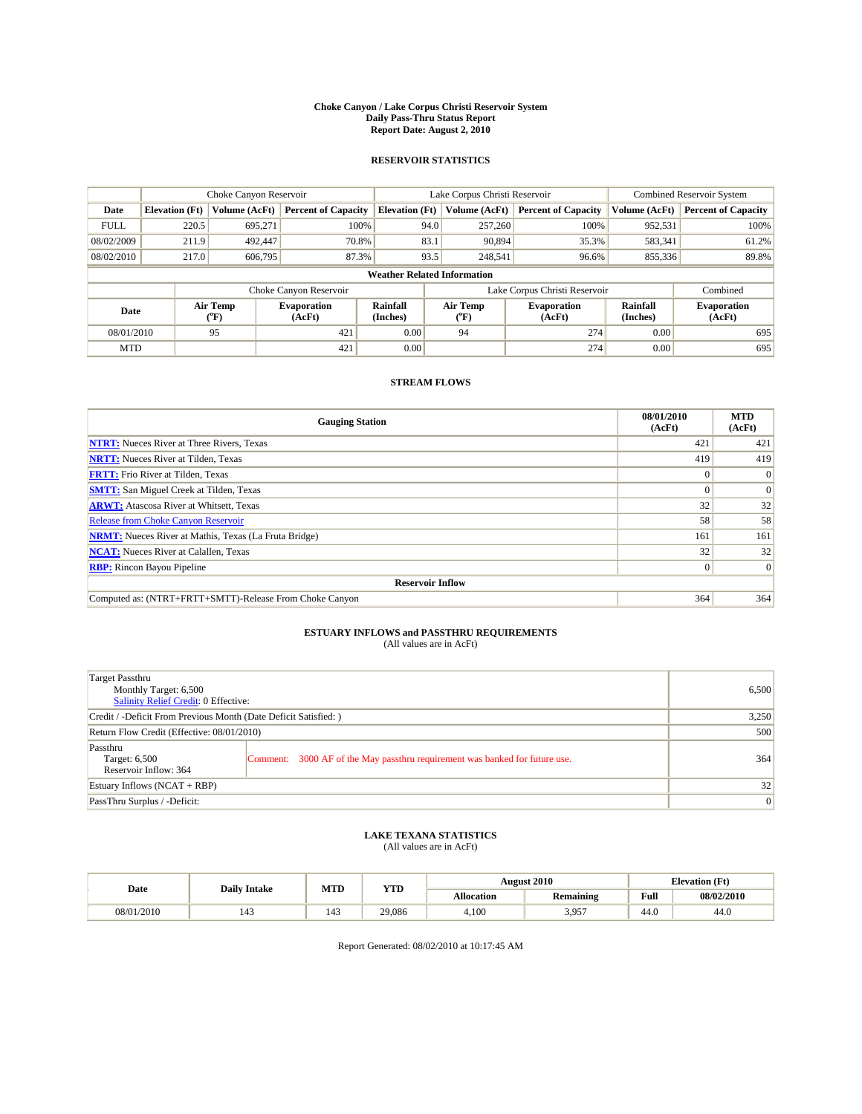#### **Choke Canyon / Lake Corpus Christi Reservoir System Daily Pass-Thru Status Report Report Date: August 2, 2010**

### **RESERVOIR STATISTICS**

|             | Choke Canyon Reservoir             |                  |                              |                       | Lake Corpus Christi Reservoir |                               |                      | <b>Combined Reservoir System</b> |  |  |
|-------------|------------------------------------|------------------|------------------------------|-----------------------|-------------------------------|-------------------------------|----------------------|----------------------------------|--|--|
| Date        | <b>Elevation</b> (Ft)              | Volume (AcFt)    | <b>Percent of Capacity</b>   | <b>Elevation</b> (Ft) | Volume (AcFt)                 | <b>Percent of Capacity</b>    | Volume (AcFt)        | <b>Percent of Capacity</b>       |  |  |
| <b>FULL</b> | 220.5                              | 695,271          | 100%                         | 94.0                  | 257,260                       | 100%                          | 952,531              | 100%                             |  |  |
| 08/02/2009  | 211.9                              | 492,447          | 70.8%                        | 83.1                  | 90,894                        | 35.3%                         | 583,341              | 61.2%                            |  |  |
| 08/02/2010  | 217.0                              | 606,795          | 87.3%                        | 93.5                  | 248,541                       | 96.6%                         | 855,336              | 89.8%                            |  |  |
|             | <b>Weather Related Information</b> |                  |                              |                       |                               |                               |                      |                                  |  |  |
|             |                                    |                  | Choke Canyon Reservoir       |                       |                               | Lake Corpus Christi Reservoir |                      | Combined                         |  |  |
| Date        |                                    | Air Temp<br>(°F) | <b>Evaporation</b><br>(AcFt) | Rainfall<br>(Inches)  | Air Temp<br>("F)              | <b>Evaporation</b><br>(AcFt)  | Rainfall<br>(Inches) | <b>Evaporation</b><br>(AcFt)     |  |  |
| 08/01/2010  |                                    | 95               | 421                          | 0.00                  | 94                            | 274                           | 0.00                 | 695                              |  |  |
| <b>MTD</b>  |                                    |                  | 421                          | 0.00                  |                               | 274                           | 0.00                 | 695                              |  |  |

## **STREAM FLOWS**

| <b>Gauging Station</b>                                       | 08/01/2010<br>(AcFt) | <b>MTD</b><br>(AcFt) |
|--------------------------------------------------------------|----------------------|----------------------|
| <b>NTRT:</b> Nueces River at Three Rivers, Texas             | 421                  | 421                  |
| <b>NRTT:</b> Nueces River at Tilden, Texas                   | 419                  | 419                  |
| <b>FRTT:</b> Frio River at Tilden, Texas                     |                      | $\Omega$             |
| <b>SMTT:</b> San Miguel Creek at Tilden, Texas               |                      | $\Omega$             |
| <b>ARWT:</b> Atascosa River at Whitsett, Texas               | 32                   | 32                   |
| Release from Choke Canyon Reservoir                          | 58                   | 58                   |
| <b>NRMT:</b> Nueces River at Mathis, Texas (La Fruta Bridge) | 161                  | 161                  |
| <b>NCAT:</b> Nueces River at Calallen, Texas                 | 32                   | 32                   |
| <b>RBP:</b> Rincon Bayou Pipeline                            | $\overline{0}$       | $\Omega$             |
| <b>Reservoir Inflow</b>                                      |                      |                      |
| Computed as: (NTRT+FRTT+SMTT)-Release From Choke Canyon      | 364                  | 364                  |

# **ESTUARY INFLOWS and PASSTHRU REQUIREMENTS**<br>(All values are in AcFt)

| Target Passthru<br>Monthly Target: 6,500<br>Salinity Relief Credit: 0 Effective: | 6,500                                                                       |     |
|----------------------------------------------------------------------------------|-----------------------------------------------------------------------------|-----|
| Credit / -Deficit From Previous Month (Date Deficit Satisfied: )                 | 3,250                                                                       |     |
| Return Flow Credit (Effective: 08/01/2010)                                       | 500                                                                         |     |
| Passthru<br>Target: 6,500<br>Reservoir Inflow: 364                               | Comment: 3000 AF of the May passthru requirement was banked for future use. | 364 |
| Estuary Inflows (NCAT + RBP)                                                     |                                                                             | 32  |
| PassThru Surplus / -Deficit:                                                     | 0                                                                           |     |

## **LAKE TEXANA STATISTICS** (All values are in AcFt)

|            | <b>Daily Intake</b> | MTD | <b>YTD</b> | <b>August 2010</b> |                  |                                                    | <b>Elevation</b> (Ft) |  |
|------------|---------------------|-----|------------|--------------------|------------------|----------------------------------------------------|-----------------------|--|
| Date       |                     |     |            | Allocation         | <b>Remaining</b> | <b>Full</b><br>the contract of the contract of the | 08/02/2010            |  |
| 08/01/2010 | 143                 | 143 | 29.086     | 4.100              | 3,957            | 44.0                                               | 44.0                  |  |

Report Generated: 08/02/2010 at 10:17:45 AM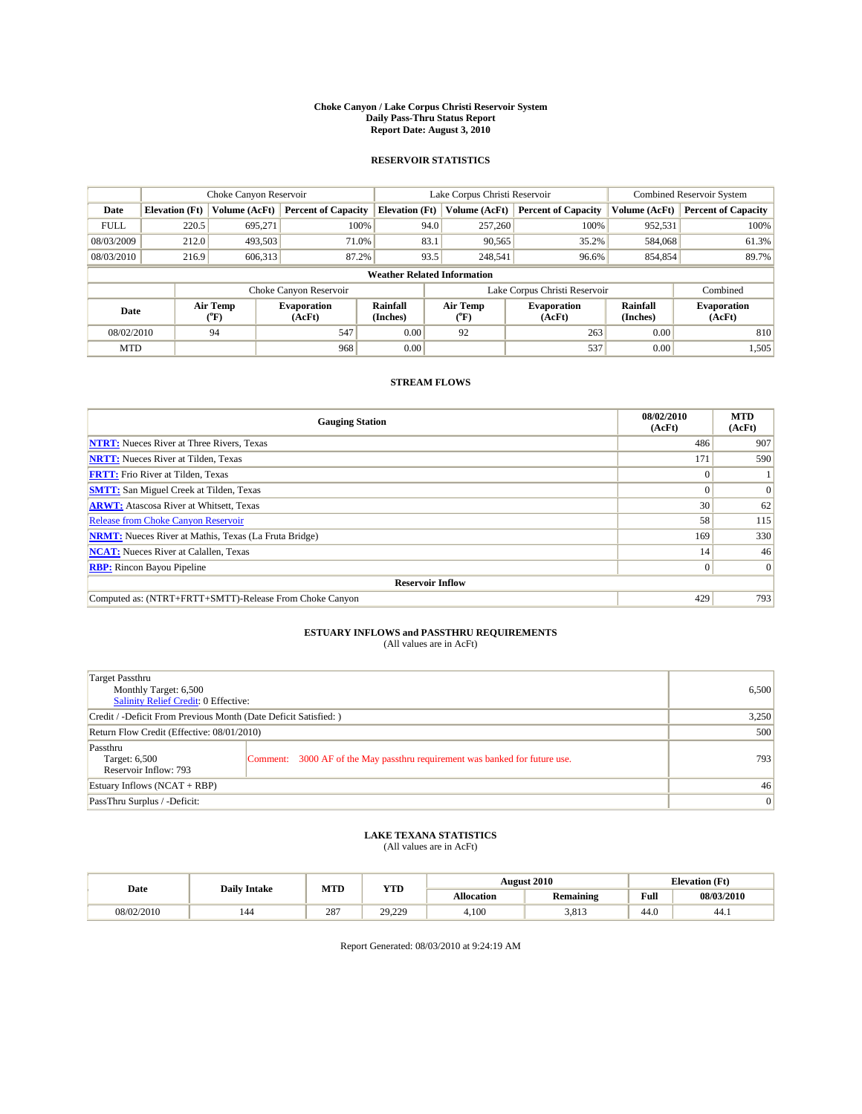#### **Choke Canyon / Lake Corpus Christi Reservoir System Daily Pass-Thru Status Report Report Date: August 3, 2010**

### **RESERVOIR STATISTICS**

|             | Choke Canyon Reservoir             |                  |                              |                             | Lake Corpus Christi Reservoir |                               |                      | <b>Combined Reservoir System</b> |  |  |
|-------------|------------------------------------|------------------|------------------------------|-----------------------------|-------------------------------|-------------------------------|----------------------|----------------------------------|--|--|
| Date        | <b>Elevation</b> (Ft)              | Volume (AcFt)    | <b>Percent of Capacity</b>   | <b>Elevation</b> (Ft)       | Volume (AcFt)                 | <b>Percent of Capacity</b>    | Volume (AcFt)        | <b>Percent of Capacity</b>       |  |  |
| <b>FULL</b> | 220.5                              | 695,271          | 100%                         | 94.0                        | 257,260                       | 100%                          | 952,531              | 100%                             |  |  |
| 08/03/2009  | 212.0                              | 493,503          | 71.0%                        | 83.1                        | 90,565                        | 35.2%                         | 584,068              | 61.3%                            |  |  |
| 08/03/2010  | 216.9                              | 606,313          | 87.2%                        | 93.5                        | 248,541                       | 96.6%                         | 854,854              | 89.7%                            |  |  |
|             | <b>Weather Related Information</b> |                  |                              |                             |                               |                               |                      |                                  |  |  |
|             |                                    |                  | Choke Canyon Reservoir       |                             |                               | Lake Corpus Christi Reservoir |                      | Combined                         |  |  |
| Date        |                                    | Air Temp<br>(°F) | <b>Evaporation</b><br>(AcFt) | <b>Rainfall</b><br>(Inches) | Air Temp<br>(°F)              | <b>Evaporation</b><br>(AcFt)  | Rainfall<br>(Inches) | <b>Evaporation</b><br>(AcFt)     |  |  |
| 08/02/2010  |                                    | 94               | 547                          | 0.00                        | 92                            | 263                           | 0.00                 | 810                              |  |  |
| <b>MTD</b>  |                                    |                  | 968                          | 0.00                        |                               | 537                           | 0.00                 | 1,505                            |  |  |

## **STREAM FLOWS**

| <b>Gauging Station</b>                                       | 08/02/2010<br>(AcFt) | <b>MTD</b><br>(AcFt) |
|--------------------------------------------------------------|----------------------|----------------------|
| <b>NTRT:</b> Nueces River at Three Rivers, Texas             | 486                  | 907                  |
| <b>NRTT:</b> Nueces River at Tilden, Texas                   | 171                  | 590                  |
| <b>FRTT:</b> Frio River at Tilden, Texas                     |                      |                      |
| <b>SMTT:</b> San Miguel Creek at Tilden, Texas               |                      | $\Omega$             |
| <b>ARWT:</b> Atascosa River at Whitsett, Texas               | 30                   | 62                   |
| Release from Choke Canyon Reservoir                          | 58                   | 115                  |
| <b>NRMT:</b> Nueces River at Mathis, Texas (La Fruta Bridge) | 169                  | 330                  |
| <b>NCAT:</b> Nueces River at Calallen, Texas                 | 14                   | 46                   |
| <b>RBP:</b> Rincon Bayou Pipeline                            | $\overline{0}$       | $\Omega$             |
| <b>Reservoir Inflow</b>                                      |                      |                      |
| Computed as: (NTRT+FRTT+SMTT)-Release From Choke Canyon      | 429                  | 793                  |

# **ESTUARY INFLOWS and PASSTHRU REQUIREMENTS**<br>(All values are in AcFt)

| Target Passthru<br>Monthly Target: 6,500<br>Salinity Relief Credit: 0 Effective: | 6,500                                                                       |     |
|----------------------------------------------------------------------------------|-----------------------------------------------------------------------------|-----|
| Credit / -Deficit From Previous Month (Date Deficit Satisfied: )                 | 3,250                                                                       |     |
| Return Flow Credit (Effective: 08/01/2010)                                       | 500                                                                         |     |
| Passthru<br>Target: 6,500<br>Reservoir Inflow: 793                               | Comment: 3000 AF of the May passthru requirement was banked for future use. | 793 |
| Estuary Inflows (NCAT + RBP)                                                     |                                                                             | 46  |
| PassThru Surplus / -Deficit:                                                     | $\vert 0 \vert$                                                             |     |

## **LAKE TEXANA STATISTICS** (All values are in AcFt)

| Date       | <b>Daily Intake</b> | MTD | <b>YTD</b> |                   | <b>August 2010</b> | <b>Elevation</b> (Ft)                 |            |
|------------|---------------------|-----|------------|-------------------|--------------------|---------------------------------------|------------|
|            |                     |     |            | <b>Allocation</b> | <b>Remaining</b>   | Full                                  | 08/03/2010 |
| 08/02/2010 | 144                 | 287 | 29,229     | 4.100             | 3.813              | $\overline{A}$ $\overline{C}$<br>44.U | 44.1       |

Report Generated: 08/03/2010 at 9:24:19 AM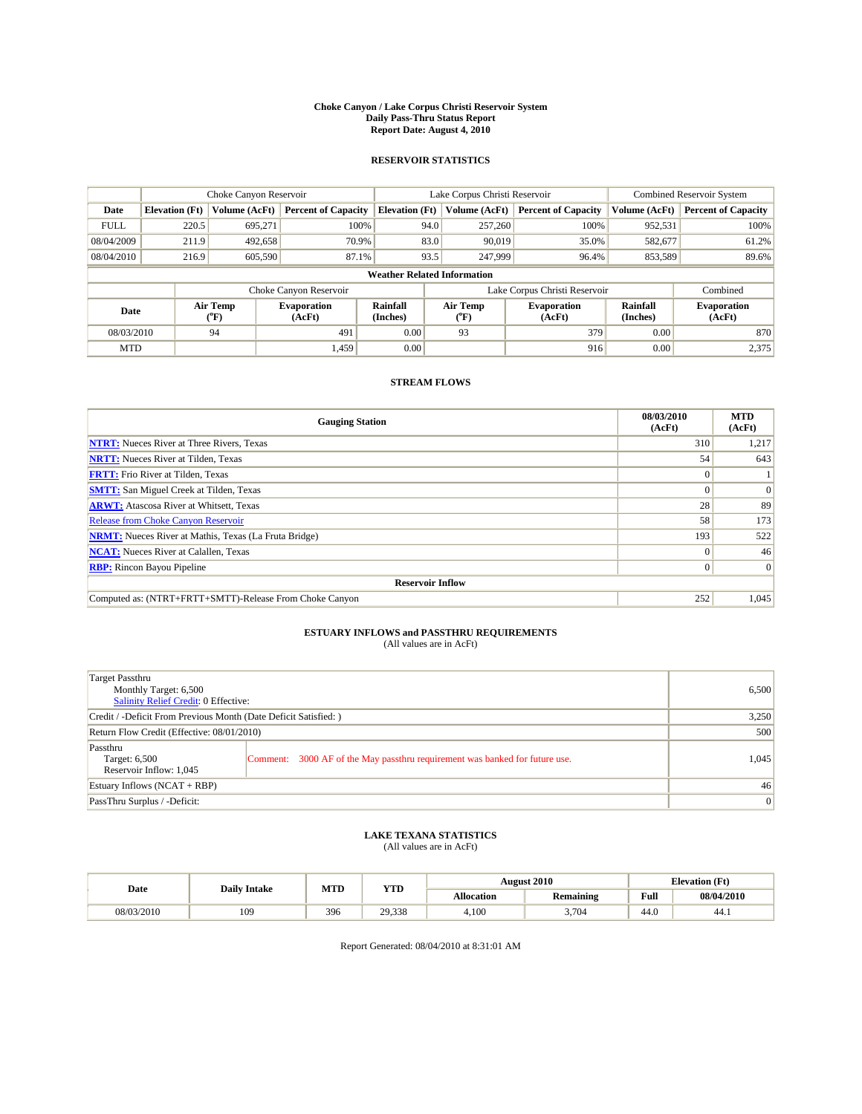#### **Choke Canyon / Lake Corpus Christi Reservoir System Daily Pass-Thru Status Report Report Date: August 4, 2010**

### **RESERVOIR STATISTICS**

|             | Choke Canyon Reservoir             |                  |                              |                             | Lake Corpus Christi Reservoir |                               |                      | <b>Combined Reservoir System</b> |  |  |
|-------------|------------------------------------|------------------|------------------------------|-----------------------------|-------------------------------|-------------------------------|----------------------|----------------------------------|--|--|
| Date        | <b>Elevation</b> (Ft)              | Volume (AcFt)    | <b>Percent of Capacity</b>   | <b>Elevation</b> (Ft)       | Volume (AcFt)                 | <b>Percent of Capacity</b>    | Volume (AcFt)        | <b>Percent of Capacity</b>       |  |  |
| <b>FULL</b> | 220.5                              | 695,271          | 100%                         | 94.0                        | 257,260                       | 100%                          | 952,531              | 100%                             |  |  |
| 08/04/2009  | 211.9                              | 492,658          | 70.9%                        | 83.0                        | 90.019                        | 35.0%                         | 582,677              | 61.2%                            |  |  |
| 08/04/2010  | 216.9                              | 605,590          | 87.1%                        | 93.5                        | 247,999                       | 96.4%                         | 853,589              | 89.6%                            |  |  |
|             | <b>Weather Related Information</b> |                  |                              |                             |                               |                               |                      |                                  |  |  |
|             |                                    |                  | Choke Canyon Reservoir       |                             |                               | Lake Corpus Christi Reservoir |                      | Combined                         |  |  |
| Date        |                                    | Air Temp<br>(°F) | <b>Evaporation</b><br>(AcFt) | <b>Rainfall</b><br>(Inches) | Air Temp<br>(°F)              | <b>Evaporation</b><br>(AcFt)  | Rainfall<br>(Inches) | <b>Evaporation</b><br>(AcFt)     |  |  |
| 08/03/2010  |                                    | 94               | 491                          | 0.00                        | 93                            | 379                           | 0.00                 | 870                              |  |  |
| <b>MTD</b>  |                                    |                  | 1.459                        | 0.00                        |                               | 916                           | 0.00                 | 2,375                            |  |  |

## **STREAM FLOWS**

| <b>Gauging Station</b>                                       | 08/03/2010<br>(AcFt) | <b>MTD</b><br>(AcFt) |
|--------------------------------------------------------------|----------------------|----------------------|
| <b>NTRT:</b> Nueces River at Three Rivers, Texas             | 310                  | 1,217                |
| <b>NRTT:</b> Nueces River at Tilden, Texas                   | 54                   | 643                  |
| <b>FRTT:</b> Frio River at Tilden, Texas                     |                      |                      |
| <b>SMTT:</b> San Miguel Creek at Tilden, Texas               |                      | $\Omega$             |
| <b>ARWT:</b> Atascosa River at Whitsett, Texas               | 28                   | 89                   |
| Release from Choke Canyon Reservoir                          | 58                   | 173                  |
| <b>NRMT:</b> Nueces River at Mathis, Texas (La Fruta Bridge) | 193                  | 522                  |
| <b>NCAT:</b> Nueces River at Calallen, Texas                 | $\Omega$             | 46                   |
| <b>RBP:</b> Rincon Bayou Pipeline                            | $\Omega$             | $\Omega$             |
| <b>Reservoir Inflow</b>                                      |                      |                      |
| Computed as: (NTRT+FRTT+SMTT)-Release From Choke Canyon      | 252                  | 1,045                |

## **ESTUARY INFLOWS and PASSTHRU REQUIREMENTS**<br>(All values are in AcFt)

| Target Passthru<br>Monthly Target: 6,500<br>Salinity Relief Credit: 0 Effective: |                                                                             | 6,500 |
|----------------------------------------------------------------------------------|-----------------------------------------------------------------------------|-------|
| Credit / -Deficit From Previous Month (Date Deficit Satisfied: )                 | 3,250                                                                       |       |
| Return Flow Credit (Effective: 08/01/2010)                                       | 500                                                                         |       |
| Passthru<br>Target: 6,500<br>Reservoir Inflow: 1,045                             | Comment: 3000 AF of the May passthru requirement was banked for future use. | 1,045 |
| Estuary Inflows $(NCAT + RBP)$                                                   |                                                                             | 46    |
| PassThru Surplus / -Deficit:                                                     |                                                                             | 0     |

## **LAKE TEXANA STATISTICS** (All values are in AcFt)

|            | <b>Daily Intake</b> | MTD | <b>YTD</b> |                   | <b>August 2010</b> | <b>Elevation</b> (Ft) |            |
|------------|---------------------|-----|------------|-------------------|--------------------|-----------------------|------------|
| Date       |                     |     |            | <b>Allocation</b> | <b>Remaining</b>   | Full                  | 08/04/2010 |
| 08/03/2010 | 109                 | 396 | 29.338     | 4.100             | 3.704              | 44.0                  | 44.1       |

Report Generated: 08/04/2010 at 8:31:01 AM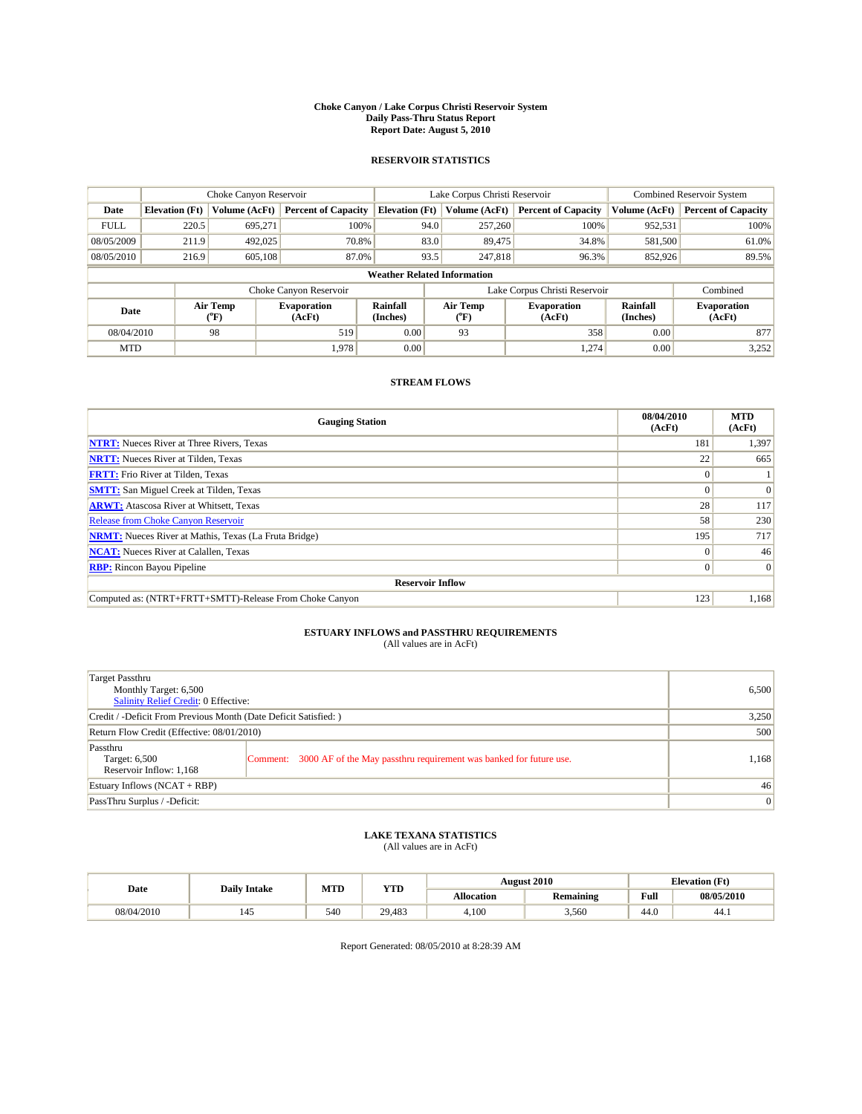#### **Choke Canyon / Lake Corpus Christi Reservoir System Daily Pass-Thru Status Report Report Date: August 5, 2010**

### **RESERVOIR STATISTICS**

|             | Choke Canyon Reservoir             |                                           |                              |                             | Lake Corpus Christi Reservoir |                               |                      | <b>Combined Reservoir System</b> |  |  |
|-------------|------------------------------------|-------------------------------------------|------------------------------|-----------------------------|-------------------------------|-------------------------------|----------------------|----------------------------------|--|--|
| Date        | <b>Elevation</b> (Ft)              | Volume (AcFt)                             | <b>Percent of Capacity</b>   | <b>Elevation</b> (Ft)       | Volume (AcFt)                 | <b>Percent of Capacity</b>    | Volume (AcFt)        | <b>Percent of Capacity</b>       |  |  |
| <b>FULL</b> | 220.5                              | 695,271                                   | 100%                         | 94.0                        | 257,260                       | 100%                          | 952,531              | 100%                             |  |  |
| 08/05/2009  | 211.9                              | 492,025                                   | 70.8%                        | 83.0                        | 89,475                        | 34.8%                         | 581,500              | 61.0%                            |  |  |
| 08/05/2010  | 216.9                              | 605,108                                   | 87.0%                        | 93.5                        | 247,818                       | 96.3%                         | 852,926              | 89.5%                            |  |  |
|             | <b>Weather Related Information</b> |                                           |                              |                             |                               |                               |                      |                                  |  |  |
|             |                                    |                                           | Choke Canyon Reservoir       |                             |                               | Lake Corpus Christi Reservoir |                      | Combined                         |  |  |
| Date        |                                    | Air Temp<br>$({}^{\mathrm{o}}\mathrm{F})$ | <b>Evaporation</b><br>(AcFt) | <b>Rainfall</b><br>(Inches) | Air Temp<br>(°F)              | <b>Evaporation</b><br>(AcFt)  | Rainfall<br>(Inches) | <b>Evaporation</b><br>(AcFt)     |  |  |
| 08/04/2010  |                                    | 98                                        | 519                          | 0.00                        | 93                            | 358                           | 0.00                 | 877                              |  |  |
| <b>MTD</b>  |                                    |                                           | 1.978                        | 0.00                        |                               | 1.274                         | 0.00                 | 3,252                            |  |  |

## **STREAM FLOWS**

| <b>Gauging Station</b>                                       | 08/04/2010<br>(AcFt) | <b>MTD</b><br>(AcFt) |
|--------------------------------------------------------------|----------------------|----------------------|
| <b>NTRT:</b> Nueces River at Three Rivers, Texas             | 181                  | 1,397                |
| <b>NRTT:</b> Nueces River at Tilden, Texas                   | 22                   | 665                  |
| <b>FRTT:</b> Frio River at Tilden, Texas                     |                      |                      |
| <b>SMTT:</b> San Miguel Creek at Tilden, Texas               |                      | $\Omega$             |
| <b>ARWT:</b> Atascosa River at Whitsett, Texas               | 28                   | 117                  |
| Release from Choke Canyon Reservoir                          | 58                   | 230                  |
| <b>NRMT:</b> Nueces River at Mathis, Texas (La Fruta Bridge) | 195                  | 717                  |
| <b>NCAT:</b> Nueces River at Calallen, Texas                 | $\Omega$             | 46                   |
| <b>RBP:</b> Rincon Bayou Pipeline                            | $\overline{0}$       | $\Omega$             |
| <b>Reservoir Inflow</b>                                      |                      |                      |
| Computed as: (NTRT+FRTT+SMTT)-Release From Choke Canyon      | 123                  | 1,168                |

## **ESTUARY INFLOWS and PASSTHRU REQUIREMENTS**<br>(All values are in AcFt)

| Target Passthru<br>Monthly Target: 6,500<br><b>Salinity Relief Credit: 0 Effective:</b> |                                                                             | 6,500 |
|-----------------------------------------------------------------------------------------|-----------------------------------------------------------------------------|-------|
| Credit / -Deficit From Previous Month (Date Deficit Satisfied: )                        | 3,250                                                                       |       |
| Return Flow Credit (Effective: 08/01/2010)                                              | 500                                                                         |       |
| Passthru<br>Target: 6,500<br>Reservoir Inflow: 1,168                                    | Comment: 3000 AF of the May passthru requirement was banked for future use. | 1,168 |
| Estuary Inflows $(NCAT + RBP)$                                                          |                                                                             | 46    |
| PassThru Surplus / -Deficit:                                                            |                                                                             | 0     |

## **LAKE TEXANA STATISTICS** (All values are in AcFt)

|            | <b>Daily Intake</b>   | MTD | <b>YTD</b> |                   | <b>August 2010</b> | <b>Elevation</b> (Ft) |            |
|------------|-----------------------|-----|------------|-------------------|--------------------|-----------------------|------------|
| Date       |                       |     |            | <b>Allocation</b> | <b>Remaining</b>   | Full                  | 08/05/2010 |
| 08/04/2010 | $\overline{a}$<br>145 | 540 | 29.483     | 4.100             | 3,560              | 44.0                  | 44.1       |

Report Generated: 08/05/2010 at 8:28:39 AM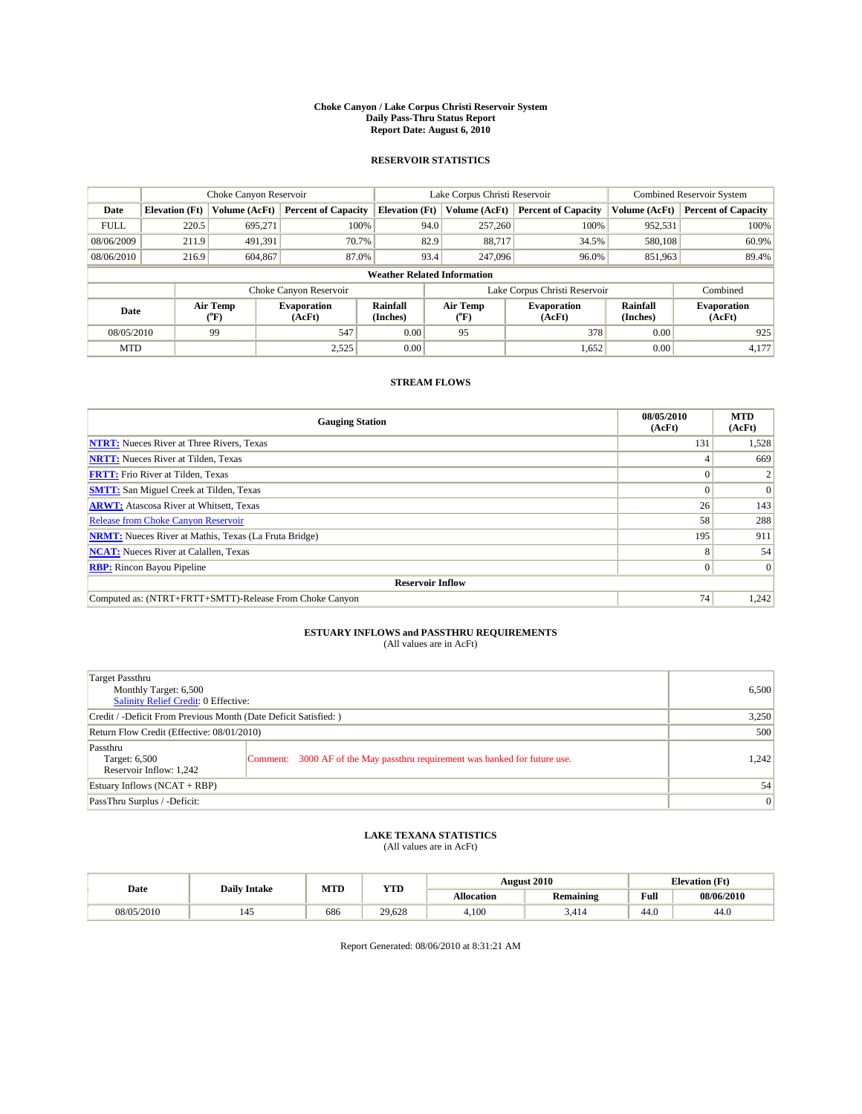#### **Choke Canyon / Lake Corpus Christi Reservoir System Daily Pass-Thru Status Report Report Date: August 6, 2010**

### **RESERVOIR STATISTICS**

|             | Choke Canyon Reservoir             |                                           |                              |                       | Lake Corpus Christi Reservoir | <b>Combined Reservoir System</b> |                      |                              |  |  |
|-------------|------------------------------------|-------------------------------------------|------------------------------|-----------------------|-------------------------------|----------------------------------|----------------------|------------------------------|--|--|
| Date        | <b>Elevation</b> (Ft)              | Volume (AcFt)                             | <b>Percent of Capacity</b>   | <b>Elevation</b> (Ft) | Volume (AcFt)                 | <b>Percent of Capacity</b>       | Volume (AcFt)        | <b>Percent of Capacity</b>   |  |  |
| <b>FULL</b> | 220.5                              | 695,271                                   | 100%                         | 94.0                  | 257,260                       | 100%                             | 952,531              | 100%                         |  |  |
| 08/06/2009  | 211.9                              | 491,391                                   | 70.7%                        | 82.9                  | 88.717                        | 34.5%                            | 580,108              | 60.9%                        |  |  |
| 08/06/2010  | 216.9                              | 604,867                                   | 87.0%                        | 93.4                  | 247,096                       | 96.0%                            | 851,963              | 89.4%                        |  |  |
|             | <b>Weather Related Information</b> |                                           |                              |                       |                               |                                  |                      |                              |  |  |
|             |                                    |                                           | Choke Canyon Reservoir       |                       |                               | Lake Corpus Christi Reservoir    |                      | Combined                     |  |  |
| Date        |                                    | Air Temp<br>$({}^{\mathrm{o}}\mathrm{F})$ | <b>Evaporation</b><br>(AcFt) | Rainfall<br>(Inches)  | Air Temp<br>(°F)              | <b>Evaporation</b><br>(AcFt)     | Rainfall<br>(Inches) | <b>Evaporation</b><br>(AcFt) |  |  |
| 08/05/2010  |                                    | 99                                        | 547                          | 0.00                  | 95                            | 378                              | 0.00                 | 925                          |  |  |
| <b>MTD</b>  |                                    |                                           | 2,525                        | 0.00                  |                               | 1,652                            | 0.00                 | 4,177                        |  |  |

## **STREAM FLOWS**

| <b>Gauging Station</b>                                       | 08/05/2010<br>(AcFt) | <b>MTD</b><br>(AcFt) |  |  |  |  |
|--------------------------------------------------------------|----------------------|----------------------|--|--|--|--|
| <b>NTRT:</b> Nueces River at Three Rivers, Texas             | 131                  | 1,528                |  |  |  |  |
| <b>NRTT:</b> Nueces River at Tilden, Texas                   |                      | 669                  |  |  |  |  |
| <b>FRTT:</b> Frio River at Tilden, Texas                     |                      |                      |  |  |  |  |
| <b>SMTT:</b> San Miguel Creek at Tilden, Texas               |                      | $\Omega$             |  |  |  |  |
| <b>ARWT:</b> Atascosa River at Whitsett, Texas               | 26                   | 143                  |  |  |  |  |
| <b>Release from Choke Canyon Reservoir</b>                   | 58                   | 288                  |  |  |  |  |
| <b>NRMT:</b> Nueces River at Mathis, Texas (La Fruta Bridge) | 195                  | 911                  |  |  |  |  |
| <b>NCAT:</b> Nueces River at Calallen, Texas                 | 8                    | 54                   |  |  |  |  |
| <b>RBP:</b> Rincon Bayou Pipeline                            | $\overline{0}$       | $\Omega$             |  |  |  |  |
| <b>Reservoir Inflow</b>                                      |                      |                      |  |  |  |  |
| Computed as: (NTRT+FRTT+SMTT)-Release From Choke Canyon      | 74                   | 1,242                |  |  |  |  |

# **ESTUARY INFLOWS and PASSTHRU REQUIREMENTS**<br>(All values are in AcFt)

| Target Passthru<br>Monthly Target: 6,500<br>Salinity Relief Credit: 0 Effective: | 6,500                                                                       |       |
|----------------------------------------------------------------------------------|-----------------------------------------------------------------------------|-------|
| Credit / -Deficit From Previous Month (Date Deficit Satisfied: )                 | 3,250                                                                       |       |
| Return Flow Credit (Effective: 08/01/2010)                                       | 500                                                                         |       |
| Passthru<br>Target: 6,500<br>Reservoir Inflow: 1,242                             | Comment: 3000 AF of the May passthru requirement was banked for future use. | 1,242 |
| Estuary Inflows (NCAT + RBP)                                                     |                                                                             | 54    |
| PassThru Surplus / -Deficit:                                                     | 0                                                                           |       |

## **LAKE TEXANA STATISTICS** (All values are in AcFt)

|            | <b>Daily Intake</b> | MTD | <b>YTD</b> |                   | <b>August 2010</b> |      | <b>Elevation</b> (Ft) |
|------------|---------------------|-----|------------|-------------------|--------------------|------|-----------------------|
| Date       |                     |     |            | <b>Allocation</b> | <b>Remaining</b>   | Full | 08/06/2010            |
| 08/05/2010 | 145                 | 686 | 29.628     | 4.100             | 414ه               | 44.0 | 44.0                  |

Report Generated: 08/06/2010 at 8:31:21 AM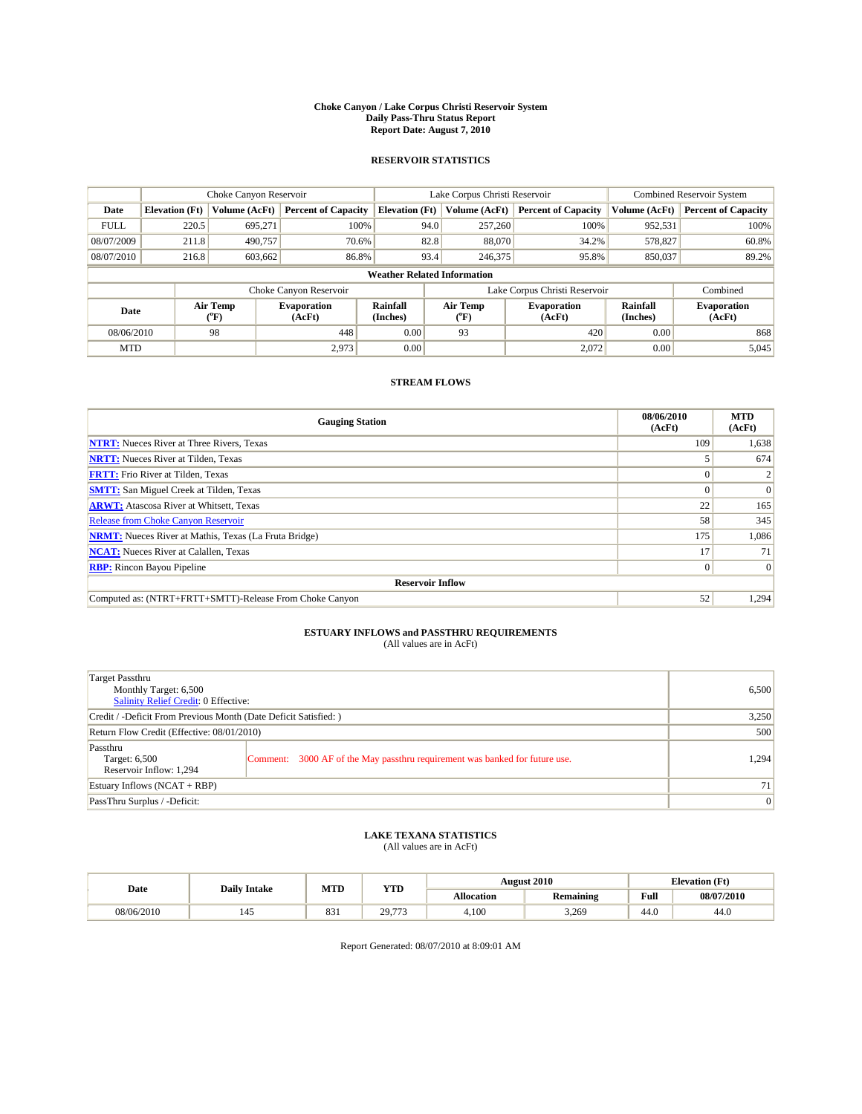#### **Choke Canyon / Lake Corpus Christi Reservoir System Daily Pass-Thru Status Report Report Date: August 7, 2010**

### **RESERVOIR STATISTICS**

|             | Choke Canyon Reservoir             |                             |                              |                             | Lake Corpus Christi Reservoir |                  |                               |                      | <b>Combined Reservoir System</b> |  |  |
|-------------|------------------------------------|-----------------------------|------------------------------|-----------------------------|-------------------------------|------------------|-------------------------------|----------------------|----------------------------------|--|--|
| Date        | <b>Elevation</b> (Ft)              | Volume (AcFt)               | <b>Percent of Capacity</b>   | <b>Elevation</b> (Ft)       |                               | Volume (AcFt)    | <b>Percent of Capacity</b>    | Volume (AcFt)        | <b>Percent of Capacity</b>       |  |  |
| <b>FULL</b> | 220.5                              | 695,271                     | 100%                         |                             | 94.0                          | 257,260          | 100%                          | 952,531              | 100%                             |  |  |
| 08/07/2009  | 211.8                              | 490,757                     | 70.6%                        |                             | 82.8                          | 88,070           | 34.2%                         | 578,827              | 60.8%                            |  |  |
| 08/07/2010  | 216.8                              | 603,662                     | 86.8%                        |                             | 93.4                          | 246,375          | 95.8%                         | 850,037              | 89.2%                            |  |  |
|             | <b>Weather Related Information</b> |                             |                              |                             |                               |                  |                               |                      |                                  |  |  |
|             |                                    |                             | Choke Canyon Reservoir       |                             |                               |                  | Lake Corpus Christi Reservoir |                      | Combined                         |  |  |
| Date        |                                    | Air Temp<br>${}^{\circ}$ F) | <b>Evaporation</b><br>(AcFt) | <b>Rainfall</b><br>(Inches) |                               | Air Temp<br>(°F) | Evaporation<br>(AcFt)         | Rainfall<br>(Inches) | <b>Evaporation</b><br>(AcFt)     |  |  |
| 08/06/2010  |                                    | 98                          | 448                          | 0.00                        |                               | 93               | 420                           | 0.00                 | 868                              |  |  |
| <b>MTD</b>  |                                    |                             | 2,973                        | 0.00                        |                               |                  | 2,072                         | 0.00                 | 5,045                            |  |  |

## **STREAM FLOWS**

| <b>Gauging Station</b>                                       | 08/06/2010<br>(AcFt) | <b>MTD</b><br>(AcFt) |
|--------------------------------------------------------------|----------------------|----------------------|
| <b>NTRT:</b> Nueces River at Three Rivers, Texas             | 109                  | 1,638                |
| <b>NRTT:</b> Nueces River at Tilden, Texas                   |                      | 674                  |
| <b>FRTT:</b> Frio River at Tilden, Texas                     |                      |                      |
| <b>SMTT:</b> San Miguel Creek at Tilden, Texas               |                      | $\Omega$             |
| <b>ARWT:</b> Atascosa River at Whitsett, Texas               | 22                   | 165                  |
| Release from Choke Canyon Reservoir                          | 58                   | 345                  |
| <b>NRMT:</b> Nueces River at Mathis, Texas (La Fruta Bridge) | 175                  | 1,086                |
| <b>NCAT:</b> Nueces River at Calallen, Texas                 | 17                   | 71                   |
| <b>RBP:</b> Rincon Bayou Pipeline                            | $\overline{0}$       | $\Omega$             |
| <b>Reservoir Inflow</b>                                      |                      |                      |
| Computed as: (NTRT+FRTT+SMTT)-Release From Choke Canyon      | 52                   | 1,294                |

## **ESTUARY INFLOWS and PASSTHRU REQUIREMENTS**<br>(All values are in AcFt)

| Target Passthru<br>Monthly Target: 6,500<br><b>Salinity Relief Credit: 0 Effective:</b> |                                                                             | 6,500 |
|-----------------------------------------------------------------------------------------|-----------------------------------------------------------------------------|-------|
| Credit / -Deficit From Previous Month (Date Deficit Satisfied: )                        | 3,250                                                                       |       |
| Return Flow Credit (Effective: 08/01/2010)                                              | 500                                                                         |       |
| Passthru<br>Target: 6,500<br>Reservoir Inflow: 1,294                                    | Comment: 3000 AF of the May passthru requirement was banked for future use. | 1,294 |
| Estuary Inflows $(NCAT + RBP)$                                                          |                                                                             | 71 I  |
| PassThru Surplus / -Deficit:                                                            |                                                                             | 0     |

## **LAKE TEXANA STATISTICS** (All values are in AcFt)

|            | <b>Daily Intake</b> | MTD | <b>YTD</b>     |                   | <b>August 2010</b> |      | <b>Elevation</b> (Ft) |
|------------|---------------------|-----|----------------|-------------------|--------------------|------|-----------------------|
| Date       |                     |     |                | <b>Allocation</b> | <b>Remaining</b>   | Full | 08/07/2010            |
| 08/06/2010 | 145                 | 831 | 29.7<br>$-772$ | 4,100             | 3.269              | 44.0 | 44.0                  |

Report Generated: 08/07/2010 at 8:09:01 AM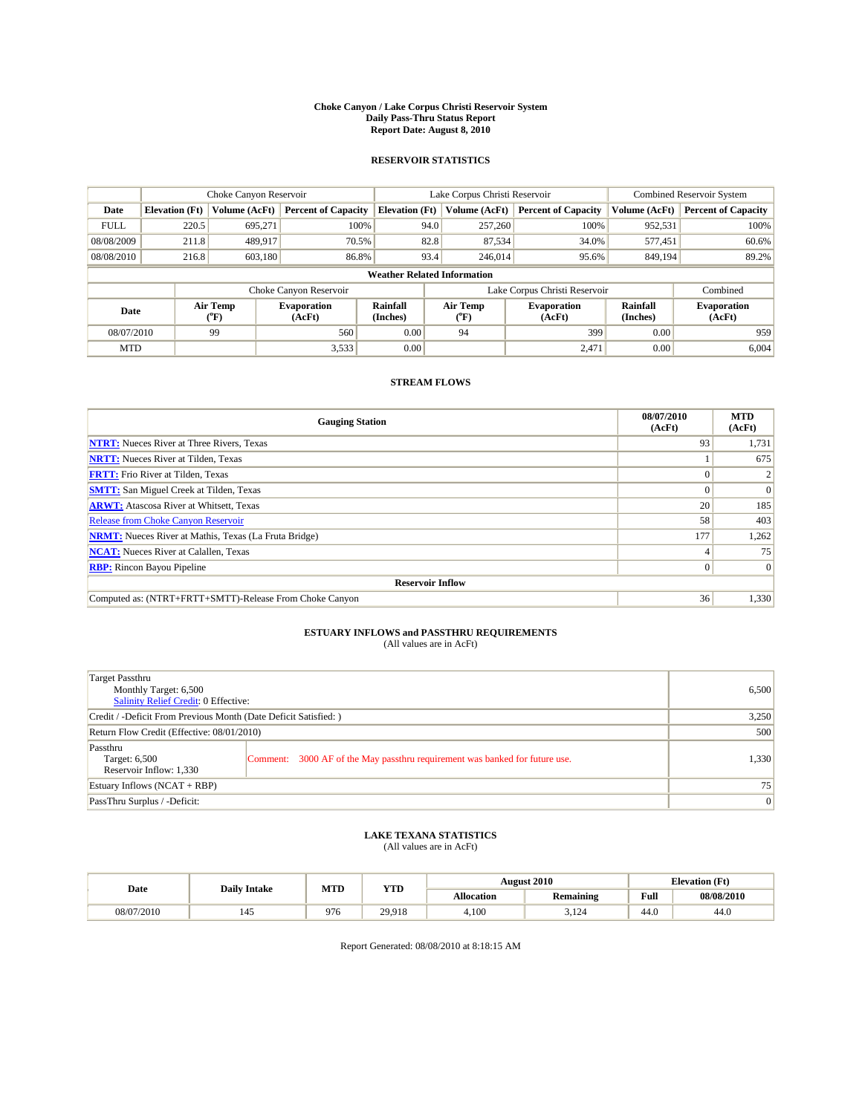#### **Choke Canyon / Lake Corpus Christi Reservoir System Daily Pass-Thru Status Report Report Date: August 8, 2010**

### **RESERVOIR STATISTICS**

|             | Choke Canyon Reservoir             |                                           |                              |                             | Lake Corpus Christi Reservoir | <b>Combined Reservoir System</b> |                      |                              |  |  |  |
|-------------|------------------------------------|-------------------------------------------|------------------------------|-----------------------------|-------------------------------|----------------------------------|----------------------|------------------------------|--|--|--|
| Date        | <b>Elevation</b> (Ft)              | Volume (AcFt)                             | <b>Percent of Capacity</b>   | <b>Elevation</b> (Ft)       | Volume (AcFt)                 | <b>Percent of Capacity</b>       | Volume (AcFt)        | <b>Percent of Capacity</b>   |  |  |  |
| <b>FULL</b> | 220.5                              | 695,271                                   | 100%                         | 94.0                        | 257,260                       | 100%                             | 952,531              | 100%                         |  |  |  |
| 08/08/2009  | 211.8                              | 489,917                                   | 70.5%                        | 82.8                        | 87,534                        | 34.0%                            | 577,451              | 60.6%                        |  |  |  |
| 08/08/2010  | 216.8                              | 603,180                                   | 86.8%                        | 93.4                        | 246,014                       | 95.6%                            | 849,194              | 89.2%                        |  |  |  |
|             | <b>Weather Related Information</b> |                                           |                              |                             |                               |                                  |                      |                              |  |  |  |
|             |                                    |                                           | Choke Canyon Reservoir       |                             |                               | Lake Corpus Christi Reservoir    |                      | Combined                     |  |  |  |
| Date        |                                    | Air Temp<br>$({}^{\mathrm{o}}\mathrm{F})$ | <b>Evaporation</b><br>(AcFt) | <b>Rainfall</b><br>(Inches) | Air Temp<br>(°F)              | <b>Evaporation</b><br>(AcFt)     | Rainfall<br>(Inches) | <b>Evaporation</b><br>(AcFt) |  |  |  |
| 08/07/2010  |                                    | 99                                        | 560                          | 0.00                        | 94                            | 399                              | 0.00                 | 959                          |  |  |  |
| <b>MTD</b>  |                                    |                                           | 3,533                        | 0.00                        |                               | 2,471                            | 0.00                 | 6,004                        |  |  |  |

## **STREAM FLOWS**

| <b>Gauging Station</b>                                       | 08/07/2010<br>(AcFt) | <b>MTD</b><br>(AcFt) |
|--------------------------------------------------------------|----------------------|----------------------|
| <b>NTRT:</b> Nueces River at Three Rivers, Texas             | 93                   | 1,731                |
| <b>NRTT:</b> Nueces River at Tilden, Texas                   |                      | 675                  |
| <b>FRTT:</b> Frio River at Tilden, Texas                     |                      |                      |
| <b>SMTT:</b> San Miguel Creek at Tilden, Texas               |                      | $\Omega$             |
| <b>ARWT:</b> Atascosa River at Whitsett, Texas               | 20                   | 185                  |
| Release from Choke Canyon Reservoir                          | 58                   | 403                  |
| <b>NRMT:</b> Nueces River at Mathis, Texas (La Fruta Bridge) | 177                  | 1,262                |
| <b>NCAT:</b> Nueces River at Calallen, Texas                 |                      | 75                   |
| <b>RBP:</b> Rincon Bayou Pipeline                            | $\Omega$             | $\Omega$             |
| <b>Reservoir Inflow</b>                                      |                      |                      |
| Computed as: (NTRT+FRTT+SMTT)-Release From Choke Canyon      | 36                   | 1,330                |

## **ESTUARY INFLOWS and PASSTHRU REQUIREMENTS**<br>(All values are in AcFt)

| Target Passthru<br>Monthly Target: 6,500<br>Salinity Relief Credit: 0 Effective: |                                                                             | 6,500 |
|----------------------------------------------------------------------------------|-----------------------------------------------------------------------------|-------|
| Credit / -Deficit From Previous Month (Date Deficit Satisfied: )                 | 3,250                                                                       |       |
| Return Flow Credit (Effective: 08/01/2010)                                       | 500                                                                         |       |
| Passthru<br>Target: 6,500<br>Reservoir Inflow: 1,330                             | Comment: 3000 AF of the May passthru requirement was banked for future use. | 1,330 |
| Estuary Inflows $(NCAT + RBP)$                                                   |                                                                             | 75    |
| PassThru Surplus / -Deficit:                                                     |                                                                             | 0     |

## **LAKE TEXANA STATISTICS** (All values are in AcFt)

|            | <b>Daily Intake</b> | MTD | <b>YTD</b> |            | <b>August 2010</b>       | <b>Elevation</b> (Ft)                              |            |
|------------|---------------------|-----|------------|------------|--------------------------|----------------------------------------------------|------------|
| Date       |                     |     |            | Allocation | Remaining                | <b>Full</b><br>the contract of the contract of the | 08/08/2010 |
| 08/07/2010 | 145                 | 976 | 29.918     | 4.100      | 10 <sup>1</sup><br>3.124 | 44.0                                               | 44.0       |

Report Generated: 08/08/2010 at 8:18:15 AM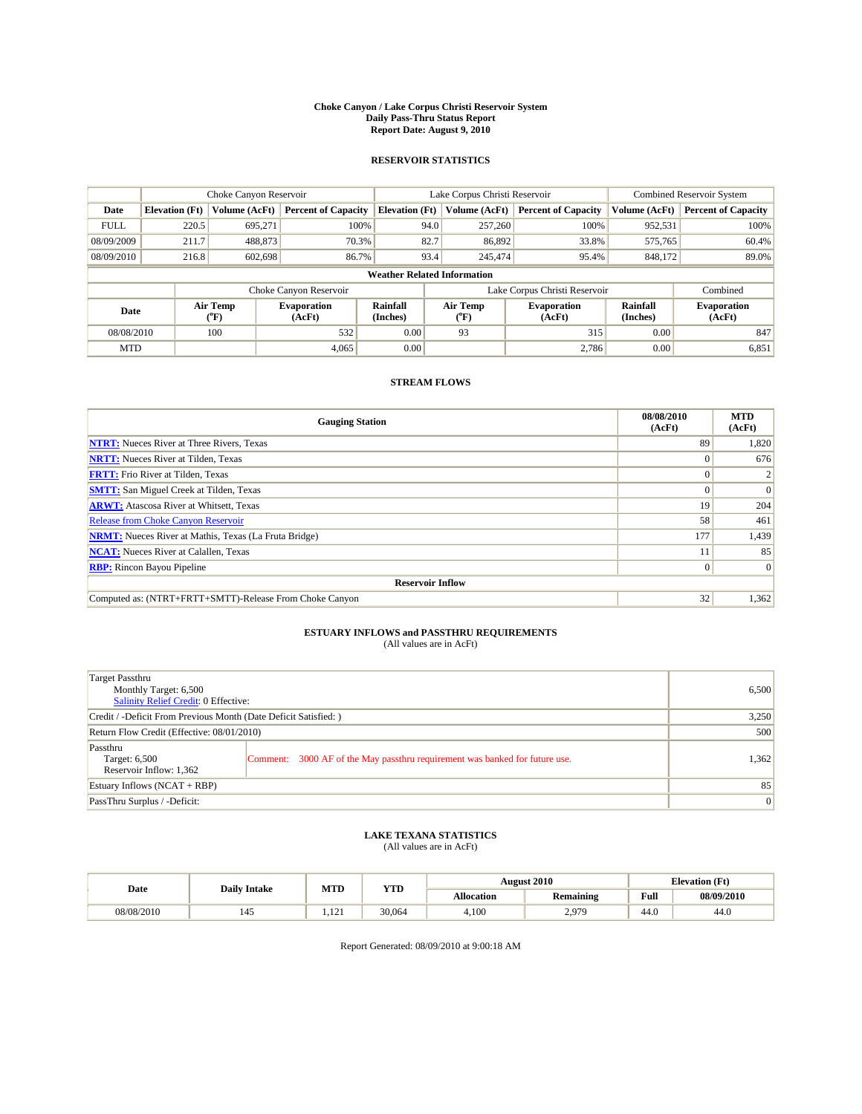#### **Choke Canyon / Lake Corpus Christi Reservoir System Daily Pass-Thru Status Report Report Date: August 9, 2010**

### **RESERVOIR STATISTICS**

|             | Choke Canyon Reservoir             |                             |                              |                             | Lake Corpus Christi Reservoir |                           |                               |                      | <b>Combined Reservoir System</b> |  |  |
|-------------|------------------------------------|-----------------------------|------------------------------|-----------------------------|-------------------------------|---------------------------|-------------------------------|----------------------|----------------------------------|--|--|
| Date        | <b>Elevation</b> (Ft)              | Volume (AcFt)               | <b>Percent of Capacity</b>   | <b>Elevation</b> (Ft)       |                               | Volume (AcFt)             | <b>Percent of Capacity</b>    | Volume (AcFt)        | <b>Percent of Capacity</b>       |  |  |
| <b>FULL</b> | 220.5                              | 695,271                     | 100%                         |                             | 94.0                          | 257,260                   | 100%                          | 952,531              | 100%                             |  |  |
| 08/09/2009  | 211.7                              | 488,873                     | 70.3%                        |                             | 82.7                          | 86,892                    | 33.8%                         | 575,765              | 60.4%                            |  |  |
| 08/09/2010  | 216.8                              | 602,698                     | 86.7%                        |                             | 93.4                          | 245,474                   | 95.4%                         | 848,172              | 89.0%                            |  |  |
|             | <b>Weather Related Information</b> |                             |                              |                             |                               |                           |                               |                      |                                  |  |  |
|             |                                    |                             | Choke Canyon Reservoir       |                             |                               |                           | Lake Corpus Christi Reservoir |                      | Combined                         |  |  |
| Date        |                                    | Air Temp<br>${}^{\circ}$ F) | <b>Evaporation</b><br>(AcFt) | <b>Rainfall</b><br>(Inches) |                               | Air Temp<br>$(^{\circ}F)$ | <b>Evaporation</b><br>(AcFt)  | Rainfall<br>(Inches) | <b>Evaporation</b><br>(AcFt)     |  |  |
| 08/08/2010  |                                    | 100                         | 532                          | 0.00                        |                               | 93                        | 315                           | 0.00                 | 847                              |  |  |
| <b>MTD</b>  |                                    |                             | 4,065                        | 0.00                        |                               |                           | 2,786                         | 0.00                 | 6,851                            |  |  |

## **STREAM FLOWS**

| <b>Gauging Station</b>                                       | 08/08/2010<br>(AcFt) | <b>MTD</b><br>(AcFt) |
|--------------------------------------------------------------|----------------------|----------------------|
| <b>NTRT:</b> Nueces River at Three Rivers, Texas             | 89                   | 1,820                |
| <b>NRTT:</b> Nueces River at Tilden, Texas                   | $\Omega$             | 676                  |
| <b>FRTT:</b> Frio River at Tilden, Texas                     |                      |                      |
| <b>SMTT:</b> San Miguel Creek at Tilden, Texas               |                      | $\Omega$             |
| <b>ARWT:</b> Atascosa River at Whitsett, Texas               | 19                   | 204                  |
| Release from Choke Canyon Reservoir                          | 58                   | 461                  |
| <b>NRMT:</b> Nueces River at Mathis, Texas (La Fruta Bridge) | 177                  | 1,439                |
| <b>NCAT:</b> Nueces River at Calallen, Texas                 |                      | 85                   |
| <b>RBP:</b> Rincon Bayou Pipeline                            | $\Omega$             | $\Omega$             |
| <b>Reservoir Inflow</b>                                      |                      |                      |
| Computed as: (NTRT+FRTT+SMTT)-Release From Choke Canyon      | 32                   | 1,362                |

## **ESTUARY INFLOWS and PASSTHRU REQUIREMENTS**<br>(All values are in AcFt)

| <b>Target Passthru</b><br>Monthly Target: 6,500<br>Salinity Relief Credit: 0 Effective: |                                                                             | 6,500 |
|-----------------------------------------------------------------------------------------|-----------------------------------------------------------------------------|-------|
| Credit / -Deficit From Previous Month (Date Deficit Satisfied: )                        | 3,250                                                                       |       |
| Return Flow Credit (Effective: 08/01/2010)                                              | 500                                                                         |       |
| Passthru<br>Target: 6,500<br>Reservoir Inflow: 1,362                                    | Comment: 3000 AF of the May passthru requirement was banked for future use. | 1,362 |
| Estuary Inflows (NCAT + RBP)                                                            |                                                                             | 85    |
| PassThru Surplus / -Deficit:                                                            |                                                                             | 0     |

## **LAKE TEXANA STATISTICS** (All values are in AcFt)

| Date       | <b>Daily Intake</b> | MTD          | <b>YTD</b> |            | <b>August 2010</b> | <b>Elevation</b> (Ft)                              |            |
|------------|---------------------|--------------|------------|------------|--------------------|----------------------------------------------------|------------|
|            |                     |              |            | Allocation | Remaining          | <b>Full</b><br>the contract of the contract of the | 08/09/2010 |
| 08/08/2010 | 145                 | 121<br>1.121 | 30.064     | 4.100      | 2.979              | 44.0                                               | 44.0       |

Report Generated: 08/09/2010 at 9:00:18 AM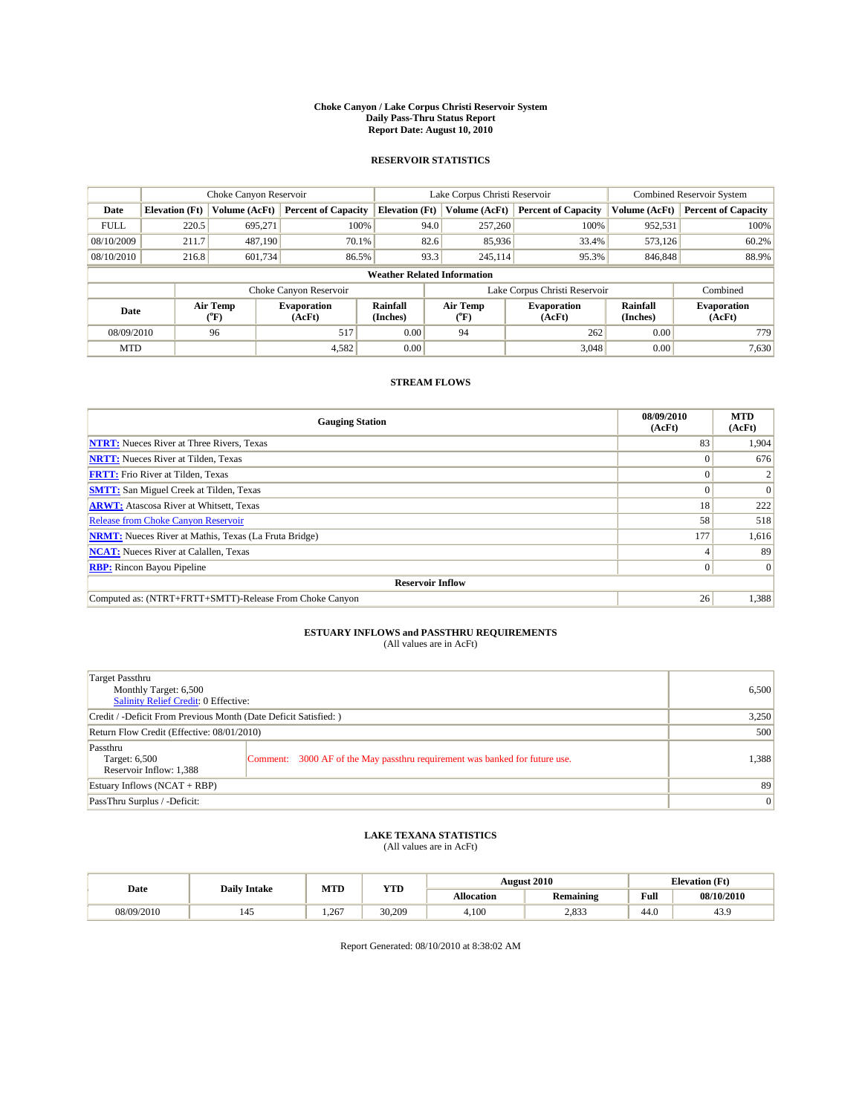#### **Choke Canyon / Lake Corpus Christi Reservoir System Daily Pass-Thru Status Report Report Date: August 10, 2010**

### **RESERVOIR STATISTICS**

|             | Choke Canyon Reservoir             |                  |                              |                             | Lake Corpus Christi Reservoir | <b>Combined Reservoir System</b> |                      |                              |  |  |
|-------------|------------------------------------|------------------|------------------------------|-----------------------------|-------------------------------|----------------------------------|----------------------|------------------------------|--|--|
| Date        | <b>Elevation</b> (Ft)              | Volume (AcFt)    | <b>Percent of Capacity</b>   | <b>Elevation</b> (Ft)       | Volume (AcFt)                 | <b>Percent of Capacity</b>       | Volume (AcFt)        | <b>Percent of Capacity</b>   |  |  |
| <b>FULL</b> | 220.5                              | 695,271          | 100%                         | 94.0                        | 257,260                       | 100%                             | 952,531              | 100%                         |  |  |
| 08/10/2009  | 211.7                              | 487.190          | 70.1%                        | 82.6                        | 85,936                        | 33.4%                            | 573,126              | 60.2%                        |  |  |
| 08/10/2010  | 216.8                              | 601,734          | 86.5%                        | 93.3                        | 245,114                       | 95.3%                            | 846,848              | 88.9%                        |  |  |
|             | <b>Weather Related Information</b> |                  |                              |                             |                               |                                  |                      |                              |  |  |
|             |                                    |                  | Choke Canyon Reservoir       |                             |                               | Lake Corpus Christi Reservoir    |                      | Combined                     |  |  |
| Date        |                                    | Air Temp<br>(°F) | <b>Evaporation</b><br>(AcFt) | <b>Rainfall</b><br>(Inches) | Air Temp<br>(°F)              | <b>Evaporation</b><br>(AcFt)     | Rainfall<br>(Inches) | <b>Evaporation</b><br>(AcFt) |  |  |
| 08/09/2010  |                                    | 96               | 517                          | 0.00                        | 94                            | 262                              | 0.00                 | 779                          |  |  |
| <b>MTD</b>  |                                    |                  | 4,582                        | 0.00                        |                               | 3.048                            | 0.00                 | 7,630                        |  |  |

## **STREAM FLOWS**

| <b>Gauging Station</b>                                       | 08/09/2010<br>(AcFt) | <b>MTD</b><br>(AcFt) |
|--------------------------------------------------------------|----------------------|----------------------|
| <b>NTRT:</b> Nueces River at Three Rivers, Texas             | 83                   | 1,904                |
| <b>NRTT:</b> Nueces River at Tilden, Texas                   | $\theta$             | 676                  |
| <b>FRTT:</b> Frio River at Tilden, Texas                     |                      |                      |
| <b>SMTT:</b> San Miguel Creek at Tilden, Texas               |                      | $\Omega$             |
| <b>ARWT:</b> Atascosa River at Whitsett, Texas               | 18                   | 222                  |
| <b>Release from Choke Canyon Reservoir</b>                   | 58                   | 518                  |
| <b>NRMT:</b> Nueces River at Mathis, Texas (La Fruta Bridge) | 177                  | 1,616                |
| <b>NCAT:</b> Nueces River at Calallen, Texas                 |                      | 89                   |
| <b>RBP:</b> Rincon Bayou Pipeline                            | $\Omega$             | $\Omega$             |
| <b>Reservoir Inflow</b>                                      |                      |                      |
| Computed as: (NTRT+FRTT+SMTT)-Release From Choke Canyon      | 26                   | 1,388                |

# **ESTUARY INFLOWS and PASSTHRU REQUIREMENTS**<br>(All values are in AcFt)

| Target Passthru<br>Monthly Target: 6,500<br>Salinity Relief Credit: 0 Effective: | 6,500                                                                       |       |
|----------------------------------------------------------------------------------|-----------------------------------------------------------------------------|-------|
| Credit / -Deficit From Previous Month (Date Deficit Satisfied: )                 | 3,250                                                                       |       |
| Return Flow Credit (Effective: 08/01/2010)                                       | 500                                                                         |       |
| Passthru<br>Target: 6,500<br>Reservoir Inflow: 1,388                             | Comment: 3000 AF of the May passthru requirement was banked for future use. | 1,388 |
| Estuary Inflows (NCAT + RBP)                                                     |                                                                             | 89    |
| PassThru Surplus / -Deficit:                                                     | 0                                                                           |       |

## **LAKE TEXANA STATISTICS** (All values are in AcFt)

|            | <b>Daily Intake</b>   | MTD  | <b>YTD</b> | <b>August 2010</b> |           |      | <b>Elevation</b> (Ft) |
|------------|-----------------------|------|------------|--------------------|-----------|------|-----------------------|
| Date       |                       |      |            | <b>Allocation</b>  | Remaining | Full | 08/10/2010            |
| 08/09/2010 | $\overline{a}$<br>145 | .267 | 30.209     | 4,100              | 2,833     | 44.0 | 43.9                  |

Report Generated: 08/10/2010 at 8:38:02 AM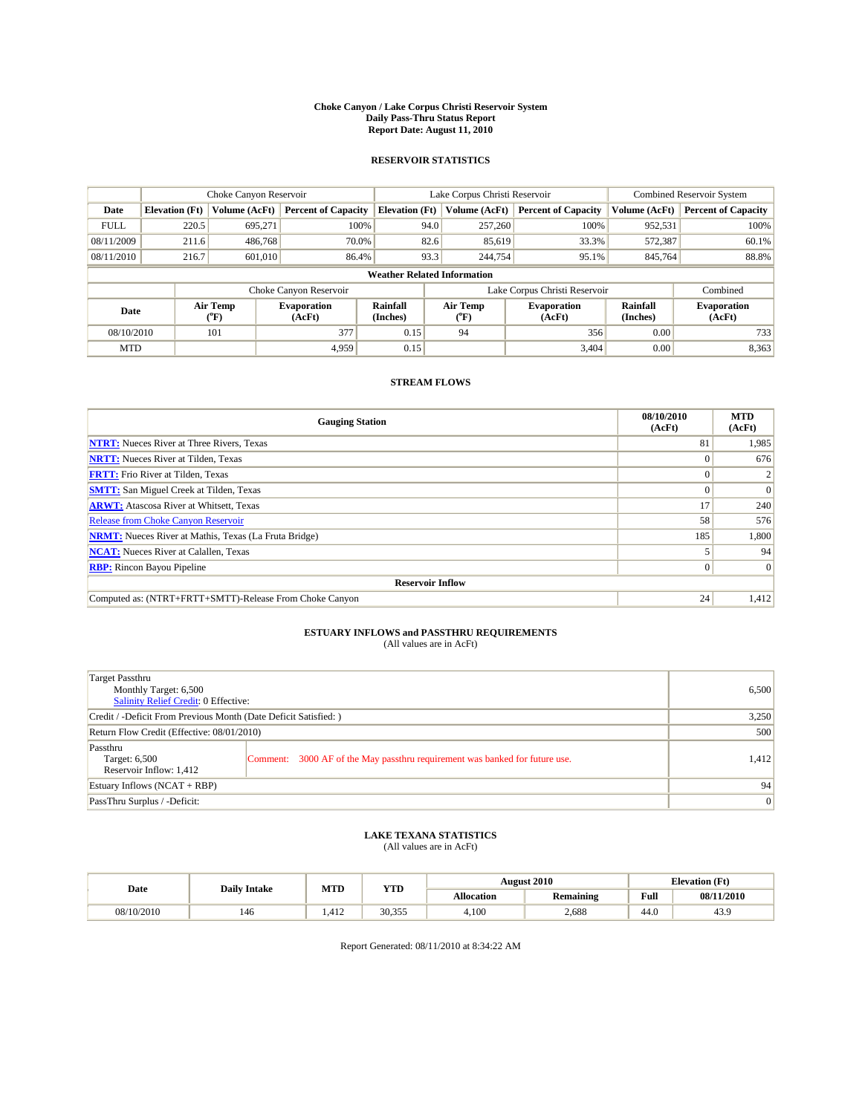#### **Choke Canyon / Lake Corpus Christi Reservoir System Daily Pass-Thru Status Report Report Date: August 11, 2010**

### **RESERVOIR STATISTICS**

|             | Choke Canyon Reservoir             |                                |                              |                       | Lake Corpus Christi Reservoir  | <b>Combined Reservoir System</b> |                      |                              |  |  |
|-------------|------------------------------------|--------------------------------|------------------------------|-----------------------|--------------------------------|----------------------------------|----------------------|------------------------------|--|--|
| Date        | <b>Elevation</b> (Ft)              | Volume (AcFt)                  | <b>Percent of Capacity</b>   | <b>Elevation</b> (Ft) | Volume (AcFt)                  | <b>Percent of Capacity</b>       | Volume (AcFt)        | <b>Percent of Capacity</b>   |  |  |
| <b>FULL</b> | 220.5                              | 695,271                        | 100%                         | 94.0                  | 257,260                        | 100%                             | 952,531              | 100%                         |  |  |
| 08/11/2009  | 211.6                              | 486,768                        | 70.0%                        | 82.6                  | 85,619                         | 33.3%                            | 572,387              | 60.1%                        |  |  |
| 08/11/2010  | 216.7                              | 601,010                        | 86.4%                        | 93.3                  | 244,754                        | 95.1%                            | 845,764              | 88.8%                        |  |  |
|             | <b>Weather Related Information</b> |                                |                              |                       |                                |                                  |                      |                              |  |  |
|             |                                    |                                | Choke Canyon Reservoir       |                       |                                | Lake Corpus Christi Reservoir    |                      | Combined                     |  |  |
| Date        |                                    | Air Temp<br>$({}^o\mathrm{F})$ | <b>Evaporation</b><br>(AcFt) | Rainfall<br>(Inches)  | Air Temp<br>$({}^o\mathrm{F})$ | <b>Evaporation</b><br>(AcFt)     | Rainfall<br>(Inches) | <b>Evaporation</b><br>(AcFt) |  |  |
| 08/10/2010  |                                    | 101                            | 377                          | 0.15                  | 94                             | 356                              | 0.00                 | 733                          |  |  |
| <b>MTD</b>  |                                    |                                | 4.959                        | 0.15                  |                                | 3.404                            | 0.00                 | 8,363                        |  |  |

## **STREAM FLOWS**

| <b>Gauging Station</b>                                       | 08/10/2010<br>(AcFt) | <b>MTD</b><br>(AcFt) |
|--------------------------------------------------------------|----------------------|----------------------|
| <b>NTRT:</b> Nueces River at Three Rivers, Texas             | 81                   | 1,985                |
| <b>NRTT:</b> Nueces River at Tilden, Texas                   |                      | 676                  |
| <b>FRTT:</b> Frio River at Tilden, Texas                     |                      |                      |
| <b>SMTT:</b> San Miguel Creek at Tilden, Texas               |                      | $\Omega$             |
| <b>ARWT:</b> Atascosa River at Whitsett, Texas               | 17                   | 240                  |
| <b>Release from Choke Canyon Reservoir</b>                   | 58                   | 576                  |
| <b>NRMT:</b> Nueces River at Mathis, Texas (La Fruta Bridge) | 185                  | 1,800                |
| <b>NCAT:</b> Nueces River at Calallen, Texas                 |                      | 94                   |
| <b>RBP:</b> Rincon Bayou Pipeline                            | $\Omega$             | $\Omega$             |
| <b>Reservoir Inflow</b>                                      |                      |                      |
| Computed as: (NTRT+FRTT+SMTT)-Release From Choke Canyon      | 24                   | 1,412                |

# **ESTUARY INFLOWS and PASSTHRU REQUIREMENTS**<br>(All values are in AcFt)

| Target Passthru<br>Monthly Target: 6,500<br>Salinity Relief Credit: 0 Effective: | 6,500                                                                       |       |
|----------------------------------------------------------------------------------|-----------------------------------------------------------------------------|-------|
| Credit / -Deficit From Previous Month (Date Deficit Satisfied: )                 | 3,250                                                                       |       |
| Return Flow Credit (Effective: 08/01/2010)                                       | 500                                                                         |       |
| Passthru<br>Target: 6,500<br>Reservoir Inflow: 1,412                             | Comment: 3000 AF of the May passthru requirement was banked for future use. | 1,412 |
| Estuary Inflows (NCAT + RBP)                                                     |                                                                             | 94    |
| PassThru Surplus / -Deficit:                                                     | 0                                                                           |       |

## **LAKE TEXANA STATISTICS** (All values are in AcFt)

|            | <b>Daily Intake</b> | MTD          | <b>YTD</b> |            | <b>August 2010</b> |                                                    | <b>Elevation</b> (Ft) |
|------------|---------------------|--------------|------------|------------|--------------------|----------------------------------------------------|-----------------------|
| Date       |                     |              |            | Allocation | Remaining          | <b>Full</b><br>the contract of the contract of the | 08/11/2010            |
| 08/10/2010 | 146                 | 412<br>1.412 | 30.355     | 4.100      | 2,688              | 44.0                                               | 43.9                  |

Report Generated: 08/11/2010 at 8:34:22 AM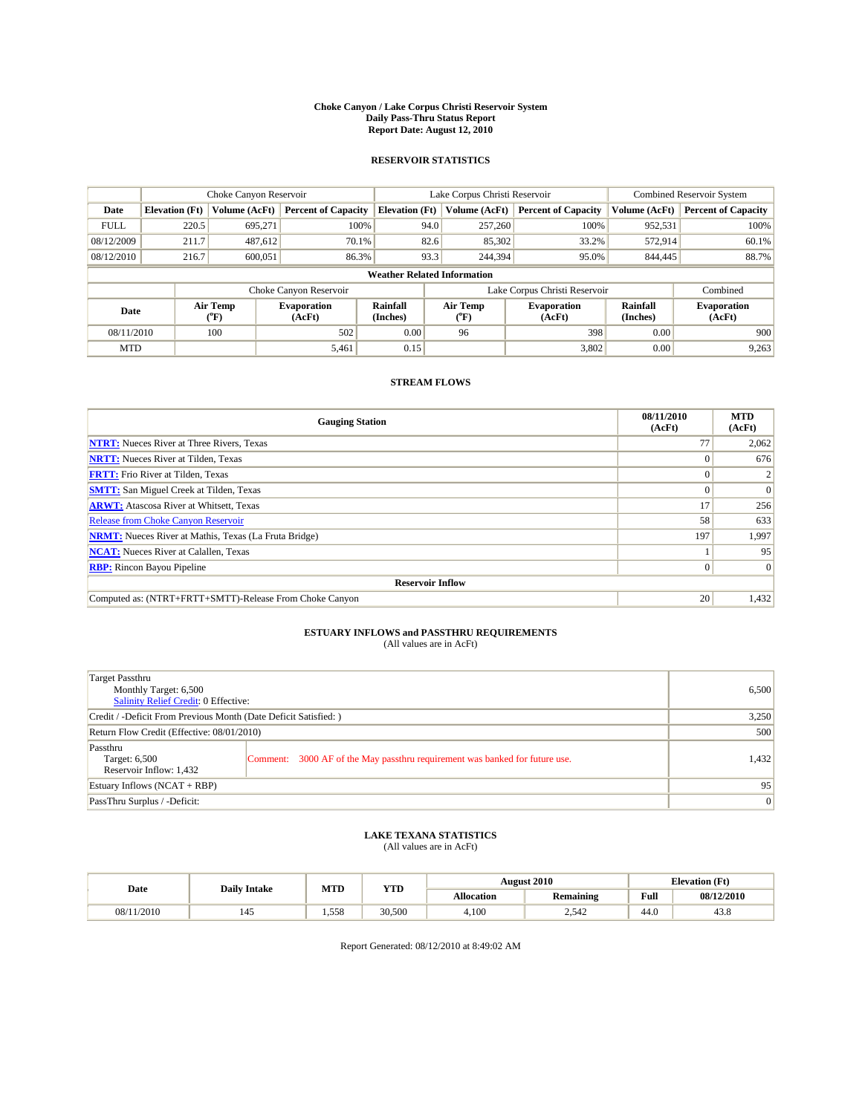#### **Choke Canyon / Lake Corpus Christi Reservoir System Daily Pass-Thru Status Report Report Date: August 12, 2010**

### **RESERVOIR STATISTICS**

|             | Choke Canyon Reservoir             |                                           |                              |                       | Lake Corpus Christi Reservoir | <b>Combined Reservoir System</b> |                      |                              |  |  |
|-------------|------------------------------------|-------------------------------------------|------------------------------|-----------------------|-------------------------------|----------------------------------|----------------------|------------------------------|--|--|
| Date        | <b>Elevation</b> (Ft)              | Volume (AcFt)                             | <b>Percent of Capacity</b>   | <b>Elevation</b> (Ft) | Volume (AcFt)                 | <b>Percent of Capacity</b>       | Volume (AcFt)        | <b>Percent of Capacity</b>   |  |  |
| <b>FULL</b> | 220.5                              | 695.271                                   | 100%                         | 94.0                  | 257,260                       | 100%                             | 952,531              | 100%                         |  |  |
| 08/12/2009  | 211.7                              | 487,612                                   | 70.1%                        | 82.6                  | 85,302                        | 33.2%                            | 572,914              | 60.1%                        |  |  |
| 08/12/2010  | 216.7                              | 600,051                                   | 86.3%                        | 93.3                  | 244,394                       | 95.0%                            | 844,445              | 88.7%                        |  |  |
|             | <b>Weather Related Information</b> |                                           |                              |                       |                               |                                  |                      |                              |  |  |
|             |                                    |                                           | Choke Canyon Reservoir       |                       |                               | Lake Corpus Christi Reservoir    |                      | Combined                     |  |  |
| Date        |                                    | Air Temp<br>$({}^{\mathrm{o}}\mathrm{F})$ | <b>Evaporation</b><br>(AcFt) | Rainfall<br>(Inches)  | Air Temp<br>(°F)              | <b>Evaporation</b><br>(AcFt)     | Rainfall<br>(Inches) | <b>Evaporation</b><br>(AcFt) |  |  |
| 08/11/2010  |                                    | 100                                       | 502                          | 0.00                  | 96                            | 398                              | 0.00                 | 900                          |  |  |
| <b>MTD</b>  |                                    |                                           | 5,461                        | 0.15                  |                               | 3,802                            | 0.00                 | 9,263                        |  |  |

## **STREAM FLOWS**

| <b>Gauging Station</b>                                       | 08/11/2010<br>(AcFt) | <b>MTD</b><br>(AcFt) |
|--------------------------------------------------------------|----------------------|----------------------|
| <b>NTRT:</b> Nueces River at Three Rivers, Texas             | 77                   | 2,062                |
| <b>NRTT:</b> Nueces River at Tilden, Texas                   |                      | 676                  |
| <b>FRTT:</b> Frio River at Tilden, Texas                     |                      |                      |
| <b>SMTT:</b> San Miguel Creek at Tilden, Texas               |                      | $\Omega$             |
| <b>ARWT:</b> Atascosa River at Whitsett, Texas               | 17                   | 256                  |
| <b>Release from Choke Canyon Reservoir</b>                   | 58                   | 633                  |
| <b>NRMT:</b> Nueces River at Mathis, Texas (La Fruta Bridge) | 197                  | 1,997                |
| <b>NCAT:</b> Nueces River at Calallen, Texas                 |                      | 95                   |
| <b>RBP:</b> Rincon Bayou Pipeline                            | $\overline{0}$       | $\Omega$             |
| <b>Reservoir Inflow</b>                                      |                      |                      |
| Computed as: (NTRT+FRTT+SMTT)-Release From Choke Canyon      | 20                   | 1,432                |

# **ESTUARY INFLOWS and PASSTHRU REQUIREMENTS**<br>(All values are in AcFt)

| Target Passthru<br>Monthly Target: 6,500<br>Salinity Relief Credit: 0 Effective: | 6,500                                                                       |       |
|----------------------------------------------------------------------------------|-----------------------------------------------------------------------------|-------|
| Credit / -Deficit From Previous Month (Date Deficit Satisfied: )                 | 3,250                                                                       |       |
| Return Flow Credit (Effective: 08/01/2010)                                       | 500                                                                         |       |
| Passthru<br>Target: 6,500<br>Reservoir Inflow: 1,432                             | Comment: 3000 AF of the May passthru requirement was banked for future use. | 1,432 |
| Estuary Inflows (NCAT + RBP)                                                     |                                                                             | 95    |
| PassThru Surplus / -Deficit:                                                     | 0                                                                           |       |

## **LAKE TEXANA STATISTICS** (All values are in AcFt)

|            | <b>Daily Intake</b> |       | MTD<br><b>YTD</b> |            | <b>August 2010</b> | <b>Elevation</b> (Ft)                              |            |  |
|------------|---------------------|-------|-------------------|------------|--------------------|----------------------------------------------------|------------|--|
| Date       |                     |       |                   | Allocation | Remaining          | <b>Full</b><br>the contract of the contract of the | 08/12/2010 |  |
| 08/11/2010 | 145                 | 1.558 | 30,500            | 4,100      | 2.542              | 44.0                                               | 43.8       |  |

Report Generated: 08/12/2010 at 8:49:02 AM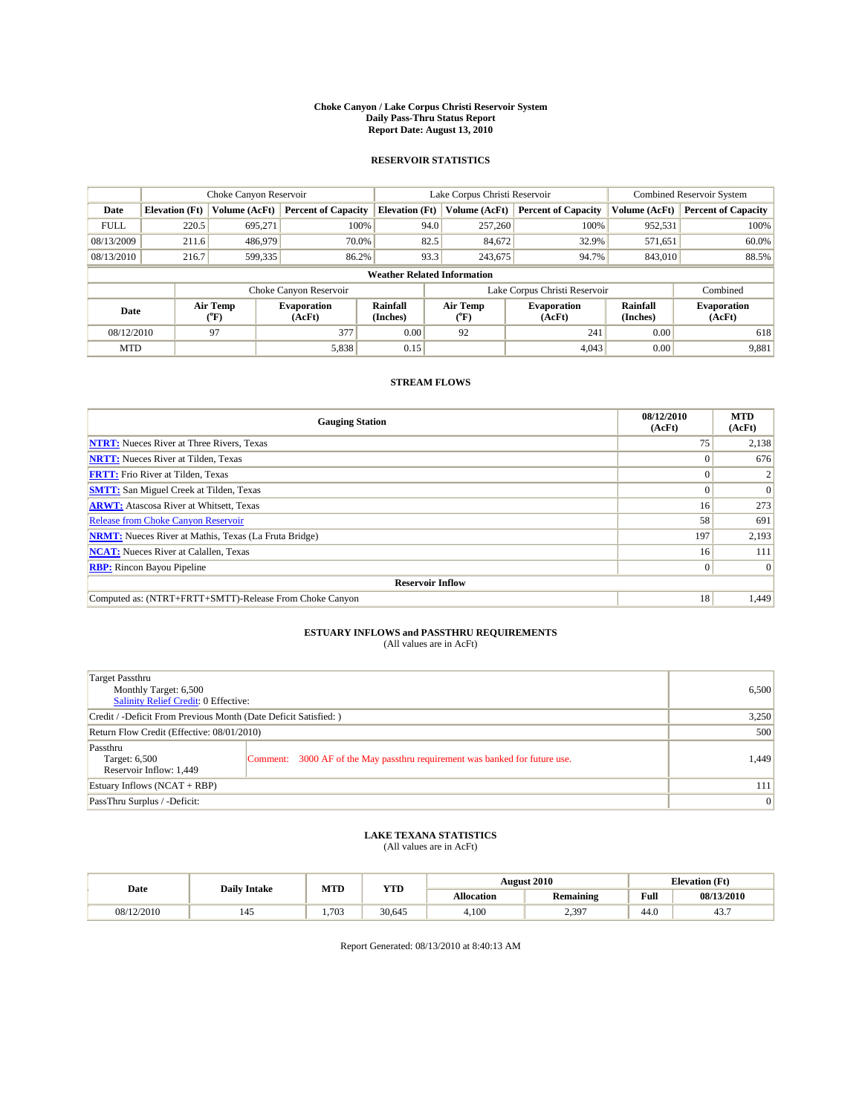#### **Choke Canyon / Lake Corpus Christi Reservoir System Daily Pass-Thru Status Report Report Date: August 13, 2010**

### **RESERVOIR STATISTICS**

|             | Choke Canyon Reservoir             |                      |                              |                             | Lake Corpus Christi Reservoir | <b>Combined Reservoir System</b> |                      |                              |  |  |
|-------------|------------------------------------|----------------------|------------------------------|-----------------------------|-------------------------------|----------------------------------|----------------------|------------------------------|--|--|
| Date        | <b>Elevation</b> (Ft)              | <b>Volume (AcFt)</b> | <b>Percent of Capacity</b>   | <b>Elevation</b> (Ft)       | Volume (AcFt)                 | <b>Percent of Capacity</b>       | Volume (AcFt)        | <b>Percent of Capacity</b>   |  |  |
| <b>FULL</b> | 220.5                              | 695,271              | 100%                         | 94.0                        | 257,260                       | 100%                             | 952,531              | 100%                         |  |  |
| 08/13/2009  | 211.6                              | 486,979              | 70.0%                        | 82.5                        | 84,672                        | 32.9%                            | 571,651              | 60.0%                        |  |  |
| 08/13/2010  | 216.7                              | 599,335              | 86.2%                        | 93.3                        | 243,675                       | 94.7%                            | 843,010              | 88.5%                        |  |  |
|             | <b>Weather Related Information</b> |                      |                              |                             |                               |                                  |                      |                              |  |  |
|             |                                    |                      | Choke Canyon Reservoir       |                             |                               | Lake Corpus Christi Reservoir    |                      | Combined                     |  |  |
| Date        |                                    | Air Temp<br>(°F)     | <b>Evaporation</b><br>(AcFt) | <b>Rainfall</b><br>(Inches) | Air Temp<br>(°F)              | <b>Evaporation</b><br>(AcFt)     | Rainfall<br>(Inches) | <b>Evaporation</b><br>(AcFt) |  |  |
| 08/12/2010  |                                    | 97                   | 377                          | 0.00                        | 92                            | 241                              | 0.00                 | 618                          |  |  |
| <b>MTD</b>  |                                    |                      | 5,838                        | 0.15                        |                               | 4,043                            | 0.00                 | 9,881                        |  |  |

## **STREAM FLOWS**

| <b>Gauging Station</b>                                       | 08/12/2010<br>(AcFt) | <b>MTD</b><br>(AcFt) |
|--------------------------------------------------------------|----------------------|----------------------|
| <b>NTRT:</b> Nueces River at Three Rivers, Texas             | 75                   | 2,138                |
| <b>NRTT:</b> Nueces River at Tilden, Texas                   |                      | 676                  |
| <b>FRTT:</b> Frio River at Tilden, Texas                     |                      |                      |
| <b>SMTT:</b> San Miguel Creek at Tilden, Texas               |                      | $\Omega$             |
| <b>ARWT:</b> Atascosa River at Whitsett, Texas               | 16 <sup>1</sup>      | 273                  |
| Release from Choke Canyon Reservoir                          | 58                   | 691                  |
| <b>NRMT:</b> Nueces River at Mathis, Texas (La Fruta Bridge) | 197                  | 2,193                |
| <b>NCAT:</b> Nueces River at Calallen, Texas                 | 16 <sup>1</sup>      | 111                  |
| <b>RBP:</b> Rincon Bayou Pipeline                            | $\overline{0}$       | $\Omega$             |
| <b>Reservoir Inflow</b>                                      |                      |                      |
| Computed as: (NTRT+FRTT+SMTT)-Release From Choke Canyon      | 18                   | 1,449                |

# **ESTUARY INFLOWS and PASSTHRU REQUIREMENTS**<br>(All values are in AcFt)

| Target Passthru<br>Monthly Target: 6,500<br>Salinity Relief Credit: 0 Effective: | 6,500                                                                       |       |
|----------------------------------------------------------------------------------|-----------------------------------------------------------------------------|-------|
| Credit / -Deficit From Previous Month (Date Deficit Satisfied: )                 | 3,250                                                                       |       |
| Return Flow Credit (Effective: 08/01/2010)                                       | 500                                                                         |       |
| Passthru<br>Target: 6,500<br>Reservoir Inflow: 1,449                             | Comment: 3000 AF of the May passthru requirement was banked for future use. | 1.449 |
| Estuary Inflows (NCAT + RBP)                                                     | 111                                                                         |       |
| PassThru Surplus / -Deficit:                                                     | 0                                                                           |       |

## **LAKE TEXANA STATISTICS** (All values are in AcFt)

|            | <b>Daily Intake</b>   | MTD   | <b>YTD</b> |                   | <b>August 2010</b> | <b>Elevation</b> (Ft) |            |
|------------|-----------------------|-------|------------|-------------------|--------------------|-----------------------|------------|
| Date       |                       |       |            | <b>Allocation</b> | Remaining          | Full                  | 08/13/2010 |
| 08/12/2010 | $\overline{a}$<br>145 | 1.703 | 30.645     | 4,100             | 2,397              | 44.0                  | 43.7       |

Report Generated: 08/13/2010 at 8:40:13 AM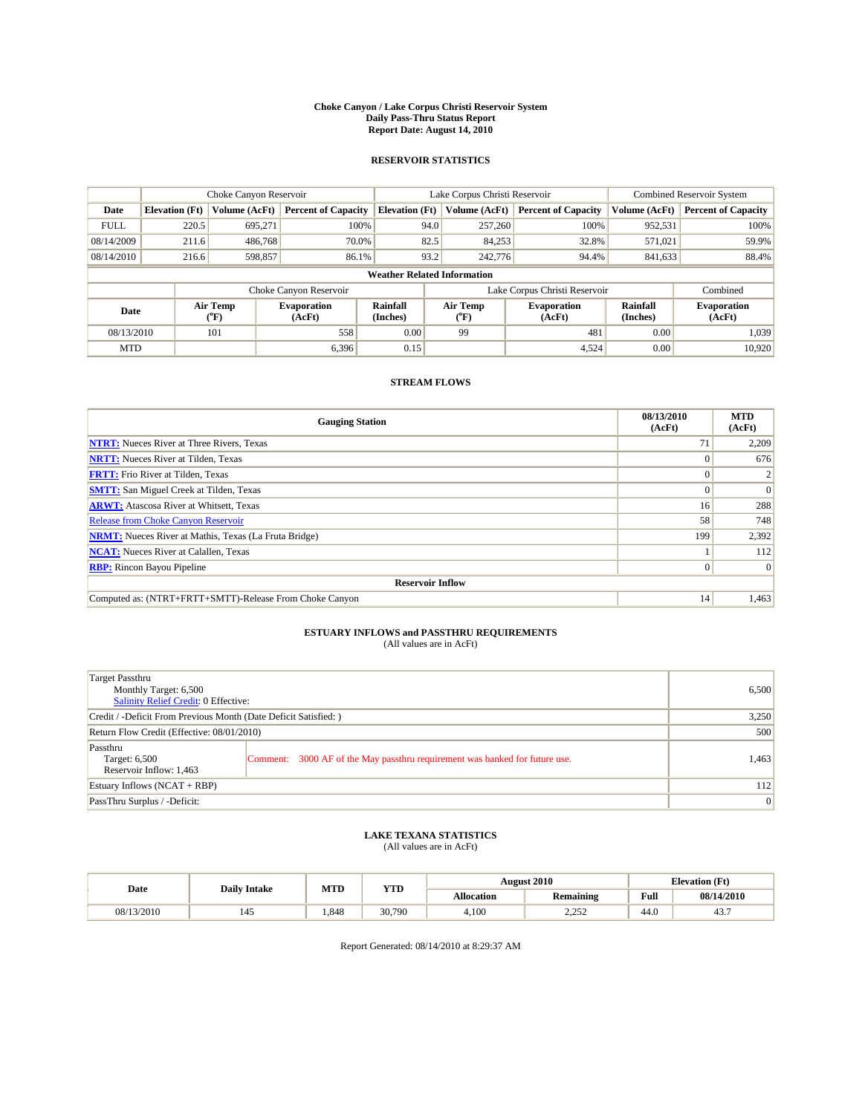#### **Choke Canyon / Lake Corpus Christi Reservoir System Daily Pass-Thru Status Report Report Date: August 14, 2010**

### **RESERVOIR STATISTICS**

|             | Choke Canyon Reservoir             |                  |                              |                       | Lake Corpus Christi Reservoir | <b>Combined Reservoir System</b> |                      |                              |  |  |
|-------------|------------------------------------|------------------|------------------------------|-----------------------|-------------------------------|----------------------------------|----------------------|------------------------------|--|--|
| Date        | <b>Elevation</b> (Ft)              | Volume (AcFt)    | <b>Percent of Capacity</b>   | <b>Elevation</b> (Ft) | Volume (AcFt)                 | <b>Percent of Capacity</b>       | Volume (AcFt)        | <b>Percent of Capacity</b>   |  |  |
| <b>FULL</b> | 220.5                              | 695.271          | 100%                         | 94.0                  | 257,260                       | 100%                             | 952,531              | 100%                         |  |  |
| 08/14/2009  | 211.6                              | 486,768          | 70.0%                        | 82.5                  | 84,253                        | 32.8%                            | 571,021              | 59.9%                        |  |  |
| 08/14/2010  | 216.6                              | 598,857          | 86.1%                        | 93.2                  | 242,776                       | 94.4%                            | 841,633              | 88.4%                        |  |  |
|             | <b>Weather Related Information</b> |                  |                              |                       |                               |                                  |                      |                              |  |  |
|             |                                    |                  | Choke Canyon Reservoir       |                       |                               | Lake Corpus Christi Reservoir    |                      | Combined                     |  |  |
| Date        |                                    | Air Temp<br>(°F) | <b>Evaporation</b><br>(AcFt) | Rainfall<br>(Inches)  | Air Temp<br>("F)              | <b>Evaporation</b><br>(AcFt)     | Rainfall<br>(Inches) | <b>Evaporation</b><br>(AcFt) |  |  |
| 08/13/2010  |                                    | 101              | 558                          | 0.00                  | 99                            | 481                              | 0.00                 | 1,039                        |  |  |
| <b>MTD</b>  |                                    |                  | 6.396                        | 0.15                  |                               | 4,524                            | 0.00                 | 10.920                       |  |  |

## **STREAM FLOWS**

| <b>Gauging Station</b>                                       | 08/13/2010<br>(AcFt) | <b>MTD</b><br>(AcFt) |
|--------------------------------------------------------------|----------------------|----------------------|
| <b>NTRT:</b> Nueces River at Three Rivers, Texas             | 71                   | 2,209                |
| <b>NRTT:</b> Nueces River at Tilden, Texas                   |                      | 676                  |
| <b>FRTT:</b> Frio River at Tilden, Texas                     |                      |                      |
| <b>SMTT:</b> San Miguel Creek at Tilden, Texas               |                      | $\Omega$             |
| <b>ARWT:</b> Atascosa River at Whitsett, Texas               | 16 <sup>1</sup>      | 288                  |
| <b>Release from Choke Canyon Reservoir</b>                   | 58                   | 748                  |
| <b>NRMT:</b> Nueces River at Mathis, Texas (La Fruta Bridge) | 199                  | 2,392                |
| <b>NCAT:</b> Nueces River at Calallen, Texas                 |                      | 112                  |
| <b>RBP:</b> Rincon Bayou Pipeline                            | $\overline{0}$       | $\Omega$             |
| <b>Reservoir Inflow</b>                                      |                      |                      |
| Computed as: (NTRT+FRTT+SMTT)-Release From Choke Canyon      | 14                   | 1,463                |

# **ESTUARY INFLOWS and PASSTHRU REQUIREMENTS**<br>(All values are in AcFt)

| Target Passthru<br>Monthly Target: 6,500<br>Salinity Relief Credit: 0 Effective: | 6,500                                                                       |       |
|----------------------------------------------------------------------------------|-----------------------------------------------------------------------------|-------|
| Credit / -Deficit From Previous Month (Date Deficit Satisfied: )                 | 3,250                                                                       |       |
| Return Flow Credit (Effective: 08/01/2010)                                       | 500                                                                         |       |
| Passthru<br>Target: 6,500<br>Reservoir Inflow: 1,463                             | Comment: 3000 AF of the May passthru requirement was banked for future use. | 1,463 |
| Estuary Inflows (NCAT + RBP)                                                     |                                                                             | 112   |
| PassThru Surplus / -Deficit:                                                     | 0                                                                           |       |

## **LAKE TEXANA STATISTICS** (All values are in AcFt)

|            |                     | MTD   | <b>YTD</b> |            | <b>August 2010</b>   |      | <b>Elevation</b> (Ft) |
|------------|---------------------|-------|------------|------------|----------------------|------|-----------------------|
| Date       | <b>Daily Intake</b> |       |            | Allocation | Remaining            | Full | 08/14/2010            |
| 08/13/2010 | 145                 | 1.848 | 30,790     | 4.100      | 2.25<br><u>_.___</u> | 44.0 | 43.7                  |

Report Generated: 08/14/2010 at 8:29:37 AM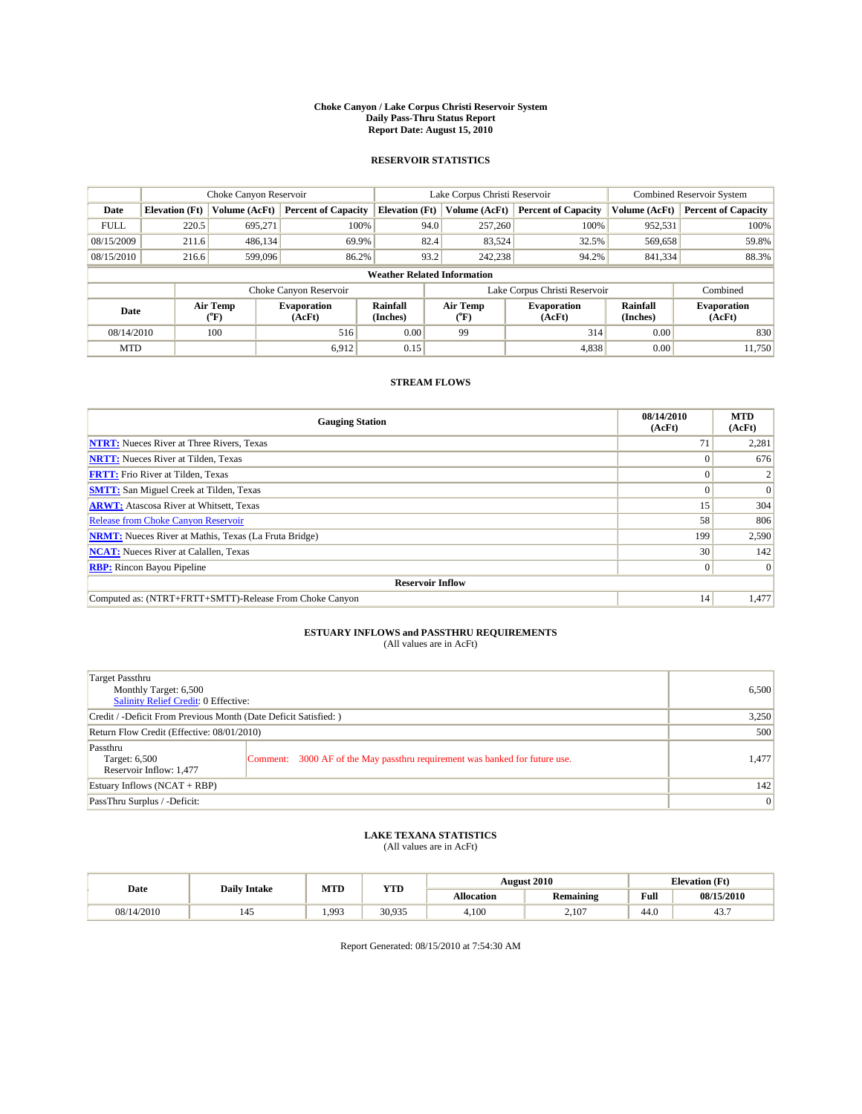#### **Choke Canyon / Lake Corpus Christi Reservoir System Daily Pass-Thru Status Report Report Date: August 15, 2010**

### **RESERVOIR STATISTICS**

|             | Choke Canyon Reservoir             |                             |                              |                       | Lake Corpus Christi Reservoir |                                  |                               |                      | <b>Combined Reservoir System</b> |  |
|-------------|------------------------------------|-----------------------------|------------------------------|-----------------------|-------------------------------|----------------------------------|-------------------------------|----------------------|----------------------------------|--|
| Date        | <b>Elevation</b> (Ft)              | Volume (AcFt)               | <b>Percent of Capacity</b>   | <b>Elevation</b> (Ft) |                               | Volume (AcFt)                    | <b>Percent of Capacity</b>    | Volume (AcFt)        | <b>Percent of Capacity</b>       |  |
| <b>FULL</b> | 220.5                              | 695,271                     | 100%                         |                       | 94.0                          | 257,260                          | 100%                          | 952,531              | 100%                             |  |
| 08/15/2009  | 211.6                              | 486,134                     | 69.9%                        |                       | 82.4                          | 83,524                           | 32.5%                         | 569,658              | 59.8%                            |  |
| 08/15/2010  | 216.6                              | 599,096                     | 86.2%                        |                       | 93.2                          | 242,238                          | 94.2%                         | 841,334              | 88.3%                            |  |
|             | <b>Weather Related Information</b> |                             |                              |                       |                               |                                  |                               |                      |                                  |  |
|             |                                    |                             | Choke Canyon Reservoir       |                       |                               |                                  | Lake Corpus Christi Reservoir |                      | Combined                         |  |
| Date        |                                    | Air Temp<br>${}^{\circ}$ F) | <b>Evaporation</b><br>(AcFt) | Rainfall<br>(Inches)  |                               | Air Temp<br>$^{\prime\prime}$ F) | <b>Evaporation</b><br>(AcFt)  | Rainfall<br>(Inches) | <b>Evaporation</b><br>(AcFt)     |  |
| 08/14/2010  |                                    | 100                         | 516                          | 0.00                  |                               | 99                               | 314                           | 0.00                 | 830                              |  |
| <b>MTD</b>  |                                    |                             | 6,912                        | 0.15                  |                               |                                  | 4,838                         | 0.00                 | 11.750                           |  |

## **STREAM FLOWS**

| <b>Gauging Station</b>                                       | 08/14/2010<br>(AcFt) | <b>MTD</b><br>(AcFt) |
|--------------------------------------------------------------|----------------------|----------------------|
| <b>NTRT:</b> Nueces River at Three Rivers, Texas             | 71                   | 2,281                |
| <b>NRTT:</b> Nueces River at Tilden, Texas                   |                      | 676                  |
| <b>FRTT:</b> Frio River at Tilden, Texas                     |                      |                      |
| <b>SMTT:</b> San Miguel Creek at Tilden, Texas               |                      | $\Omega$             |
| <b>ARWT:</b> Atascosa River at Whitsett, Texas               | 15 <sup>5</sup>      | 304                  |
| <b>Release from Choke Canyon Reservoir</b>                   | 58                   | 806                  |
| <b>NRMT:</b> Nueces River at Mathis, Texas (La Fruta Bridge) | 199                  | 2,590                |
| <b>NCAT:</b> Nueces River at Calallen, Texas                 | 30 <sup>1</sup>      | 142                  |
| <b>RBP:</b> Rincon Bayou Pipeline                            | $\overline{0}$       | $\Omega$             |
| <b>Reservoir Inflow</b>                                      |                      |                      |
| Computed as: (NTRT+FRTT+SMTT)-Release From Choke Canyon      | 14                   | 1,477                |

# **ESTUARY INFLOWS and PASSTHRU REQUIREMENTS**<br>(All values are in AcFt)

| Target Passthru<br>Monthly Target: 6,500<br>Salinity Relief Credit: 0 Effective: |                                                                             | 6,500 |
|----------------------------------------------------------------------------------|-----------------------------------------------------------------------------|-------|
| Credit / -Deficit From Previous Month (Date Deficit Satisfied: )                 | 3,250                                                                       |       |
| Return Flow Credit (Effective: 08/01/2010)                                       | 500                                                                         |       |
| Passthru<br>Target: 6,500<br>Reservoir Inflow: 1,477                             | Comment: 3000 AF of the May passthru requirement was banked for future use. | 1,477 |
| Estuary Inflows (NCAT + RBP)                                                     |                                                                             | 142   |
| PassThru Surplus / -Deficit:                                                     | 0                                                                           |       |

## **LAKE TEXANA STATISTICS** (All values are in AcFt)

|            | <b>Daily Intake</b>   | MTD   | <b>YTD</b> |                   | <b>August 2010</b> |      | <b>Elevation</b> (Ft) |
|------------|-----------------------|-------|------------|-------------------|--------------------|------|-----------------------|
| Date       |                       |       |            | <b>Allocation</b> | Remaining          | Full | 08/15/2010            |
| 08/14/2010 | $\overline{a}$<br>145 | 1.993 | 30.935     | 4,100             | 2.107              | 44.0 | 43.7                  |

Report Generated: 08/15/2010 at 7:54:30 AM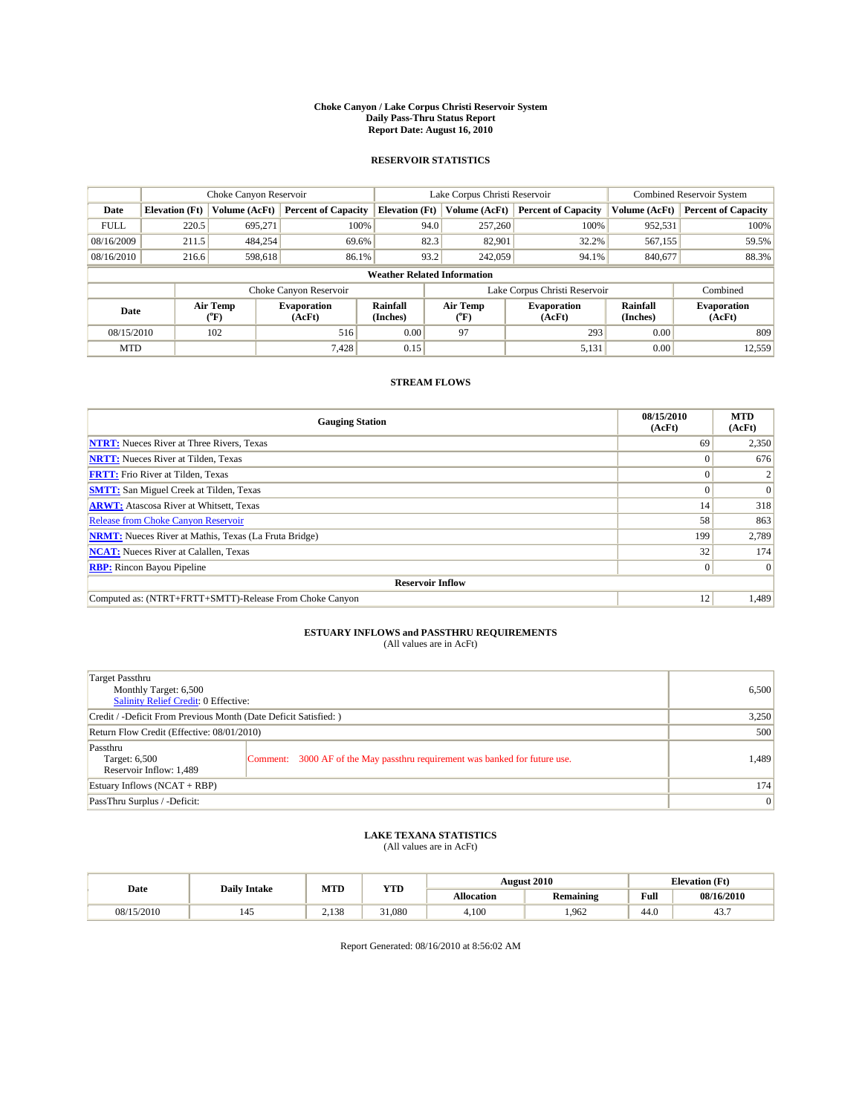#### **Choke Canyon / Lake Corpus Christi Reservoir System Daily Pass-Thru Status Report Report Date: August 16, 2010**

### **RESERVOIR STATISTICS**

|             | Choke Canyon Reservoir             |                  |                              |                       | Lake Corpus Christi Reservoir | <b>Combined Reservoir System</b> |                      |                              |  |  |
|-------------|------------------------------------|------------------|------------------------------|-----------------------|-------------------------------|----------------------------------|----------------------|------------------------------|--|--|
| Date        | <b>Elevation</b> (Ft)              | Volume (AcFt)    | <b>Percent of Capacity</b>   | <b>Elevation</b> (Ft) | Volume (AcFt)                 | <b>Percent of Capacity</b>       | Volume (AcFt)        | <b>Percent of Capacity</b>   |  |  |
| <b>FULL</b> | 220.5                              | 695.271          | 100%                         | 94.0                  | 257,260                       | 100%                             | 952,531              | 100%                         |  |  |
| 08/16/2009  | 211.5                              | 484,254          | 69.6%                        | 82.3                  | 82,901                        | 32.2%                            | 567,155              | 59.5%                        |  |  |
| 08/16/2010  | 216.6                              | 598,618          | 86.1%                        | 93.2                  | 242,059                       | 94.1%                            | 840,677              | 88.3%                        |  |  |
|             | <b>Weather Related Information</b> |                  |                              |                       |                               |                                  |                      |                              |  |  |
|             |                                    |                  | Choke Canyon Reservoir       |                       |                               | Lake Corpus Christi Reservoir    |                      | Combined                     |  |  |
| Date        |                                    | Air Temp<br>(°F) | <b>Evaporation</b><br>(AcFt) | Rainfall<br>(Inches)  | Air Temp<br>("F)              | <b>Evaporation</b><br>(AcFt)     | Rainfall<br>(Inches) | <b>Evaporation</b><br>(AcFt) |  |  |
| 08/15/2010  |                                    | 102              | 516                          | 0.00                  | 97                            | 293                              | 0.00                 | 809                          |  |  |
| <b>MTD</b>  |                                    |                  | 7,428                        | 0.15                  |                               | 5,131                            | 0.00                 | 12,559                       |  |  |

## **STREAM FLOWS**

| <b>Gauging Station</b>                                       | 08/15/2010<br>(AcFt) | <b>MTD</b><br>(AcFt) |
|--------------------------------------------------------------|----------------------|----------------------|
| <b>NTRT:</b> Nueces River at Three Rivers, Texas             | 69                   | 2,350                |
| <b>NRTT:</b> Nueces River at Tilden, Texas                   | $\Omega$             | 676                  |
| <b>FRTT:</b> Frio River at Tilden, Texas                     |                      |                      |
| <b>SMTT:</b> San Miguel Creek at Tilden, Texas               |                      | $\Omega$             |
| <b>ARWT:</b> Atascosa River at Whitsett, Texas               | 14                   | 318                  |
| Release from Choke Canyon Reservoir                          | 58                   | 863                  |
| <b>NRMT:</b> Nueces River at Mathis, Texas (La Fruta Bridge) | 199                  | 2,789                |
| <b>NCAT:</b> Nueces River at Calallen, Texas                 | 32                   | 174                  |
| <b>RBP:</b> Rincon Bayou Pipeline                            | $\overline{0}$       | $\Omega$             |
| <b>Reservoir Inflow</b>                                      |                      |                      |
| Computed as: (NTRT+FRTT+SMTT)-Release From Choke Canyon      | 12                   | 1,489                |

# **ESTUARY INFLOWS and PASSTHRU REQUIREMENTS**<br>(All values are in AcFt)

| Target Passthru<br>Monthly Target: 6,500<br>Salinity Relief Credit: 0 Effective: | 6,500                                                                       |       |
|----------------------------------------------------------------------------------|-----------------------------------------------------------------------------|-------|
| Credit / -Deficit From Previous Month (Date Deficit Satisfied: )                 | 3,250                                                                       |       |
| Return Flow Credit (Effective: 08/01/2010)                                       | 500                                                                         |       |
| Passthru<br>Target: 6,500<br>Reservoir Inflow: 1,489                             | Comment: 3000 AF of the May passthru requirement was banked for future use. | 1,489 |
| Estuary Inflows (NCAT + RBP)                                                     |                                                                             | 174   |
| PassThru Surplus / -Deficit:                                                     | 0                                                                           |       |

## **LAKE TEXANA STATISTICS** (All values are in AcFt)

|            | <b>Daily Intake</b>             | MTD   | <b>YTD</b> |                   | <b>August 2010</b> |                                             | <b>Elevation</b> (Ft) |
|------------|---------------------------------|-------|------------|-------------------|--------------------|---------------------------------------------|-----------------------|
| Date       |                                 |       |            | <b>Allocation</b> | <b>Remaining</b>   | Full<br>the contract of the contract of the | 08/16/2010            |
| 08/15/2010 | $\overline{\phantom{0}}$<br>145 | 2.138 | 31,080     | 4.100             | .962               | 44.0                                        | 45.                   |

Report Generated: 08/16/2010 at 8:56:02 AM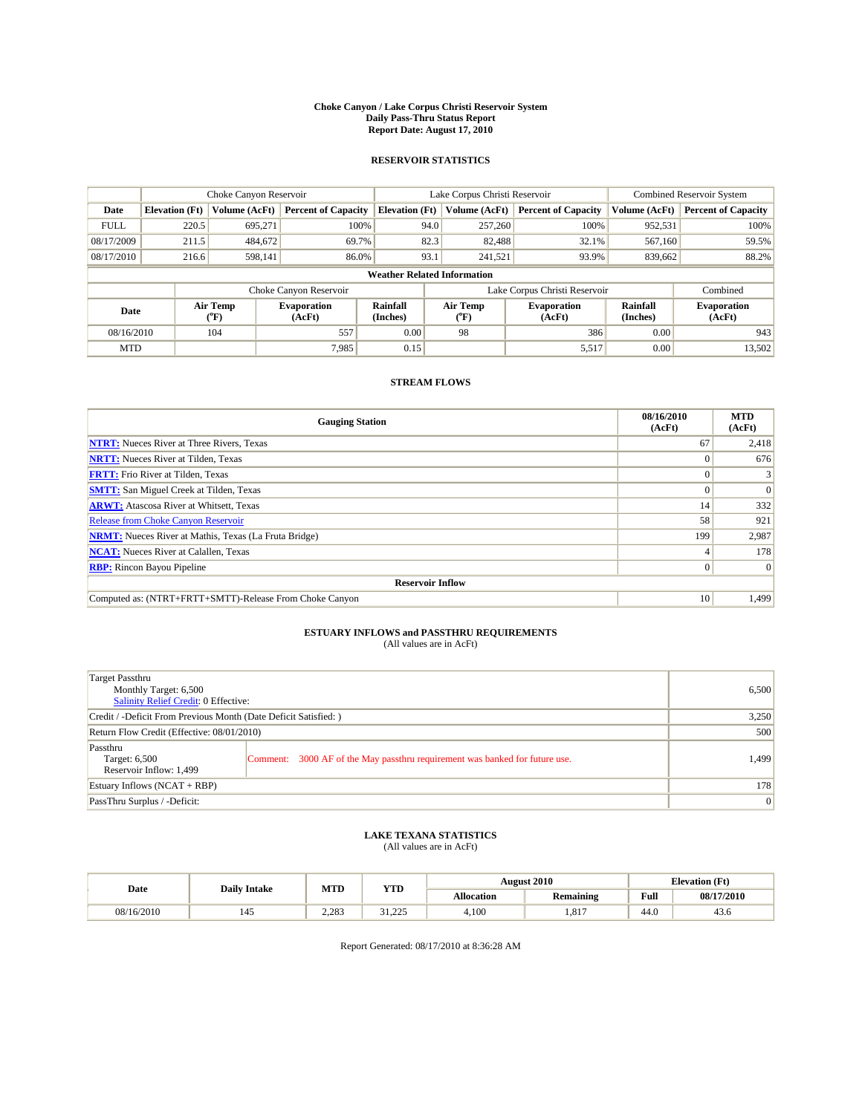#### **Choke Canyon / Lake Corpus Christi Reservoir System Daily Pass-Thru Status Report Report Date: August 17, 2010**

### **RESERVOIR STATISTICS**

|             | Choke Canyon Reservoir             |                                |                              |                       | Lake Corpus Christi Reservoir | <b>Combined Reservoir System</b> |                      |                              |  |  |
|-------------|------------------------------------|--------------------------------|------------------------------|-----------------------|-------------------------------|----------------------------------|----------------------|------------------------------|--|--|
| Date        | <b>Elevation</b> (Ft)              | Volume (AcFt)                  | <b>Percent of Capacity</b>   | <b>Elevation</b> (Ft) | Volume (AcFt)                 | <b>Percent of Capacity</b>       | Volume (AcFt)        | <b>Percent of Capacity</b>   |  |  |
| <b>FULL</b> | 220.5                              | 695.271                        | 100%                         | 94.0                  | 257,260                       | 100%                             | 952,531              | 100%                         |  |  |
| 08/17/2009  | 211.5                              | 484,672                        | 69.7%                        | 82.3                  | 82,488                        | 32.1%                            | 567,160              | 59.5%                        |  |  |
| 08/17/2010  | 216.6                              | 598,141                        | 86.0%                        | 93.1                  | 241,521                       | 93.9%                            | 839,662              | 88.2%                        |  |  |
|             | <b>Weather Related Information</b> |                                |                              |                       |                               |                                  |                      |                              |  |  |
|             |                                    |                                | Choke Canyon Reservoir       |                       |                               | Lake Corpus Christi Reservoir    |                      | Combined                     |  |  |
| Date        |                                    | Air Temp<br>$({}^o\mathrm{F})$ | <b>Evaporation</b><br>(AcFt) | Rainfall<br>(Inches)  | Air Temp<br>(°F)              | <b>Evaporation</b><br>(AcFt)     | Rainfall<br>(Inches) | <b>Evaporation</b><br>(AcFt) |  |  |
| 08/16/2010  |                                    | 104                            | 557                          | 0.00                  | 98                            | 386                              | 0.00                 | 943                          |  |  |
| <b>MTD</b>  |                                    |                                | 7.985                        | 0.15                  |                               | 5,517                            | 0.00                 | 13,502                       |  |  |

## **STREAM FLOWS**

| <b>Gauging Station</b>                                       | 08/16/2010<br>(AcFt) | <b>MTD</b><br>(AcFt) |
|--------------------------------------------------------------|----------------------|----------------------|
| <b>NTRT:</b> Nueces River at Three Rivers, Texas             | 67                   | 2,418                |
| <b>NRTT:</b> Nueces River at Tilden, Texas                   |                      | 676                  |
| <b>FRTT:</b> Frio River at Tilden, Texas                     |                      |                      |
| <b>SMTT:</b> San Miguel Creek at Tilden, Texas               |                      | $\Omega$             |
| <b>ARWT:</b> Atascosa River at Whitsett, Texas               | 14                   | 332                  |
| <b>Release from Choke Canyon Reservoir</b>                   | 58                   | 921                  |
| <b>NRMT:</b> Nueces River at Mathis, Texas (La Fruta Bridge) | 199                  | 2,987                |
| <b>NCAT:</b> Nueces River at Calallen, Texas                 |                      | 178                  |
| <b>RBP:</b> Rincon Bayou Pipeline                            | $\Omega$             | $\Omega$             |
| <b>Reservoir Inflow</b>                                      |                      |                      |
| Computed as: (NTRT+FRTT+SMTT)-Release From Choke Canyon      | 10                   | 1,499                |

# **ESTUARY INFLOWS and PASSTHRU REQUIREMENTS**<br>(All values are in AcFt)

| Target Passthru<br>Monthly Target: 6,500<br>Salinity Relief Credit: 0 Effective: |                                                                             | 6,500 |
|----------------------------------------------------------------------------------|-----------------------------------------------------------------------------|-------|
| Credit / -Deficit From Previous Month (Date Deficit Satisfied: )                 | 3,250                                                                       |       |
| Return Flow Credit (Effective: 08/01/2010)                                       | 500                                                                         |       |
| Passthru<br>Target: 6,500<br>Reservoir Inflow: 1,499                             | Comment: 3000 AF of the May passthru requirement was banked for future use. | 1.499 |
| Estuary Inflows (NCAT + RBP)                                                     |                                                                             | 178   |
| PassThru Surplus / -Deficit:                                                     | 0                                                                           |       |

## **LAKE TEXANA STATISTICS** (All values are in AcFt)

|            | <b>Daily Intake</b>   | MTD   | <b>YTD</b>       | <b>August 2010</b> |                  |      | <b>Elevation</b> (Ft) |
|------------|-----------------------|-------|------------------|--------------------|------------------|------|-----------------------|
| Date       |                       |       |                  | <b>Allocation</b>  | <b>Remaining</b> | Full | 08/17/2010            |
| 08/16/2010 | $\overline{a}$<br>145 | 2.283 | 225<br>ر ے ۔ ۔ د | 4,100              | . 817            | 44.0 | 43.6                  |

Report Generated: 08/17/2010 at 8:36:28 AM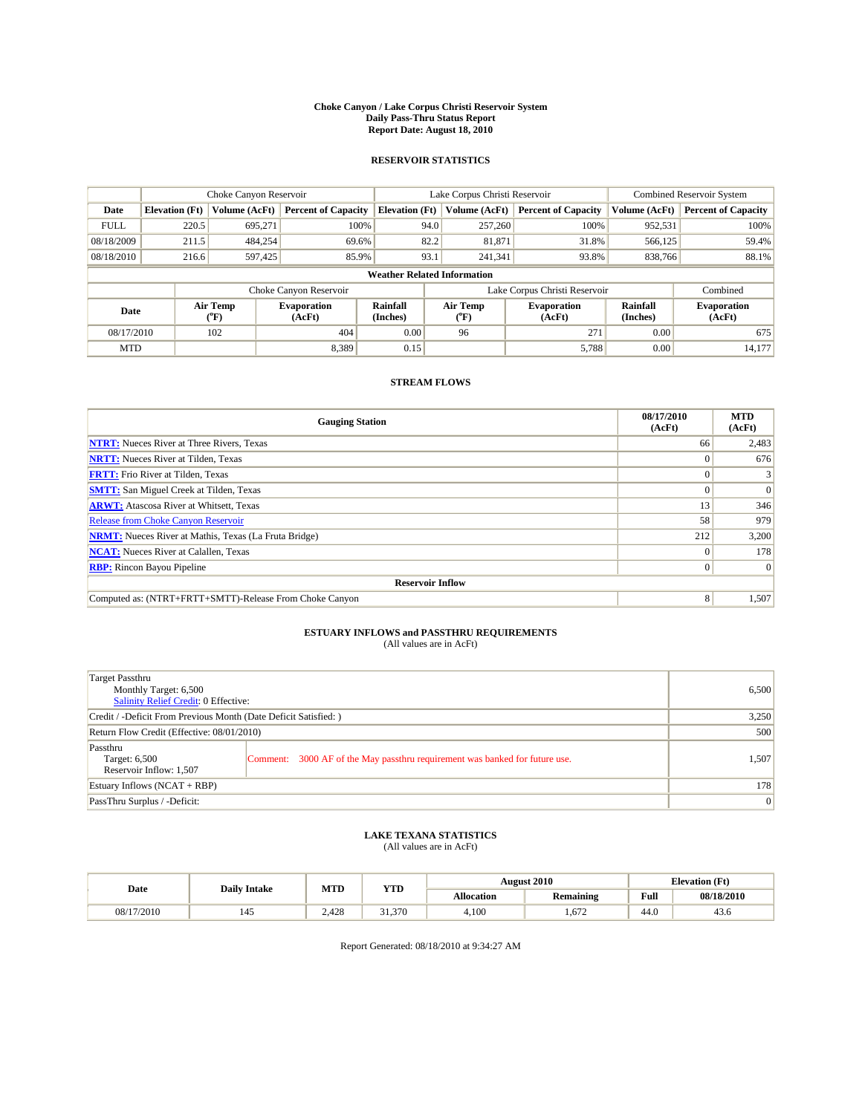#### **Choke Canyon / Lake Corpus Christi Reservoir System Daily Pass-Thru Status Report Report Date: August 18, 2010**

### **RESERVOIR STATISTICS**

|             | Choke Canyon Reservoir             |                                |                              |                       | Lake Corpus Christi Reservoir  | <b>Combined Reservoir System</b> |                      |                              |  |
|-------------|------------------------------------|--------------------------------|------------------------------|-----------------------|--------------------------------|----------------------------------|----------------------|------------------------------|--|
| Date        | <b>Elevation</b> (Ft)              | Volume (AcFt)                  | <b>Percent of Capacity</b>   | <b>Elevation</b> (Ft) | Volume (AcFt)                  | <b>Percent of Capacity</b>       | Volume (AcFt)        | <b>Percent of Capacity</b>   |  |
| <b>FULL</b> | 220.5                              | 695.271                        | 100%                         | 94.0                  | 257,260                        | 100%                             | 952,531              | 100%                         |  |
| 08/18/2009  | 211.5                              | 484,254                        | 69.6%                        | 82.2                  | 81,871                         | 31.8%                            | 566,125              | 59.4%                        |  |
| 08/18/2010  | 216.6                              | 597,425                        | 85.9%                        | 93.1                  | 241,341                        | 93.8%                            | 838,766              | 88.1%                        |  |
|             | <b>Weather Related Information</b> |                                |                              |                       |                                |                                  |                      |                              |  |
|             |                                    |                                | Choke Canyon Reservoir       |                       |                                | Lake Corpus Christi Reservoir    |                      | Combined                     |  |
| Date        |                                    | Air Temp<br>$({}^o\mathrm{F})$ | <b>Evaporation</b><br>(AcFt) | Rainfall<br>(Inches)  | Air Temp<br>$({}^o\mathrm{F})$ | <b>Evaporation</b><br>(AcFt)     | Rainfall<br>(Inches) | <b>Evaporation</b><br>(AcFt) |  |
| 08/17/2010  |                                    | 102                            | 404                          | 0.00                  | 96                             | 271                              | 0.00                 | 675                          |  |
| <b>MTD</b>  |                                    |                                | 8.389                        | 0.15                  |                                | 5,788                            | 0.00                 | 14.177                       |  |

## **STREAM FLOWS**

| <b>Gauging Station</b>                                       | 08/17/2010<br>(AcFt) | <b>MTD</b><br>(AcFt) |
|--------------------------------------------------------------|----------------------|----------------------|
| <b>NTRT:</b> Nueces River at Three Rivers, Texas             | 66                   | 2,483                |
| <b>NRTT:</b> Nueces River at Tilden, Texas                   | $\Omega$             | 676                  |
| <b>FRTT:</b> Frio River at Tilden, Texas                     |                      |                      |
| <b>SMTT:</b> San Miguel Creek at Tilden, Texas               |                      | $\Omega$             |
| <b>ARWT:</b> Atascosa River at Whitsett, Texas               | 13                   | 346                  |
| <b>Release from Choke Canyon Reservoir</b>                   | 58                   | 979                  |
| <b>NRMT:</b> Nueces River at Mathis, Texas (La Fruta Bridge) | 212                  | 3,200                |
| <b>NCAT:</b> Nueces River at Calallen, Texas                 | $\Omega$             | 178                  |
| <b>RBP:</b> Rincon Bayou Pipeline                            | $\overline{0}$       | $\Omega$             |
| <b>Reservoir Inflow</b>                                      |                      |                      |
| Computed as: (NTRT+FRTT+SMTT)-Release From Choke Canyon      | 8                    | 1,507                |

# **ESTUARY INFLOWS and PASSTHRU REQUIREMENTS**<br>(All values are in AcFt)

| Target Passthru<br>Monthly Target: 6,500<br>Salinity Relief Credit: 0 Effective: | 6,500                                                                       |       |
|----------------------------------------------------------------------------------|-----------------------------------------------------------------------------|-------|
| Credit / -Deficit From Previous Month (Date Deficit Satisfied: )                 | 3,250                                                                       |       |
| Return Flow Credit (Effective: 08/01/2010)                                       | 500                                                                         |       |
| Passthru<br>Target: 6,500<br>Reservoir Inflow: 1,507                             | Comment: 3000 AF of the May passthru requirement was banked for future use. | 1,507 |
| Estuary Inflows (NCAT + RBP)                                                     |                                                                             | 178   |
| PassThru Surplus / -Deficit:                                                     | 0                                                                           |       |

## **LAKE TEXANA STATISTICS** (All values are in AcFt)

|            | <b>Daily Intake</b>             | MTD   | <b>YTD</b> | <b>August 2010</b> |                  |      | <b>Elevation</b> (Ft) |
|------------|---------------------------------|-------|------------|--------------------|------------------|------|-----------------------|
| Date       |                                 |       |            | <b>Allocation</b>  | <b>Remaining</b> | Full | 08/18/2010            |
| 08/17/2010 | $\overline{\phantom{a}}$<br>145 | 2.428 | 31.370     | 4,100              | .672             | 44.0 | 43.6                  |

Report Generated: 08/18/2010 at 9:34:27 AM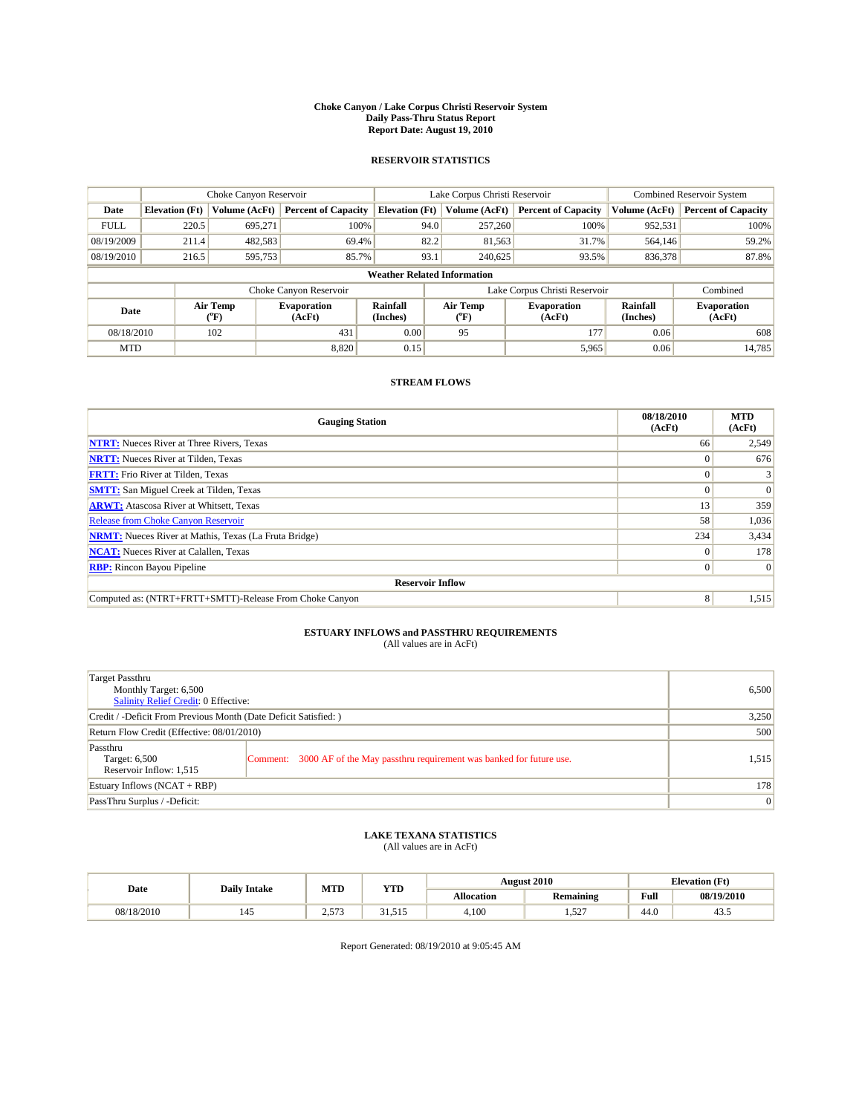#### **Choke Canyon / Lake Corpus Christi Reservoir System Daily Pass-Thru Status Report Report Date: August 19, 2010**

### **RESERVOIR STATISTICS**

|             | Choke Canyon Reservoir             |                                           |                              |                             | Lake Corpus Christi Reservoir | <b>Combined Reservoir System</b> |                             |                              |  |  |
|-------------|------------------------------------|-------------------------------------------|------------------------------|-----------------------------|-------------------------------|----------------------------------|-----------------------------|------------------------------|--|--|
| Date        | <b>Elevation</b> (Ft)              | <b>Volume (AcFt)</b>                      | <b>Percent of Capacity</b>   | <b>Elevation</b> (Ft)       | Volume (AcFt)                 | <b>Percent of Capacity</b>       | Volume (AcFt)               | <b>Percent of Capacity</b>   |  |  |
| <b>FULL</b> | 220.5                              | 695,271                                   | 100%                         | 94.0                        | 257,260                       | 100%                             | 952,531                     | 100%                         |  |  |
| 08/19/2009  | 211.4                              | 482,583                                   | 69.4%                        | 82.2                        | 81,563                        | 31.7%                            | 564,146                     | 59.2%                        |  |  |
| 08/19/2010  | 216.5                              | 595,753                                   | 85.7%                        | 93.1                        | 240,625                       | 93.5%                            | 836,378                     | 87.8%                        |  |  |
|             | <b>Weather Related Information</b> |                                           |                              |                             |                               |                                  |                             |                              |  |  |
|             |                                    |                                           | Choke Canyon Reservoir       |                             |                               | Lake Corpus Christi Reservoir    |                             | Combined                     |  |  |
| Date        |                                    | Air Temp<br>$({}^{\mathrm{o}}\mathrm{F})$ | <b>Evaporation</b><br>(AcFt) | <b>Rainfall</b><br>(Inches) | Air Temp<br>(°F)              | <b>Evaporation</b><br>(AcFt)     | <b>Rainfall</b><br>(Inches) | <b>Evaporation</b><br>(AcFt) |  |  |
| 08/18/2010  |                                    | 102                                       | 431                          | 0.00                        | 95                            | 177                              | 0.06                        | 608                          |  |  |
| <b>MTD</b>  |                                    |                                           | 8.820                        | 0.15                        |                               | 5,965                            | 0.06                        | 14,785                       |  |  |

## **STREAM FLOWS**

| <b>Gauging Station</b>                                       | 08/18/2010<br>(AcFt) | <b>MTD</b><br>(AcFt) |
|--------------------------------------------------------------|----------------------|----------------------|
| <b>NTRT:</b> Nueces River at Three Rivers, Texas             | 66                   | 2,549                |
| <b>NRTT:</b> Nueces River at Tilden, Texas                   |                      | 676                  |
| <b>FRTT:</b> Frio River at Tilden, Texas                     |                      |                      |
| <b>SMTT:</b> San Miguel Creek at Tilden, Texas               |                      | $\Omega$             |
| <b>ARWT:</b> Atascosa River at Whitsett, Texas               | 13                   | 359                  |
| Release from Choke Canyon Reservoir                          | 58                   | 1,036                |
| <b>NRMT:</b> Nueces River at Mathis, Texas (La Fruta Bridge) | 234                  | 3,434                |
| <b>NCAT:</b> Nueces River at Calallen, Texas                 | $\Omega$             | 178                  |
| <b>RBP:</b> Rincon Bayou Pipeline                            | $\Omega$             | $\Omega$             |
| <b>Reservoir Inflow</b>                                      |                      |                      |
| Computed as: (NTRT+FRTT+SMTT)-Release From Choke Canyon      | 8                    | 1,515                |

# **ESTUARY INFLOWS and PASSTHRU REQUIREMENTS**<br>(All values are in AcFt)

| Target Passthru<br>Monthly Target: 6,500<br>Salinity Relief Credit: 0 Effective: | 6,500                                                                       |       |
|----------------------------------------------------------------------------------|-----------------------------------------------------------------------------|-------|
| Credit / -Deficit From Previous Month (Date Deficit Satisfied: )                 | 3,250                                                                       |       |
| Return Flow Credit (Effective: 08/01/2010)                                       | 500                                                                         |       |
| Passthru<br>Target: 6,500<br>Reservoir Inflow: 1,515                             | Comment: 3000 AF of the May passthru requirement was banked for future use. | 1,515 |
| Estuary Inflows (NCAT + RBP)                                                     |                                                                             | 178   |
| PassThru Surplus / -Deficit:                                                     | 0                                                                           |       |

## **LAKE TEXANA STATISTICS** (All values are in AcFt)

|            | <b>Daily Intake</b>             | MTD         | <b>YTD</b>      | <b>August 2010</b><br><b>Elevation</b> (Ft) |                      |             |            |
|------------|---------------------------------|-------------|-----------------|---------------------------------------------|----------------------|-------------|------------|
| Date       |                                 |             |                 | <b>Allocation</b>                           | <b>Remaining</b>     | <b>Full</b> | 08/19/2010 |
| 08/18/2010 | $\overline{\phantom{a}}$<br>145 | 57'<br>د. ۷ | 515<br><u>.</u> | 4,100                                       | $\epsilon$<br>ے د. ا | 44.0        | 43.5       |

Report Generated: 08/19/2010 at 9:05:45 AM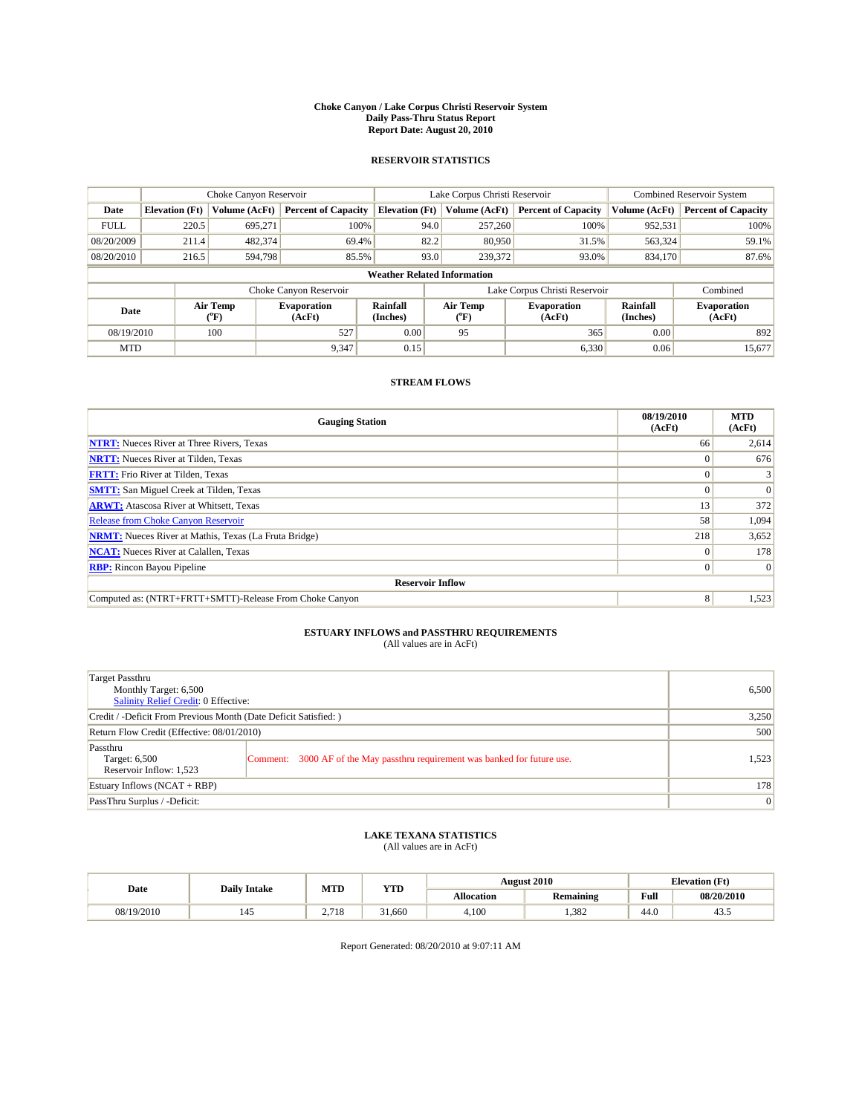#### **Choke Canyon / Lake Corpus Christi Reservoir System Daily Pass-Thru Status Report Report Date: August 20, 2010**

### **RESERVOIR STATISTICS**

|             | Choke Canyon Reservoir             |                                           |                              |                       | Lake Corpus Christi Reservoir | <b>Combined Reservoir System</b> |                      |                              |  |  |
|-------------|------------------------------------|-------------------------------------------|------------------------------|-----------------------|-------------------------------|----------------------------------|----------------------|------------------------------|--|--|
| Date        | <b>Elevation</b> (Ft)              | Volume (AcFt)                             | <b>Percent of Capacity</b>   | <b>Elevation</b> (Ft) | Volume (AcFt)                 | <b>Percent of Capacity</b>       | Volume (AcFt)        | <b>Percent of Capacity</b>   |  |  |
| <b>FULL</b> | 220.5                              | 695.271                                   | 100%                         | 94.0                  | 257,260                       | 100%                             | 952,531              | 100%                         |  |  |
| 08/20/2009  | 211.4                              | 482.374                                   | 69.4%                        | 82.2                  | 80,950                        | 31.5%                            | 563,324              | 59.1%                        |  |  |
| 08/20/2010  | 216.5                              | 594,798                                   | 85.5%                        | 93.0                  | 239,372                       | 93.0%                            | 834,170              | 87.6%                        |  |  |
|             | <b>Weather Related Information</b> |                                           |                              |                       |                               |                                  |                      |                              |  |  |
|             |                                    |                                           | Choke Canyon Reservoir       |                       |                               | Lake Corpus Christi Reservoir    |                      | Combined                     |  |  |
| Date        |                                    | Air Temp<br>$({}^{\mathrm{o}}\mathrm{F})$ | <b>Evaporation</b><br>(AcFt) | Rainfall<br>(Inches)  | Air Temp<br>(°F)              | <b>Evaporation</b><br>(AcFt)     | Rainfall<br>(Inches) | <b>Evaporation</b><br>(AcFt) |  |  |
| 08/19/2010  |                                    | 100                                       | 527                          | 0.00                  | 95                            | 365                              | 0.00                 | 892                          |  |  |
| <b>MTD</b>  |                                    |                                           | 9,347                        | 0.15                  |                               | 6,330                            | 0.06                 | 15,677                       |  |  |

## **STREAM FLOWS**

| <b>Gauging Station</b>                                       | 08/19/2010<br>(AcFt) | <b>MTD</b><br>(AcFt) |
|--------------------------------------------------------------|----------------------|----------------------|
| <b>NTRT:</b> Nueces River at Three Rivers, Texas             | 66                   | 2,614                |
| <b>NRTT:</b> Nueces River at Tilden, Texas                   | $\Omega$             | 676                  |
| <b>FRTT:</b> Frio River at Tilden, Texas                     |                      |                      |
| <b>SMTT:</b> San Miguel Creek at Tilden, Texas               |                      | $\Omega$             |
| <b>ARWT:</b> Atascosa River at Whitsett, Texas               | 13                   | 372                  |
| <b>Release from Choke Canyon Reservoir</b>                   | 58                   | 1,094                |
| <b>NRMT:</b> Nueces River at Mathis, Texas (La Fruta Bridge) | 218                  | 3,652                |
| <b>NCAT:</b> Nueces River at Calallen, Texas                 | $\Omega$             | 178                  |
| <b>RBP:</b> Rincon Bayou Pipeline                            | $\overline{0}$       | $\Omega$             |
| <b>Reservoir Inflow</b>                                      |                      |                      |
| Computed as: (NTRT+FRTT+SMTT)-Release From Choke Canyon      | 8                    | 1,523                |

# **ESTUARY INFLOWS and PASSTHRU REQUIREMENTS**<br>(All values are in AcFt)

| Target Passthru<br>Monthly Target: 6,500<br>Salinity Relief Credit: 0 Effective: | 6,500                                                                       |       |
|----------------------------------------------------------------------------------|-----------------------------------------------------------------------------|-------|
| Credit / -Deficit From Previous Month (Date Deficit Satisfied: )                 | 3,250                                                                       |       |
| Return Flow Credit (Effective: 08/01/2010)                                       | 500                                                                         |       |
| Passthru<br>Target: 6,500<br>Reservoir Inflow: 1,523                             | Comment: 3000 AF of the May passthru requirement was banked for future use. | 1,523 |
| Estuary Inflows (NCAT + RBP)                                                     |                                                                             | 178   |
| PassThru Surplus / -Deficit:                                                     | 0                                                                           |       |

## **LAKE TEXANA STATISTICS** (All values are in AcFt)

|            | <b>Daily Intake</b>   | MTD   | <b>YTD</b> | <b>August 2010</b> |                  |      | <b>Elevation</b> (Ft) |  |
|------------|-----------------------|-------|------------|--------------------|------------------|------|-----------------------|--|
| Date       |                       |       |            | <b>Allocation</b>  | <b>Remaining</b> | Full | 08/20/2010            |  |
| 08/19/2010 | $\overline{a}$<br>145 | 2.718 | 31.660     | 4,100              | .382             | 44.0 | 43.5                  |  |

Report Generated: 08/20/2010 at 9:07:11 AM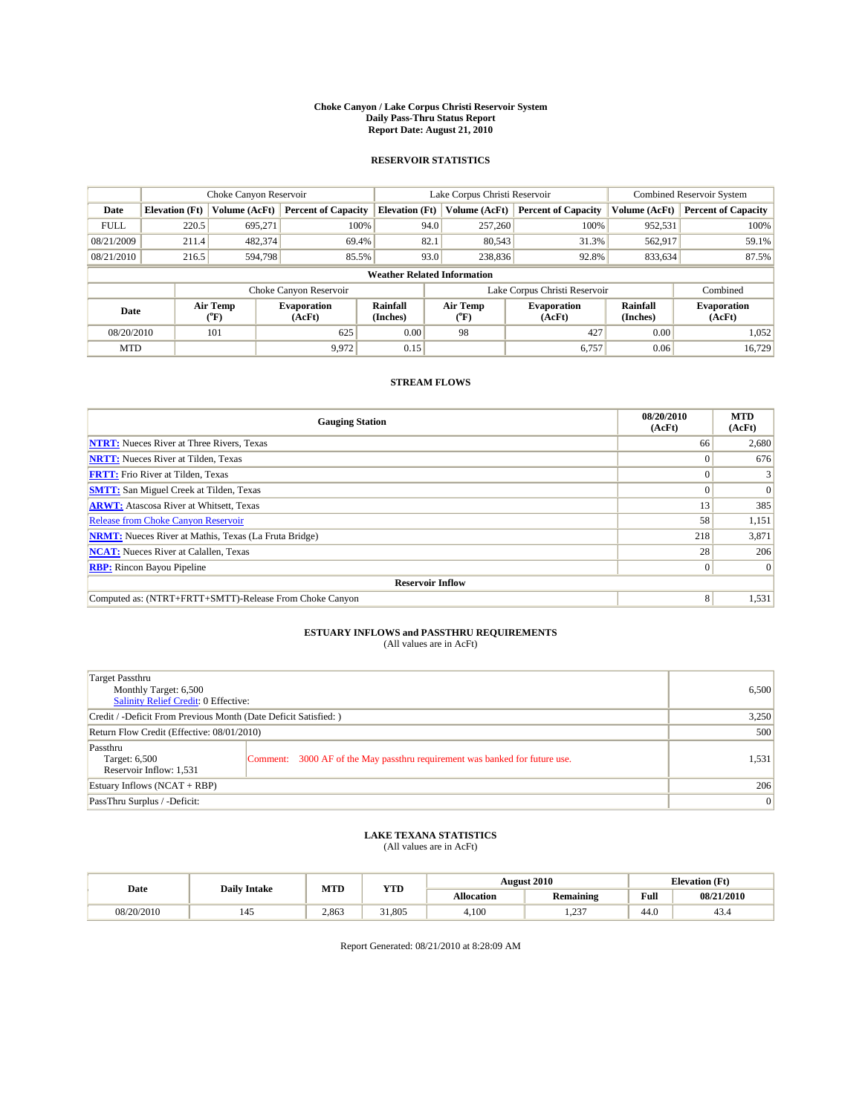#### **Choke Canyon / Lake Corpus Christi Reservoir System Daily Pass-Thru Status Report Report Date: August 21, 2010**

### **RESERVOIR STATISTICS**

|             | Choke Canyon Reservoir             |                                           |                              |                             | Lake Corpus Christi Reservoir             | <b>Combined Reservoir System</b> |                      |                              |  |  |
|-------------|------------------------------------|-------------------------------------------|------------------------------|-----------------------------|-------------------------------------------|----------------------------------|----------------------|------------------------------|--|--|
| Date        | <b>Elevation</b> (Ft)              | <b>Volume (AcFt)</b>                      | <b>Percent of Capacity</b>   | <b>Elevation</b> (Ft)       | Volume (AcFt)                             | <b>Percent of Capacity</b>       | Volume (AcFt)        | <b>Percent of Capacity</b>   |  |  |
| <b>FULL</b> | 220.5                              | 695,271                                   | 100%                         | 94.0                        | 257,260                                   | 100%                             | 952,531              | 100%                         |  |  |
| 08/21/2009  | 211.4                              | 482,374                                   | 69.4%                        | 82.1                        | 80,543                                    | 31.3%                            | 562,917              | 59.1%                        |  |  |
| 08/21/2010  | 216.5                              | 594.798                                   | 85.5%                        | 93.0                        | 238,836                                   | 92.8%                            | 833,634              | 87.5%                        |  |  |
|             | <b>Weather Related Information</b> |                                           |                              |                             |                                           |                                  |                      |                              |  |  |
|             |                                    |                                           | Choke Canyon Reservoir       |                             |                                           | Lake Corpus Christi Reservoir    |                      | Combined                     |  |  |
| Date        |                                    | Air Temp<br>$({}^{\mathrm{o}}\mathrm{F})$ | <b>Evaporation</b><br>(AcFt) | <b>Rainfall</b><br>(Inches) | Air Temp<br>$({}^{\mathrm{o}}\mathrm{F})$ | <b>Evaporation</b><br>(AcFt)     | Rainfall<br>(Inches) | <b>Evaporation</b><br>(AcFt) |  |  |
| 08/20/2010  |                                    | 101                                       | 625                          | 0.00                        | 98                                        | 427                              | 0.00                 | 1.052                        |  |  |
| <b>MTD</b>  |                                    |                                           | 9,972                        | 0.15                        |                                           | 6,757                            | 0.06                 | 16,729                       |  |  |

## **STREAM FLOWS**

| <b>Gauging Station</b>                                       | 08/20/2010<br>(AcFt) | <b>MTD</b><br>(AcFt) |
|--------------------------------------------------------------|----------------------|----------------------|
| <b>NTRT:</b> Nueces River at Three Rivers, Texas             | 66                   | 2,680                |
| <b>NRTT:</b> Nueces River at Tilden, Texas                   | $\Omega$             | 676                  |
| <b>FRTT:</b> Frio River at Tilden, Texas                     |                      |                      |
| <b>SMTT:</b> San Miguel Creek at Tilden, Texas               |                      | $\Omega$             |
| <b>ARWT:</b> Atascosa River at Whitsett, Texas               | 13                   | 385                  |
| Release from Choke Canyon Reservoir                          | 58                   | 1,151                |
| <b>NRMT:</b> Nueces River at Mathis, Texas (La Fruta Bridge) | 218                  | 3,871                |
| <b>NCAT:</b> Nueces River at Calallen, Texas                 | 28                   | 206                  |
| <b>RBP:</b> Rincon Bayou Pipeline                            | $\overline{0}$       | $\Omega$             |
| <b>Reservoir Inflow</b>                                      |                      |                      |
| Computed as: (NTRT+FRTT+SMTT)-Release From Choke Canyon      | 8                    | 1,531                |

# **ESTUARY INFLOWS and PASSTHRU REQUIREMENTS**<br>(All values are in AcFt)

| Target Passthru<br>Monthly Target: 6,500<br>Salinity Relief Credit: 0 Effective: | 6,500                                                                       |       |
|----------------------------------------------------------------------------------|-----------------------------------------------------------------------------|-------|
| Credit / -Deficit From Previous Month (Date Deficit Satisfied: )                 | 3,250                                                                       |       |
| Return Flow Credit (Effective: 08/01/2010)                                       | 500                                                                         |       |
| Passthru<br>Target: 6,500<br>Reservoir Inflow: 1,531                             | Comment: 3000 AF of the May passthru requirement was banked for future use. | 1,531 |
| Estuary Inflows (NCAT + RBP)                                                     |                                                                             | 206   |
| PassThru Surplus / -Deficit:                                                     | 0                                                                           |       |

## **LAKE TEXANA STATISTICS** (All values are in AcFt)

|            | <b>Daily Intake</b> | MTD   | <b>YTD</b> | <b>August 2010</b><br><b>Elevation</b> (Ft) |             |                                                    |            |
|------------|---------------------|-------|------------|---------------------------------------------|-------------|----------------------------------------------------|------------|
| Date       |                     |       |            | Allocation                                  | Remaining   | <b>Full</b><br>the contract of the contract of the | 08/21/2010 |
| 08/20/2010 | 145                 | 2.863 | 31.805     | 4.100                                       | 227<br>رے ک | 44.0                                               | 43.4       |

Report Generated: 08/21/2010 at 8:28:09 AM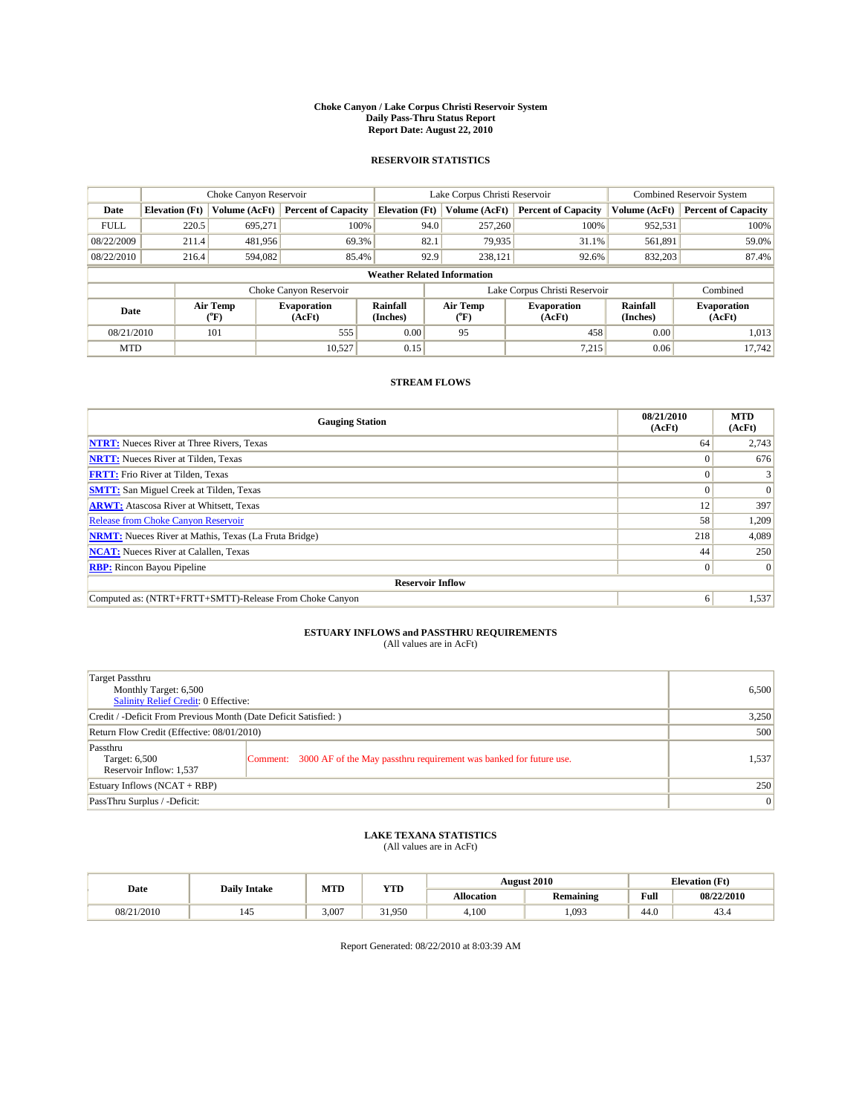#### **Choke Canyon / Lake Corpus Christi Reservoir System Daily Pass-Thru Status Report Report Date: August 22, 2010**

### **RESERVOIR STATISTICS**

|             | Choke Canyon Reservoir             |                                |                              |                       | Lake Corpus Christi Reservoir  | <b>Combined Reservoir System</b> |                      |                              |  |  |
|-------------|------------------------------------|--------------------------------|------------------------------|-----------------------|--------------------------------|----------------------------------|----------------------|------------------------------|--|--|
| Date        | <b>Elevation</b> (Ft)              | Volume (AcFt)                  | <b>Percent of Capacity</b>   | <b>Elevation</b> (Ft) | Volume (AcFt)                  | <b>Percent of Capacity</b>       | Volume (AcFt)        | <b>Percent of Capacity</b>   |  |  |
| <b>FULL</b> | 220.5                              | 695,271                        | 100%                         | 94.0                  | 257,260                        | 100%                             | 952,531              | 100%                         |  |  |
| 08/22/2009  | 211.4                              | 481,956                        | 69.3%                        | 82.1                  | 79,935                         | 31.1%                            | 561,891              | 59.0%                        |  |  |
| 08/22/2010  | 216.4                              | 594,082                        | 85.4%                        | 92.9                  | 238,121                        | 92.6%                            | 832,203              | 87.4%                        |  |  |
|             | <b>Weather Related Information</b> |                                |                              |                       |                                |                                  |                      |                              |  |  |
|             |                                    |                                | Choke Canyon Reservoir       |                       |                                | Lake Corpus Christi Reservoir    |                      | Combined                     |  |  |
| Date        |                                    | Air Temp<br>$({}^o\mathrm{F})$ | <b>Evaporation</b><br>(AcFt) | Rainfall<br>(Inches)  | Air Temp<br>$({}^o\mathrm{F})$ | <b>Evaporation</b><br>(AcFt)     | Rainfall<br>(Inches) | <b>Evaporation</b><br>(AcFt) |  |  |
| 08/21/2010  |                                    | 101                            | 555                          | 0.00                  | 95                             | 458                              | 0.00                 | 1,013                        |  |  |
| <b>MTD</b>  |                                    |                                | 10.527                       | 0.15                  |                                | 7.215                            | 0.06                 | 17.742                       |  |  |

## **STREAM FLOWS**

| <b>Gauging Station</b>                                       | 08/21/2010<br>(AcFt) | <b>MTD</b><br>(AcFt) |  |  |  |
|--------------------------------------------------------------|----------------------|----------------------|--|--|--|
| <b>NTRT:</b> Nueces River at Three Rivers, Texas             | 64                   | 2,743                |  |  |  |
| <b>NRTT:</b> Nueces River at Tilden, Texas                   |                      |                      |  |  |  |
| <b>FRTT:</b> Frio River at Tilden, Texas                     |                      |                      |  |  |  |
| <b>SMTT:</b> San Miguel Creek at Tilden, Texas               |                      | $\Omega$             |  |  |  |
| <b>ARWT:</b> Atascosa River at Whitsett, Texas               | 12                   | 397                  |  |  |  |
| <b>Release from Choke Canyon Reservoir</b>                   | 58                   | 1,209                |  |  |  |
| <b>NRMT:</b> Nueces River at Mathis, Texas (La Fruta Bridge) | 218                  | 4.089                |  |  |  |
| <b>NCAT:</b> Nueces River at Calallen, Texas                 | 44                   | 250                  |  |  |  |
| <b>RBP:</b> Rincon Bayou Pipeline                            | $\theta$             | $\Omega$             |  |  |  |
| <b>Reservoir Inflow</b>                                      |                      |                      |  |  |  |
| Computed as: (NTRT+FRTT+SMTT)-Release From Choke Canyon      | 6                    | 1,537                |  |  |  |

# **ESTUARY INFLOWS and PASSTHRU REQUIREMENTS**<br>(All values are in AcFt)

| Target Passthru<br>Monthly Target: 6,500<br>Salinity Relief Credit: 0 Effective: | 6,500                                                                       |       |
|----------------------------------------------------------------------------------|-----------------------------------------------------------------------------|-------|
| Credit / -Deficit From Previous Month (Date Deficit Satisfied: )                 | 3,250                                                                       |       |
| Return Flow Credit (Effective: 08/01/2010)                                       | 500                                                                         |       |
| Passthru<br>Target: 6,500<br>Reservoir Inflow: 1,537                             | Comment: 3000 AF of the May passthru requirement was banked for future use. | 1,537 |
| Estuary Inflows (NCAT + RBP)                                                     |                                                                             | 250   |
| PassThru Surplus / -Deficit:                                                     | 0                                                                           |       |

## **LAKE TEXANA STATISTICS** (All values are in AcFt)

|            | <b>Daily Intake</b>   | MTD   | <b>YTD</b> |                   | <b>August 2010</b> |      | <b>Elevation</b> (Ft) |
|------------|-----------------------|-------|------------|-------------------|--------------------|------|-----------------------|
| Date       |                       |       |            | <b>Allocation</b> | <b>Remaining</b>   | Full | 08/22/2010            |
| 08/21/2010 | $\overline{a}$<br>145 | 3.007 | 31.950     | 4,100             | .093               | 44.0 | 43.4                  |

Report Generated: 08/22/2010 at 8:03:39 AM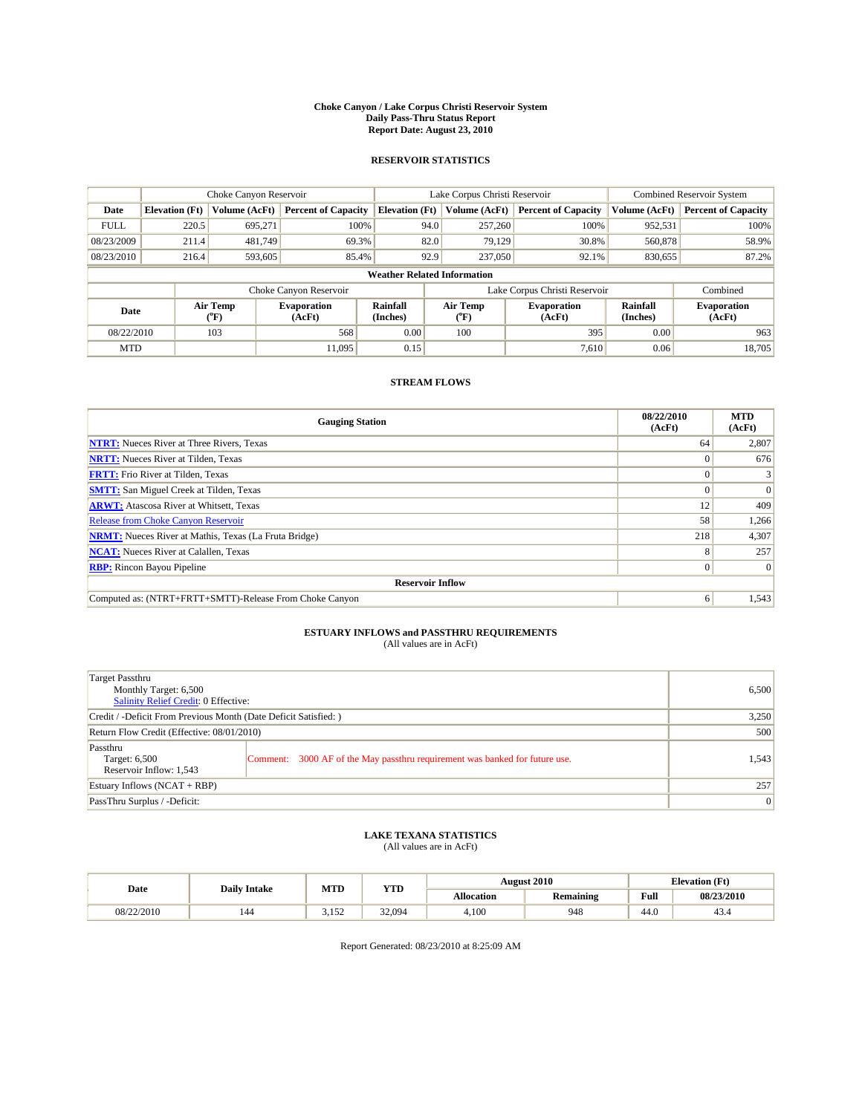#### **Choke Canyon / Lake Corpus Christi Reservoir System Daily Pass-Thru Status Report Report Date: August 23, 2010**

### **RESERVOIR STATISTICS**

|             | Choke Canyon Reservoir             |                                |                              |                       | Lake Corpus Christi Reservoir  | <b>Combined Reservoir System</b> |                      |                              |  |  |
|-------------|------------------------------------|--------------------------------|------------------------------|-----------------------|--------------------------------|----------------------------------|----------------------|------------------------------|--|--|
| Date        | <b>Elevation</b> (Ft)              | Volume (AcFt)                  | <b>Percent of Capacity</b>   | <b>Elevation</b> (Ft) | Volume (AcFt)                  | <b>Percent of Capacity</b>       | Volume (AcFt)        | <b>Percent of Capacity</b>   |  |  |
| <b>FULL</b> | 220.5                              | 695,271                        | 100%                         | 94.0                  | 257,260                        | 100%                             | 952,531              | 100%                         |  |  |
| 08/23/2009  | 211.4                              | 481.749                        | 69.3%                        | 82.0                  | 79.129                         | 30.8%                            | 560,878              | 58.9%                        |  |  |
| 08/23/2010  | 216.4                              | 593,605                        | 85.4%                        | 92.9                  | 237,050                        | 92.1%                            | 830,655              | 87.2%                        |  |  |
|             | <b>Weather Related Information</b> |                                |                              |                       |                                |                                  |                      |                              |  |  |
|             |                                    |                                | Choke Canyon Reservoir       |                       |                                | Lake Corpus Christi Reservoir    |                      | Combined                     |  |  |
| Date        |                                    | Air Temp<br>$({}^o\mathrm{F})$ | <b>Evaporation</b><br>(AcFt) | Rainfall<br>(Inches)  | Air Temp<br>$({}^o\mathrm{F})$ | <b>Evaporation</b><br>(AcFt)     | Rainfall<br>(Inches) | <b>Evaporation</b><br>(AcFt) |  |  |
| 08/22/2010  |                                    | 103                            | 568                          | 0.00                  | 100                            | 395                              | 0.00                 | 963                          |  |  |
| <b>MTD</b>  |                                    |                                | 11.095                       | 0.15                  |                                | 7.610                            | 0.06                 | 18,705                       |  |  |

## **STREAM FLOWS**

| <b>Gauging Station</b>                                       | 08/22/2010<br>(AcFt) | <b>MTD</b><br>(AcFt) |  |  |  |  |  |
|--------------------------------------------------------------|----------------------|----------------------|--|--|--|--|--|
| <b>NTRT:</b> Nueces River at Three Rivers, Texas             | 64                   | 2,807                |  |  |  |  |  |
| <b>NRTT:</b> Nueces River at Tilden, Texas                   | $\theta$             | 676                  |  |  |  |  |  |
| <b>FRTT:</b> Frio River at Tilden, Texas                     |                      |                      |  |  |  |  |  |
| <b>SMTT:</b> San Miguel Creek at Tilden, Texas               |                      | $\Omega$             |  |  |  |  |  |
| <b>ARWT:</b> Atascosa River at Whitsett, Texas               | 12                   | 409                  |  |  |  |  |  |
| <b>Release from Choke Canyon Reservoir</b>                   | 58                   | 1,266                |  |  |  |  |  |
| <b>NRMT:</b> Nueces River at Mathis, Texas (La Fruta Bridge) | 218                  | 4,307                |  |  |  |  |  |
| <b>NCAT:</b> Nueces River at Calallen, Texas                 | 8                    | 257                  |  |  |  |  |  |
| <b>RBP:</b> Rincon Bayou Pipeline                            | $\overline{0}$       | $\Omega$             |  |  |  |  |  |
| <b>Reservoir Inflow</b>                                      |                      |                      |  |  |  |  |  |
| Computed as: (NTRT+FRTT+SMTT)-Release From Choke Canyon      | 6                    | 1,543                |  |  |  |  |  |

# **ESTUARY INFLOWS and PASSTHRU REQUIREMENTS**<br>(All values are in AcFt)

| Target Passthru<br>Monthly Target: 6,500<br>Salinity Relief Credit: 0 Effective: | 6,500                                                                       |       |
|----------------------------------------------------------------------------------|-----------------------------------------------------------------------------|-------|
| Credit / -Deficit From Previous Month (Date Deficit Satisfied: )                 | 3,250                                                                       |       |
| Return Flow Credit (Effective: 08/01/2010)                                       | 500                                                                         |       |
| Passthru<br>Target: 6,500<br>Reservoir Inflow: 1,543                             | Comment: 3000 AF of the May passthru requirement was banked for future use. | 1,543 |
| Estuary Inflows (NCAT + RBP)                                                     |                                                                             | 257   |
| PassThru Surplus / -Deficit:                                                     | $\vert 0 \vert$                                                             |       |

## **LAKE TEXANA STATISTICS** (All values are in AcFt)

|            | <b>Daily Intake</b> | MTD   | <b>YTD</b> | <b>August 2010</b><br><b>Elevation</b> (Ft) |           |                                                    |            |
|------------|---------------------|-------|------------|---------------------------------------------|-----------|----------------------------------------------------|------------|
| Date       |                     |       |            | Allocation                                  | Remaining | <b>Full</b><br>the contract of the contract of the | 08/23/2010 |
| 08/22/2010 | 144                 | 3.152 | 32.094     | 4,100                                       | 948       | 44.0                                               | 43.4       |

Report Generated: 08/23/2010 at 8:25:09 AM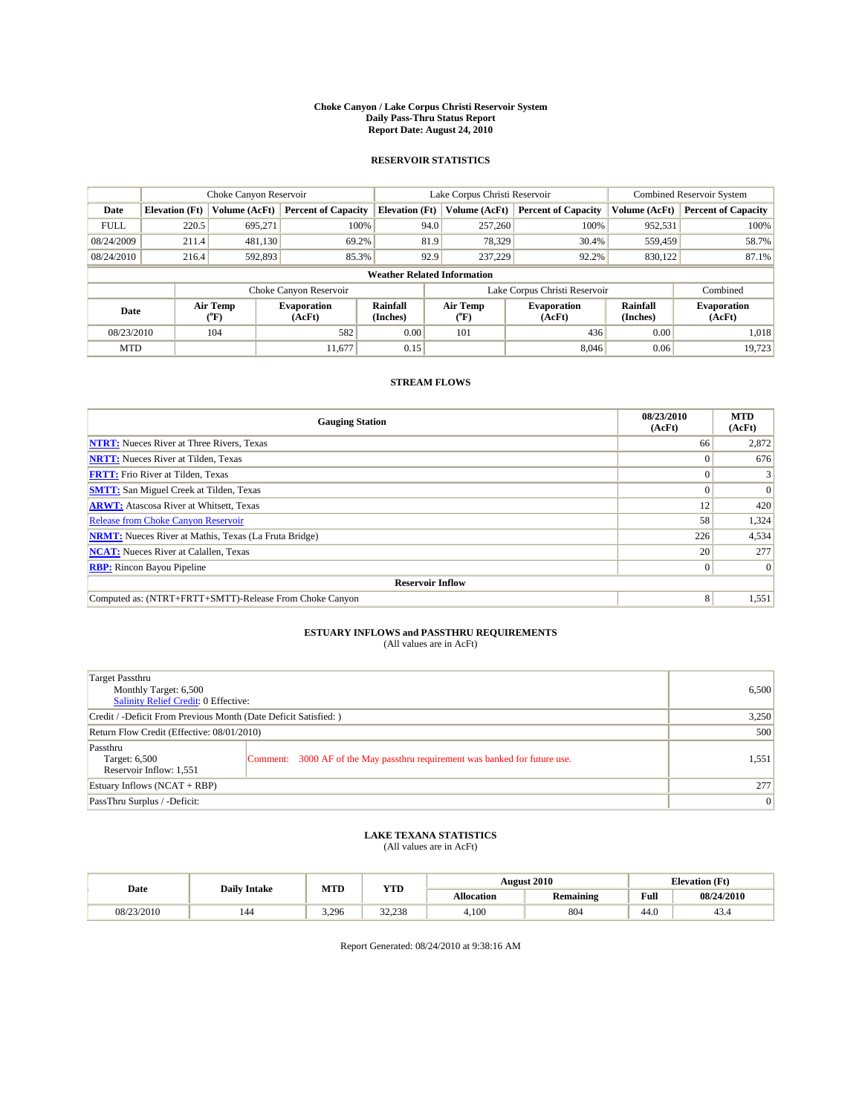#### **Choke Canyon / Lake Corpus Christi Reservoir System Daily Pass-Thru Status Report Report Date: August 24, 2010**

### **RESERVOIR STATISTICS**

|             | Choke Canyon Reservoir             |                                           |                              |                             | Lake Corpus Christi Reservoir             | <b>Combined Reservoir System</b> |                      |                              |  |  |
|-------------|------------------------------------|-------------------------------------------|------------------------------|-----------------------------|-------------------------------------------|----------------------------------|----------------------|------------------------------|--|--|
| Date        | <b>Elevation</b> (Ft)              | <b>Volume (AcFt)</b>                      | <b>Percent of Capacity</b>   | <b>Elevation</b> (Ft)       | Volume (AcFt)                             | <b>Percent of Capacity</b>       | Volume (AcFt)        | <b>Percent of Capacity</b>   |  |  |
| <b>FULL</b> | 220.5                              | 695,271                                   | 100%                         | 94.0                        | 257,260                                   | 100%                             | 952,531              | 100%                         |  |  |
| 08/24/2009  | 211.4                              | 481,130                                   | 69.2%                        | 81.9                        | 78,329                                    | 30.4%                            | 559,459              | 58.7%                        |  |  |
| 08/24/2010  | 216.4                              | 592,893                                   | 85.3%                        | 92.9                        | 237,229                                   | 92.2%                            | 830,122              | 87.1%                        |  |  |
|             | <b>Weather Related Information</b> |                                           |                              |                             |                                           |                                  |                      |                              |  |  |
|             |                                    |                                           | Choke Canyon Reservoir       |                             |                                           | Lake Corpus Christi Reservoir    |                      | Combined                     |  |  |
| Date        |                                    | Air Temp<br>$({}^{\mathrm{o}}\mathrm{F})$ | <b>Evaporation</b><br>(AcFt) | <b>Rainfall</b><br>(Inches) | Air Temp<br>$({}^{\mathrm{o}}\mathrm{F})$ | <b>Evaporation</b><br>(AcFt)     | Rainfall<br>(Inches) | <b>Evaporation</b><br>(AcFt) |  |  |
| 08/23/2010  |                                    | 104                                       | 582                          | 0.00                        | 101                                       | 436                              | 0.00                 | 1.018                        |  |  |
| <b>MTD</b>  |                                    |                                           | 11.677                       | 0.15                        |                                           | 8.046                            | 0.06                 | 19,723                       |  |  |

## **STREAM FLOWS**

| <b>Gauging Station</b>                                       | 08/23/2010<br>(AcFt) | <b>MTD</b><br>(AcFt) |
|--------------------------------------------------------------|----------------------|----------------------|
| <b>NTRT:</b> Nueces River at Three Rivers, Texas             | 66                   | 2,872                |
| <b>NRTT:</b> Nueces River at Tilden, Texas                   | $\Omega$             | 676                  |
| <b>FRTT:</b> Frio River at Tilden, Texas                     |                      |                      |
| <b>SMTT:</b> San Miguel Creek at Tilden, Texas               |                      | $\Omega$             |
| <b>ARWT:</b> Atascosa River at Whitsett, Texas               | 12                   | 420                  |
| Release from Choke Canyon Reservoir                          | 58                   | 1,324                |
| <b>NRMT:</b> Nueces River at Mathis, Texas (La Fruta Bridge) | 226                  | 4,534                |
| <b>NCAT:</b> Nueces River at Calallen, Texas                 | 20                   | 277                  |
| <b>RBP:</b> Rincon Bayou Pipeline                            | $\overline{0}$       | $\Omega$             |
| <b>Reservoir Inflow</b>                                      |                      |                      |
| Computed as: (NTRT+FRTT+SMTT)-Release From Choke Canyon      | 8                    | 1,551                |

# **ESTUARY INFLOWS and PASSTHRU REQUIREMENTS**<br>(All values are in AcFt)

| Target Passthru<br>Monthly Target: 6,500<br>Salinity Relief Credit: 0 Effective: | 6,500                                                                       |       |
|----------------------------------------------------------------------------------|-----------------------------------------------------------------------------|-------|
| Credit / -Deficit From Previous Month (Date Deficit Satisfied: )                 | 3,250                                                                       |       |
| Return Flow Credit (Effective: 08/01/2010)                                       | 500                                                                         |       |
| Passthru<br>Target: 6,500<br>Reservoir Inflow: 1,551                             | Comment: 3000 AF of the May passthru requirement was banked for future use. | 1,551 |
| Estuary Inflows (NCAT + RBP)                                                     |                                                                             | 277   |
| PassThru Surplus / -Deficit:                                                     | 0                                                                           |       |

## **LAKE TEXANA STATISTICS** (All values are in AcFt)

|            | <b>Daily Intake</b> | MTD   | <b>YTD</b> |                   | <b>August 2010</b> | <b>Elevation</b> (Ft) |            |
|------------|---------------------|-------|------------|-------------------|--------------------|-----------------------|------------|
| Date       |                     |       |            | <b>Allocation</b> | <b>Remaining</b>   | Full                  | 08/24/2010 |
| 08/23/2010 | 144                 | 3.296 | 32.238     | 4.100             | 804                | 44.0                  | 43.4       |

Report Generated: 08/24/2010 at 9:38:16 AM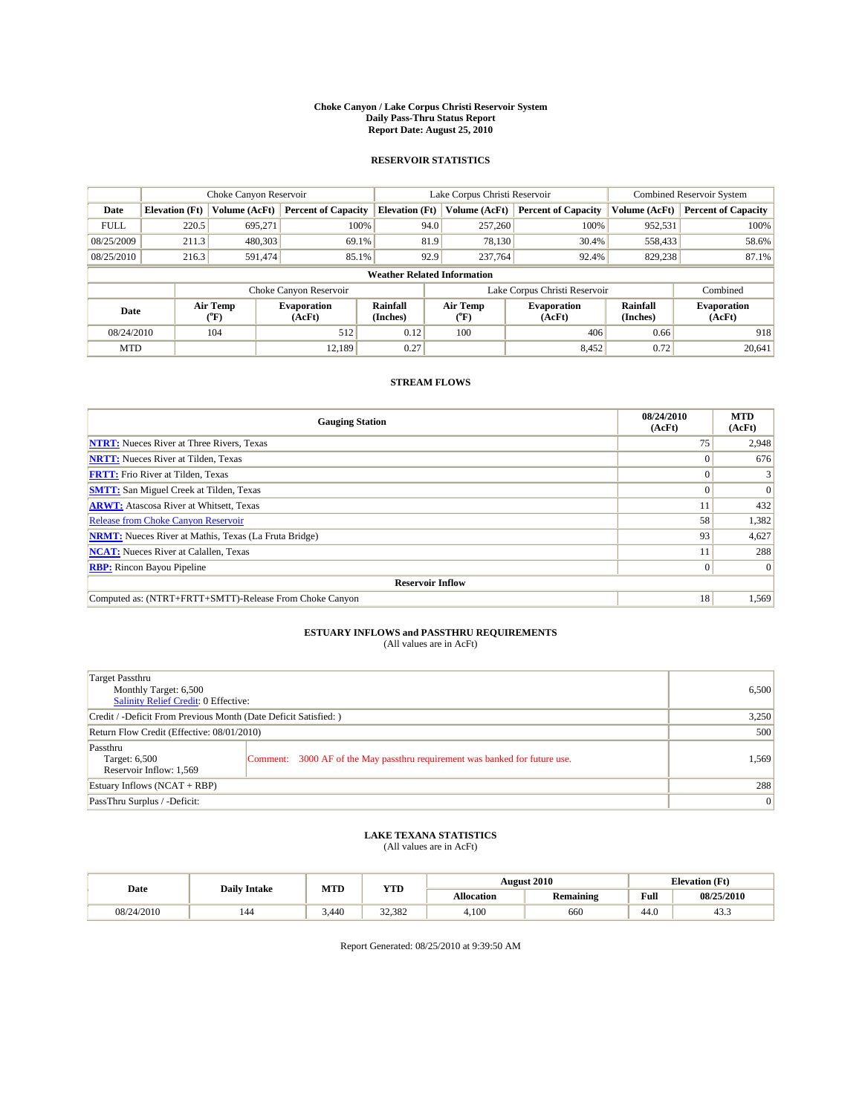#### **Choke Canyon / Lake Corpus Christi Reservoir System Daily Pass-Thru Status Report Report Date: August 25, 2010**

### **RESERVOIR STATISTICS**

|             | Choke Canyon Reservoir             |                                           |                              |                             | Lake Corpus Christi Reservoir             | <b>Combined Reservoir System</b> |                      |                              |  |  |
|-------------|------------------------------------|-------------------------------------------|------------------------------|-----------------------------|-------------------------------------------|----------------------------------|----------------------|------------------------------|--|--|
| Date        | <b>Elevation</b> (Ft)              | <b>Volume (AcFt)</b>                      | <b>Percent of Capacity</b>   | <b>Elevation</b> (Ft)       | Volume (AcFt)                             | <b>Percent of Capacity</b>       | Volume (AcFt)        | <b>Percent of Capacity</b>   |  |  |
| <b>FULL</b> | 220.5                              | 695,271                                   | 100%                         | 94.0                        | 257,260                                   | 100%                             | 952,531              | 100%                         |  |  |
| 08/25/2009  | 211.3                              | 480,303                                   | 69.1%                        | 81.9                        | 78,130                                    | 30.4%                            | 558,433              | 58.6%                        |  |  |
| 08/25/2010  | 216.3                              | 591,474                                   | 85.1%                        | 92.9                        | 237,764                                   | 92.4%                            | 829,238              | 87.1%                        |  |  |
|             | <b>Weather Related Information</b> |                                           |                              |                             |                                           |                                  |                      |                              |  |  |
|             |                                    |                                           | Choke Canyon Reservoir       |                             | Lake Corpus Christi Reservoir             |                                  |                      | Combined                     |  |  |
| Date        |                                    | Air Temp<br>$({}^{\mathrm{o}}\mathrm{F})$ | <b>Evaporation</b><br>(AcFt) | <b>Rainfall</b><br>(Inches) | Air Temp<br>$({}^{\mathrm{o}}\mathrm{F})$ | <b>Evaporation</b><br>(AcFt)     | Rainfall<br>(Inches) | <b>Evaporation</b><br>(AcFt) |  |  |
| 08/24/2010  |                                    | 104                                       | 512                          | 0.12                        | 100                                       | 406                              | 0.66                 | 918                          |  |  |
| <b>MTD</b>  |                                    |                                           | 12.189                       | 0.27                        |                                           | 8,452                            | 0.72                 | 20.641                       |  |  |

## **STREAM FLOWS**

| <b>Gauging Station</b>                                       | 08/24/2010<br>(AcFt) | <b>MTD</b><br>(AcFt) |
|--------------------------------------------------------------|----------------------|----------------------|
| <b>NTRT:</b> Nueces River at Three Rivers, Texas             | 75                   | 2,948                |
| <b>NRTT:</b> Nueces River at Tilden, Texas                   |                      | 676                  |
| <b>FRTT:</b> Frio River at Tilden, Texas                     |                      |                      |
| <b>SMTT:</b> San Miguel Creek at Tilden, Texas               |                      | $\Omega$             |
| <b>ARWT:</b> Atascosa River at Whitsett, Texas               |                      | 432                  |
| <b>Release from Choke Canyon Reservoir</b>                   | 58                   | 1,382                |
| <b>NRMT:</b> Nueces River at Mathis, Texas (La Fruta Bridge) | 93                   | 4,627                |
| <b>NCAT:</b> Nueces River at Calallen, Texas                 |                      | 288                  |
| <b>RBP:</b> Rincon Bayou Pipeline                            | $\overline{0}$       | $\Omega$             |
| <b>Reservoir Inflow</b>                                      |                      |                      |
| Computed as: (NTRT+FRTT+SMTT)-Release From Choke Canyon      | 18 <sup>1</sup>      | 1,569                |

# **ESTUARY INFLOWS and PASSTHRU REQUIREMENTS**<br>(All values are in AcFt)

| Target Passthru<br>Monthly Target: 6,500<br>Salinity Relief Credit: 0 Effective: | 6,500                                                                       |       |
|----------------------------------------------------------------------------------|-----------------------------------------------------------------------------|-------|
| Credit / -Deficit From Previous Month (Date Deficit Satisfied: )                 | 3,250                                                                       |       |
| Return Flow Credit (Effective: 08/01/2010)                                       | 500                                                                         |       |
| Passthru<br>Target: 6,500<br>Reservoir Inflow: 1,569                             | Comment: 3000 AF of the May passthru requirement was banked for future use. | 1.569 |
| Estuary Inflows (NCAT + RBP)                                                     |                                                                             | 288   |
| PassThru Surplus / -Deficit:                                                     | 0                                                                           |       |

## **LAKE TEXANA STATISTICS** (All values are in AcFt)

|            | <b>Daily Intake</b> | MTD   | <b>YTD</b> |                   | <b>August 2010</b> | <b>Elevation</b> (Ft) |                         |
|------------|---------------------|-------|------------|-------------------|--------------------|-----------------------|-------------------------|
| Date       |                     |       |            | <b>Allocation</b> | <b>Remaining</b>   | Full                  | 08/25/2010              |
| 08/24/2010 | 144                 | 3.440 | 32.382     | 4,100             | 660                | 44.0                  | 42 <sup>o</sup><br>43.5 |

Report Generated: 08/25/2010 at 9:39:50 AM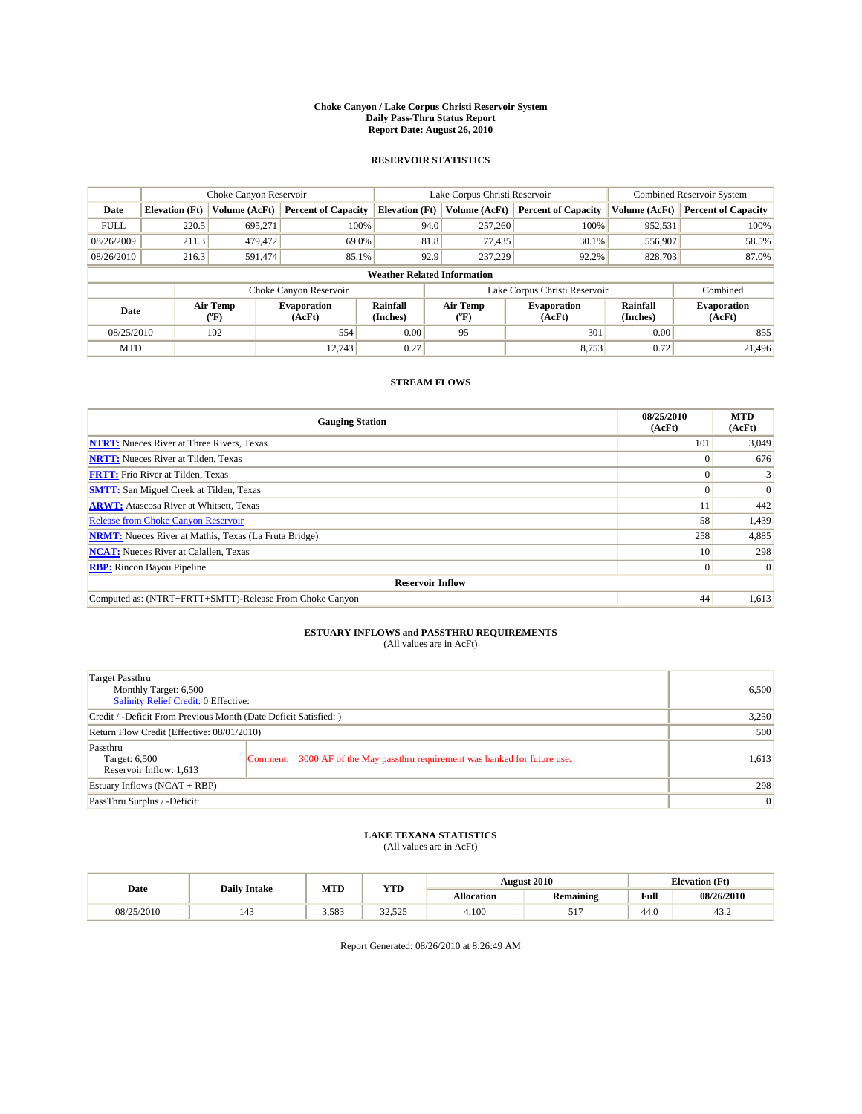#### **Choke Canyon / Lake Corpus Christi Reservoir System Daily Pass-Thru Status Report Report Date: August 26, 2010**

### **RESERVOIR STATISTICS**

|             | Choke Canyon Reservoir             |                  |                              |                       | Lake Corpus Christi Reservoir | <b>Combined Reservoir System</b> |                      |                              |  |  |
|-------------|------------------------------------|------------------|------------------------------|-----------------------|-------------------------------|----------------------------------|----------------------|------------------------------|--|--|
| Date        | <b>Elevation</b> (Ft)              | Volume (AcFt)    | <b>Percent of Capacity</b>   | <b>Elevation</b> (Ft) | Volume (AcFt)                 | <b>Percent of Capacity</b>       | Volume (AcFt)        | <b>Percent of Capacity</b>   |  |  |
| <b>FULL</b> | 220.5                              | 695.271          | 100%                         | 94.0                  | 257,260                       | 100%                             | 952,531              | 100%                         |  |  |
| 08/26/2009  | 211.3                              | 479,472          | 69.0%                        | 81.8                  | 77,435                        | 30.1%                            | 556,907              | 58.5%                        |  |  |
| 08/26/2010  | 216.3                              | 591,474          | 85.1%                        | 92.9                  | 237,229                       | 92.2%                            | 828,703              | 87.0%                        |  |  |
|             | <b>Weather Related Information</b> |                  |                              |                       |                               |                                  |                      |                              |  |  |
|             |                                    |                  | Choke Canyon Reservoir       |                       |                               | Lake Corpus Christi Reservoir    |                      | Combined                     |  |  |
| Date        |                                    | Air Temp<br>(°F) | <b>Evaporation</b><br>(AcFt) | Rainfall<br>(Inches)  | Air Temp<br>("F)              | <b>Evaporation</b><br>(AcFt)     | Rainfall<br>(Inches) | <b>Evaporation</b><br>(AcFt) |  |  |
| 08/25/2010  |                                    | 102              | 554                          | 0.00                  | 95                            | 301                              | 0.00                 | 855                          |  |  |
| <b>MTD</b>  |                                    |                  | 12.743                       | 0.27                  |                               | 8,753                            | 0.72                 | 21,496                       |  |  |

## **STREAM FLOWS**

| <b>Gauging Station</b>                                       | 08/25/2010<br>(AcFt) | <b>MTD</b><br>(AcFt) |
|--------------------------------------------------------------|----------------------|----------------------|
| <b>NTRT:</b> Nueces River at Three Rivers, Texas             | 101                  | 3,049                |
| <b>NRTT:</b> Nueces River at Tilden, Texas                   |                      | 676                  |
| <b>FRTT:</b> Frio River at Tilden, Texas                     |                      |                      |
| <b>SMTT:</b> San Miguel Creek at Tilden, Texas               |                      | $\Omega$             |
| <b>ARWT:</b> Atascosa River at Whitsett, Texas               |                      | 442                  |
| <b>Release from Choke Canyon Reservoir</b>                   | 58                   | 1,439                |
| <b>NRMT:</b> Nueces River at Mathis, Texas (La Fruta Bridge) | 258                  | 4,885                |
| <b>NCAT:</b> Nueces River at Calallen, Texas                 | 10 <sup>1</sup>      | 298                  |
| <b>RBP:</b> Rincon Bayou Pipeline                            | $\overline{0}$       | $\Omega$             |
| <b>Reservoir Inflow</b>                                      |                      |                      |
| Computed as: (NTRT+FRTT+SMTT)-Release From Choke Canyon      | 44                   | 1,613                |

# **ESTUARY INFLOWS and PASSTHRU REQUIREMENTS**<br>(All values are in AcFt)

| Target Passthru<br>Monthly Target: 6,500<br>Salinity Relief Credit: 0 Effective: | 6,500                                                                       |       |
|----------------------------------------------------------------------------------|-----------------------------------------------------------------------------|-------|
| Credit / -Deficit From Previous Month (Date Deficit Satisfied: )                 | 3,250                                                                       |       |
| Return Flow Credit (Effective: 08/01/2010)                                       | 500                                                                         |       |
| Passthru<br>Target: 6,500<br>Reservoir Inflow: 1,613                             | Comment: 3000 AF of the May passthru requirement was banked for future use. | 1,613 |
| Estuary Inflows (NCAT + RBP)                                                     |                                                                             | 298   |
| PassThru Surplus / -Deficit:                                                     | 0                                                                           |       |

## **LAKE TEXANA STATISTICS** (All values are in AcFt)

|            | <b>Daily Intake</b> | MTD   | <b>YTD</b>     |                   | <b>August 2010</b> | <b>Elevation</b> (Ft) |            |
|------------|---------------------|-------|----------------|-------------------|--------------------|-----------------------|------------|
| Date       |                     |       |                | <b>Allocation</b> | <b>Remaining</b>   | Full                  | 08/26/2010 |
| 08/25/2010 | 143                 | 3.583 | 225<br>رے کے ل | 4,100             | $\overline{u}$     | $\sim$<br>44.U        | 45.∠       |

Report Generated: 08/26/2010 at 8:26:49 AM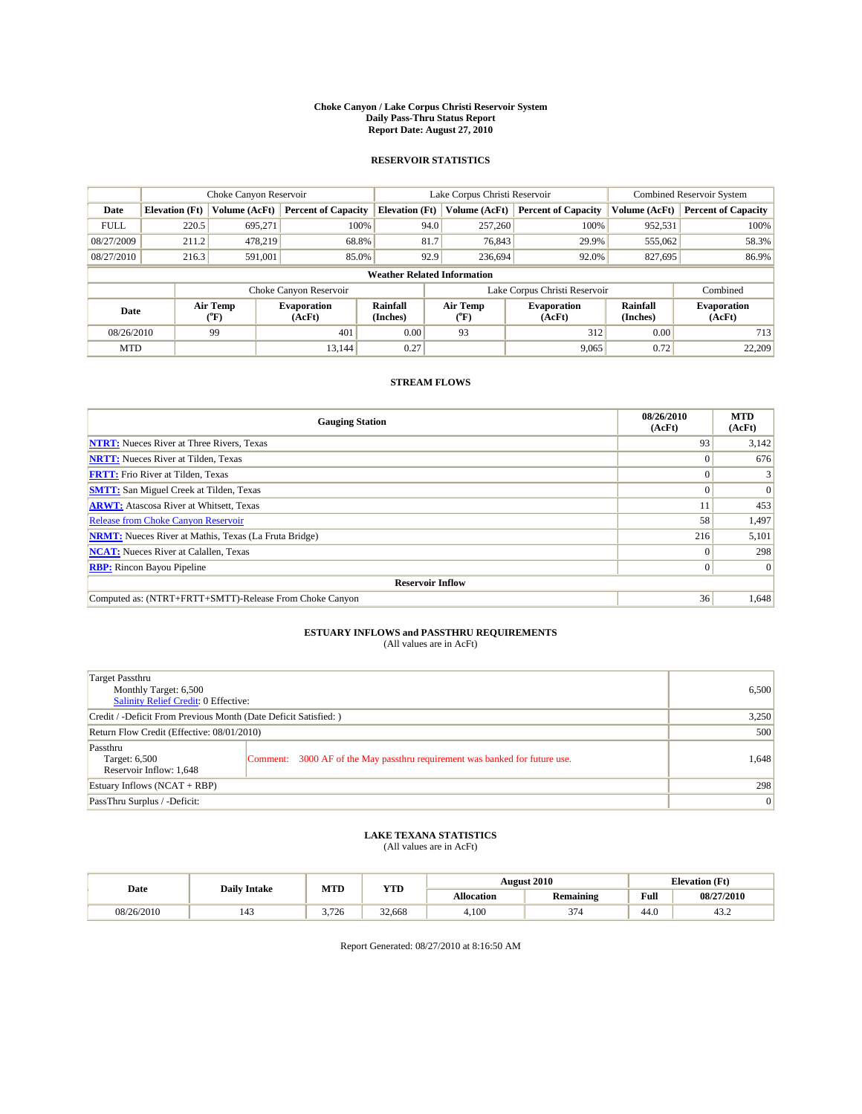#### **Choke Canyon / Lake Corpus Christi Reservoir System Daily Pass-Thru Status Report Report Date: August 27, 2010**

### **RESERVOIR STATISTICS**

|             | Choke Canyon Reservoir             |                                           |                              |                             | Lake Corpus Christi Reservoir | <b>Combined Reservoir System</b> |                      |                              |  |  |
|-------------|------------------------------------|-------------------------------------------|------------------------------|-----------------------------|-------------------------------|----------------------------------|----------------------|------------------------------|--|--|
| Date        | <b>Elevation</b> (Ft)              | <b>Volume (AcFt)</b>                      | <b>Percent of Capacity</b>   | <b>Elevation</b> (Ft)       | Volume (AcFt)                 | <b>Percent of Capacity</b>       | Volume (AcFt)        | <b>Percent of Capacity</b>   |  |  |
| <b>FULL</b> | 220.5                              | 695,271                                   | 100%                         | 94.0                        | 257,260                       | 100%                             | 952,531              | 100%                         |  |  |
| 08/27/2009  | 211.2                              | 478,219                                   | 68.8%                        | 81.7                        | 76,843                        | 29.9%                            | 555,062              | 58.3%                        |  |  |
| 08/27/2010  | 216.3                              | 591,001                                   | 85.0%                        | 92.9                        | 236,694                       | 92.0%                            | 827,695              | 86.9%                        |  |  |
|             | <b>Weather Related Information</b> |                                           |                              |                             |                               |                                  |                      |                              |  |  |
|             |                                    |                                           | Choke Canyon Reservoir       |                             | Lake Corpus Christi Reservoir |                                  |                      | Combined                     |  |  |
| Date        |                                    | Air Temp<br>$({}^{\mathrm{o}}\mathrm{F})$ | <b>Evaporation</b><br>(AcFt) | <b>Rainfall</b><br>(Inches) | Air Temp<br>("F)              | <b>Evaporation</b><br>(AcFt)     | Rainfall<br>(Inches) | <b>Evaporation</b><br>(AcFt) |  |  |
| 08/26/2010  |                                    | 99                                        | 401                          | 0.00                        | 93                            | 312                              | 0.00                 | 713                          |  |  |
| <b>MTD</b>  |                                    |                                           | 13.144                       | 0.27                        |                               | 9,065                            | 0.72                 | 22,209                       |  |  |

## **STREAM FLOWS**

| <b>Gauging Station</b>                                       | 08/26/2010<br>(AcFt) | <b>MTD</b><br>(AcFt) |
|--------------------------------------------------------------|----------------------|----------------------|
| <b>NTRT:</b> Nueces River at Three Rivers, Texas             | 93                   | 3,142                |
| <b>NRTT:</b> Nueces River at Tilden, Texas                   |                      | 676                  |
| <b>FRTT:</b> Frio River at Tilden, Texas                     |                      |                      |
| <b>SMTT:</b> San Miguel Creek at Tilden, Texas               |                      | $\Omega$             |
| <b>ARWT:</b> Atascosa River at Whitsett, Texas               |                      | 453                  |
| <b>Release from Choke Canyon Reservoir</b>                   | 58                   | 1,497                |
| <b>NRMT:</b> Nueces River at Mathis, Texas (La Fruta Bridge) | 216                  | 5,101                |
| <b>NCAT:</b> Nueces River at Calallen, Texas                 | $\theta$             | 298                  |
| <b>RBP:</b> Rincon Bayou Pipeline                            | $\overline{0}$       | $\Omega$             |
| <b>Reservoir Inflow</b>                                      |                      |                      |
| Computed as: (NTRT+FRTT+SMTT)-Release From Choke Canyon      | 36                   | 1,648                |

# **ESTUARY INFLOWS and PASSTHRU REQUIREMENTS**<br>(All values are in AcFt)

| Target Passthru<br>Monthly Target: 6,500<br>Salinity Relief Credit: 0 Effective: | 6,500                                                                       |       |
|----------------------------------------------------------------------------------|-----------------------------------------------------------------------------|-------|
| Credit / -Deficit From Previous Month (Date Deficit Satisfied: )                 | 3,250                                                                       |       |
| Return Flow Credit (Effective: 08/01/2010)                                       | 500                                                                         |       |
| Passthru<br>Target: 6,500<br>Reservoir Inflow: 1,648                             | Comment: 3000 AF of the May passthru requirement was banked for future use. | 1,648 |
| Estuary Inflows (NCAT + RBP)                                                     |                                                                             | 298   |
| PassThru Surplus / -Deficit:                                                     | 0                                                                           |       |

## **LAKE TEXANA STATISTICS** (All values are in AcFt)

|            | <b>Daily Intake</b> | MTD   | <b>YTD</b> |            | <b>August 2010</b> | <b>Elevation</b> (Ft)                              |            |
|------------|---------------------|-------|------------|------------|--------------------|----------------------------------------------------|------------|
| Date       |                     |       |            | Allocation | <b>Remaining</b>   | <b>Full</b><br>the contract of the contract of the | 08/27/2010 |
| 08/26/2010 | 143                 | 3.726 | 32.668     | 4.100      | 37/<br>.           | 44.0                                               | 43.2       |

Report Generated: 08/27/2010 at 8:16:50 AM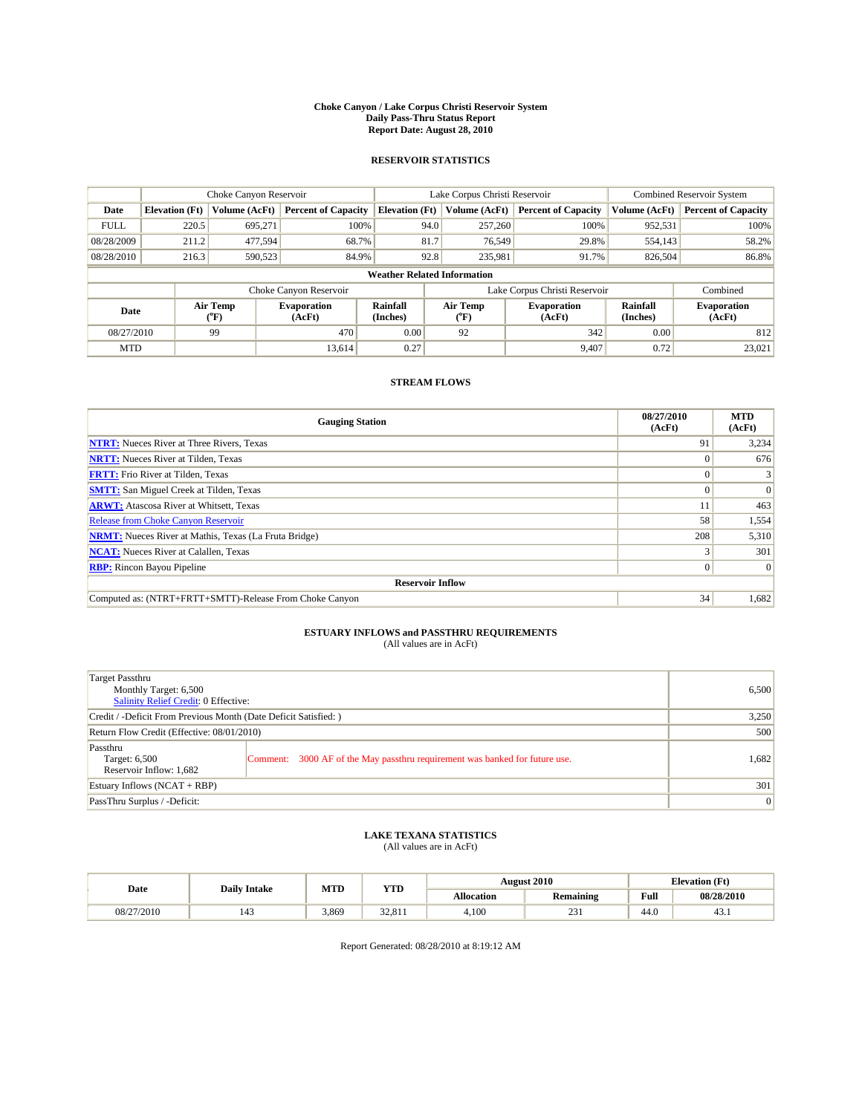#### **Choke Canyon / Lake Corpus Christi Reservoir System Daily Pass-Thru Status Report Report Date: August 28, 2010**

### **RESERVOIR STATISTICS**

|             | Choke Canyon Reservoir             |                  |                              |                             | Lake Corpus Christi Reservoir |                               |                      | <b>Combined Reservoir System</b> |  |  |
|-------------|------------------------------------|------------------|------------------------------|-----------------------------|-------------------------------|-------------------------------|----------------------|----------------------------------|--|--|
| Date        | <b>Elevation</b> (Ft)              | Volume (AcFt)    | <b>Percent of Capacity</b>   | <b>Elevation</b> (Ft)       | Volume (AcFt)                 | <b>Percent of Capacity</b>    | Volume (AcFt)        | <b>Percent of Capacity</b>       |  |  |
| <b>FULL</b> | 220.5                              | 695,271          | 100%                         |                             | 257,260<br>94.0               | 100%                          | 952,531              | 100%                             |  |  |
| 08/28/2009  | 211.2                              | 477.594          | 68.7%                        | 81.7                        | 76.549                        | 29.8%                         | 554,143              | 58.2%                            |  |  |
| 08/28/2010  | 216.3                              | 590,523          | 84.9%                        |                             | 92.8<br>235,981               | 91.7%                         | 826,504              | 86.8%                            |  |  |
|             | <b>Weather Related Information</b> |                  |                              |                             |                               |                               |                      |                                  |  |  |
|             |                                    |                  | Choke Canyon Reservoir       |                             |                               | Lake Corpus Christi Reservoir |                      | Combined                         |  |  |
| Date        |                                    | Air Temp<br>(°F) | <b>Evaporation</b><br>(AcFt) | <b>Rainfall</b><br>(Inches) | Air Temp<br>(°F)              | <b>Evaporation</b><br>(AcFt)  | Rainfall<br>(Inches) | <b>Evaporation</b><br>(AcFt)     |  |  |
| 08/27/2010  |                                    | 99               | 470                          | 0.00                        | 92                            | 342                           | 0.00                 | 812                              |  |  |
| <b>MTD</b>  |                                    |                  | 13.614                       | 0.27                        |                               | 9.407                         | 0.72                 | 23.021                           |  |  |

## **STREAM FLOWS**

| <b>Gauging Station</b>                                       | 08/27/2010<br>(AcFt) | <b>MTD</b><br>(AcFt) |
|--------------------------------------------------------------|----------------------|----------------------|
| <b>NTRT:</b> Nueces River at Three Rivers, Texas             | 91                   | 3,234                |
| <b>NRTT:</b> Nueces River at Tilden, Texas                   |                      | 676                  |
| <b>FRTT:</b> Frio River at Tilden, Texas                     |                      |                      |
| <b>SMTT:</b> San Miguel Creek at Tilden, Texas               |                      | $\Omega$             |
| <b>ARWT:</b> Atascosa River at Whitsett, Texas               |                      | 463                  |
| <b>Release from Choke Canyon Reservoir</b>                   | 58                   | 1,554                |
| <b>NRMT:</b> Nueces River at Mathis, Texas (La Fruta Bridge) | 208                  | 5,310                |
| <b>NCAT:</b> Nueces River at Calallen, Texas                 |                      | 301                  |
| <b>RBP:</b> Rincon Bayou Pipeline                            | $\Omega$             | $\Omega$             |
| <b>Reservoir Inflow</b>                                      |                      |                      |
| Computed as: (NTRT+FRTT+SMTT)-Release From Choke Canyon      | 34                   | 1,682                |

# **ESTUARY INFLOWS and PASSTHRU REQUIREMENTS**<br>(All values are in AcFt)

| Target Passthru<br>Monthly Target: 6,500<br>Salinity Relief Credit: 0 Effective: | 6,500                                                                       |       |
|----------------------------------------------------------------------------------|-----------------------------------------------------------------------------|-------|
| Credit / -Deficit From Previous Month (Date Deficit Satisfied: )                 | 3,250                                                                       |       |
| Return Flow Credit (Effective: 08/01/2010)                                       | 500                                                                         |       |
| Passthru<br>Target: 6,500<br>Reservoir Inflow: 1,682                             | Comment: 3000 AF of the May passthru requirement was banked for future use. | 1,682 |
| Estuary Inflows (NCAT + RBP)                                                     |                                                                             | 301   |
| PassThru Surplus / -Deficit:                                                     | 0                                                                           |       |

## **LAKE TEXANA STATISTICS** (All values are in AcFt)

|            | <b>Daily Intake</b>   | MTD   | <b>YTD</b>       | <b>August 2010</b> |                  | <b>Elevation</b> (Ft)                       |            |
|------------|-----------------------|-------|------------------|--------------------|------------------|---------------------------------------------|------------|
| Date       |                       |       |                  | <b>Allocation</b>  | <b>Remaining</b> | Full<br>the contract of the contract of the | 08/28/2010 |
| 08/27/2010 | $\overline{a}$<br>143 | 3.869 | 22.01<br>24.01 I | 4.100              | $\sim$<br>231    | 44.0                                        | 43.1       |

Report Generated: 08/28/2010 at 8:19:12 AM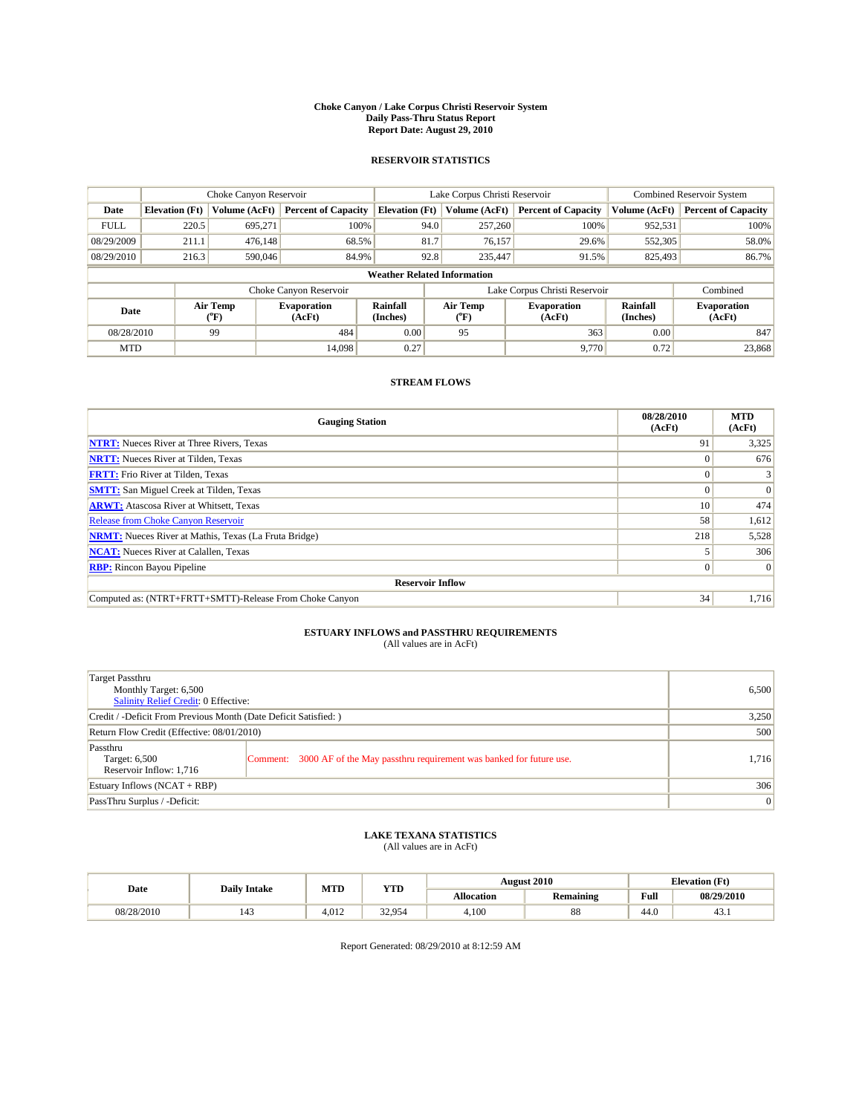#### **Choke Canyon / Lake Corpus Christi Reservoir System Daily Pass-Thru Status Report Report Date: August 29, 2010**

### **RESERVOIR STATISTICS**

|             | Choke Canyon Reservoir             |                  |                              |                       | Lake Corpus Christi Reservoir |                               |                      | <b>Combined Reservoir System</b> |  |  |
|-------------|------------------------------------|------------------|------------------------------|-----------------------|-------------------------------|-------------------------------|----------------------|----------------------------------|--|--|
| Date        | <b>Elevation</b> (Ft)              | Volume (AcFt)    | <b>Percent of Capacity</b>   | <b>Elevation</b> (Ft) | Volume (AcFt)                 | <b>Percent of Capacity</b>    | Volume (AcFt)        | <b>Percent of Capacity</b>       |  |  |
| <b>FULL</b> | 220.5                              | 695,271          | 100%                         | 94.0                  | 257,260                       | 100%                          | 952,531              | 100%                             |  |  |
| 08/29/2009  | 211.1                              | 476.148          | 68.5%                        | 81.7                  | 76,157                        | 29.6%                         | 552,305              | 58.0%                            |  |  |
| 08/29/2010  | 216.3                              | 590,046          | 84.9%                        | 92.8                  | 235,447                       | 91.5%                         | 825,493              | 86.7%                            |  |  |
|             | <b>Weather Related Information</b> |                  |                              |                       |                               |                               |                      |                                  |  |  |
|             |                                    |                  | Choke Canyon Reservoir       |                       |                               | Lake Corpus Christi Reservoir |                      | Combined                         |  |  |
| Date        |                                    | Air Temp<br>(°F) | <b>Evaporation</b><br>(AcFt) | Rainfall<br>(Inches)  | Air Temp<br>("F)              | <b>Evaporation</b><br>(AcFt)  | Rainfall<br>(Inches) | <b>Evaporation</b><br>(AcFt)     |  |  |
| 08/28/2010  |                                    | 99               | 484                          | 0.00                  | 95                            | 363                           | 0.00                 | 847                              |  |  |
| <b>MTD</b>  |                                    |                  | 14.098                       | 0.27                  |                               | 9,770                         | 0.72                 | 23,868                           |  |  |

## **STREAM FLOWS**

| <b>Gauging Station</b>                                       | 08/28/2010<br>(AcFt) | <b>MTD</b><br>(AcFt) |
|--------------------------------------------------------------|----------------------|----------------------|
| <b>NTRT:</b> Nueces River at Three Rivers, Texas             | 91                   | 3,325                |
| <b>NRTT:</b> Nueces River at Tilden, Texas                   |                      | 676                  |
| <b>FRTT:</b> Frio River at Tilden, Texas                     |                      |                      |
| <b>SMTT:</b> San Miguel Creek at Tilden, Texas               |                      | $\Omega$             |
| <b>ARWT:</b> Atascosa River at Whitsett, Texas               | 10                   | 474                  |
| <b>Release from Choke Canyon Reservoir</b>                   | 58                   | 1,612                |
| <b>NRMT:</b> Nueces River at Mathis, Texas (La Fruta Bridge) | 218                  | 5,528                |
| <b>NCAT:</b> Nueces River at Calallen, Texas                 |                      | 306                  |
| <b>RBP:</b> Rincon Bayou Pipeline                            | $\Omega$             | $\Omega$             |
| <b>Reservoir Inflow</b>                                      |                      |                      |
| Computed as: (NTRT+FRTT+SMTT)-Release From Choke Canyon      | 34                   | 1,716                |

# **ESTUARY INFLOWS and PASSTHRU REQUIREMENTS**<br>(All values are in AcFt)

| Target Passthru<br>Monthly Target: 6,500<br>Salinity Relief Credit: 0 Effective: | 6,500                                                                       |       |
|----------------------------------------------------------------------------------|-----------------------------------------------------------------------------|-------|
| Credit / -Deficit From Previous Month (Date Deficit Satisfied: )                 | 3,250                                                                       |       |
| Return Flow Credit (Effective: 08/01/2010)                                       | 500                                                                         |       |
| Passthru<br>Target: 6,500<br>Reservoir Inflow: 1,716                             | Comment: 3000 AF of the May passthru requirement was banked for future use. | 1,716 |
| Estuary Inflows (NCAT + RBP)                                                     |                                                                             | 306   |
| PassThru Surplus / -Deficit:                                                     | 0                                                                           |       |

## **LAKE TEXANA STATISTICS** (All values are in AcFt)

|            | <b>Daily Intake</b> | MTD   | <b>YTD</b> | <b>August 2010</b><br><b>Elevation</b> (Ft) |                  |             |            |
|------------|---------------------|-------|------------|---------------------------------------------|------------------|-------------|------------|
| Date       |                     |       |            | Allocation                                  | <b>Remaining</b> | <b>Full</b> | 08/29/2010 |
| 08/28/2010 | 143                 | 4.012 | 32.954     | 4.100                                       | 88               | 44.0        | 43.1       |

Report Generated: 08/29/2010 at 8:12:59 AM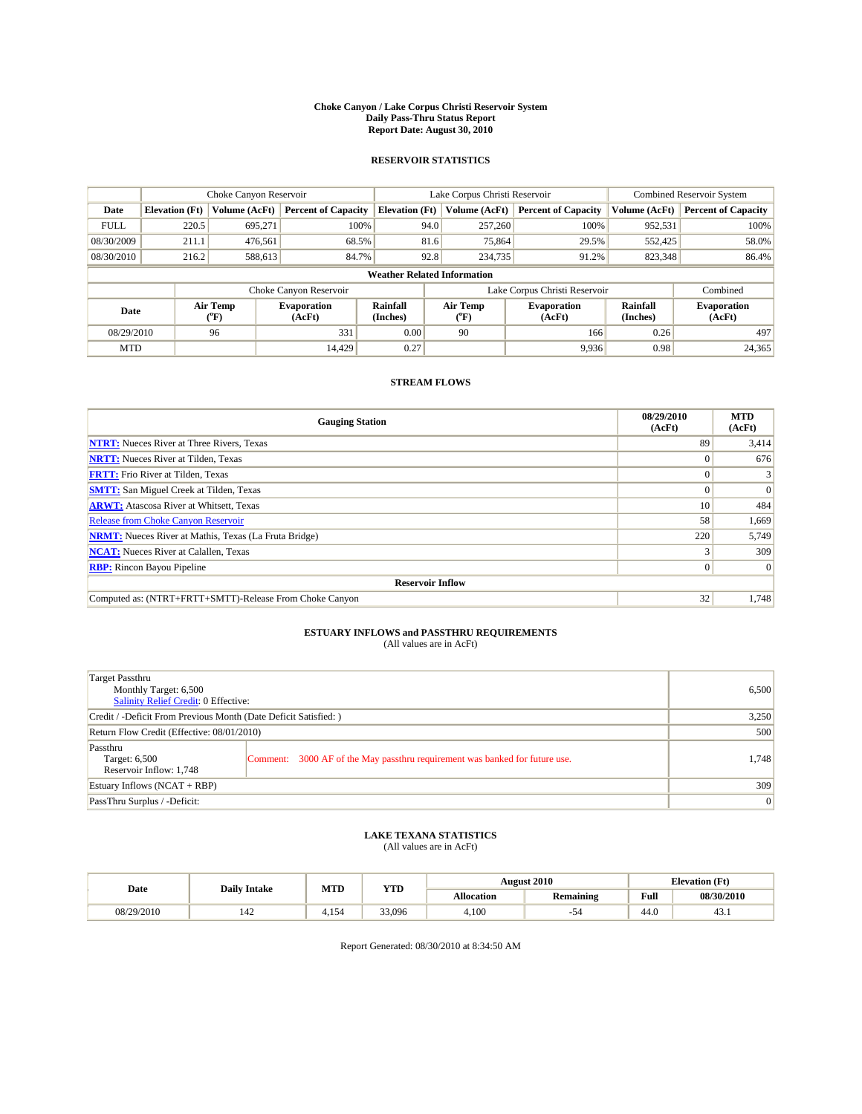#### **Choke Canyon / Lake Corpus Christi Reservoir System Daily Pass-Thru Status Report Report Date: August 30, 2010**

### **RESERVOIR STATISTICS**

|             | Choke Canyon Reservoir             |                  |                              |                       | Lake Corpus Christi Reservoir | <b>Combined Reservoir System</b> |                      |                              |  |  |
|-------------|------------------------------------|------------------|------------------------------|-----------------------|-------------------------------|----------------------------------|----------------------|------------------------------|--|--|
| Date        | <b>Elevation</b> (Ft)              | Volume (AcFt)    | <b>Percent of Capacity</b>   | <b>Elevation</b> (Ft) | Volume (AcFt)                 | <b>Percent of Capacity</b>       | Volume (AcFt)        | <b>Percent of Capacity</b>   |  |  |
| <b>FULL</b> | 220.5                              | 695,271          | 100%                         | 94.0                  | 257,260                       | 100%                             | 952,531              | 100%                         |  |  |
| 08/30/2009  | 211.1                              | 476,561          | 68.5%                        | 81.6                  | 75,864                        | 29.5%                            | 552,425              | 58.0%                        |  |  |
| 08/30/2010  | 216.2                              | 588,613          | 84.7%                        | 92.8                  | 234,735                       | 91.2%                            | 823,348              | 86.4%                        |  |  |
|             | <b>Weather Related Information</b> |                  |                              |                       |                               |                                  |                      |                              |  |  |
|             |                                    |                  | Choke Canyon Reservoir       |                       |                               | Lake Corpus Christi Reservoir    |                      | Combined                     |  |  |
| Date        |                                    | Air Temp<br>(°F) | <b>Evaporation</b><br>(AcFt) | Rainfall<br>(Inches)  | Air Temp<br>("F)              | <b>Evaporation</b><br>(AcFt)     | Rainfall<br>(Inches) | <b>Evaporation</b><br>(AcFt) |  |  |
| 08/29/2010  |                                    | 96               | 331                          | 0.00                  | 90                            | 166                              | 0.26                 | 497                          |  |  |
| <b>MTD</b>  |                                    |                  | 14.429                       | 0.27                  |                               | 9,936                            | 0.98                 | 24,365                       |  |  |

## **STREAM FLOWS**

| <b>Gauging Station</b>                                       | 08/29/2010<br>(AcFt) | <b>MTD</b><br>(AcFt) |
|--------------------------------------------------------------|----------------------|----------------------|
| <b>NTRT:</b> Nueces River at Three Rivers, Texas             | 89                   | 3,414                |
| <b>NRTT:</b> Nueces River at Tilden, Texas                   |                      | 676                  |
| <b>FRTT:</b> Frio River at Tilden, Texas                     |                      |                      |
| <b>SMTT:</b> San Miguel Creek at Tilden, Texas               |                      | $\Omega$             |
| <b>ARWT:</b> Atascosa River at Whitsett, Texas               | 10 <sup>1</sup>      | 484                  |
| Release from Choke Canyon Reservoir                          | 58                   | 1,669                |
| <b>NRMT:</b> Nueces River at Mathis, Texas (La Fruta Bridge) | 220                  | 5,749                |
| <b>NCAT:</b> Nueces River at Calallen, Texas                 |                      | 309                  |
| <b>RBP:</b> Rincon Bayou Pipeline                            | $\Omega$             | $\Omega$             |
| <b>Reservoir Inflow</b>                                      |                      |                      |
| Computed as: (NTRT+FRTT+SMTT)-Release From Choke Canyon      | 32                   | 1,748                |

## **ESTUARY INFLOWS and PASSTHRU REQUIREMENTS**<br>(All values are in AcFt)

| Target Passthru<br>Monthly Target: 6,500<br>Salinity Relief Credit: 0 Effective: |                                                                             | 6,500 |
|----------------------------------------------------------------------------------|-----------------------------------------------------------------------------|-------|
| Credit / -Deficit From Previous Month (Date Deficit Satisfied: )                 | 3,250                                                                       |       |
| Return Flow Credit (Effective: 08/01/2010)                                       | 500                                                                         |       |
| Passthru<br>Target: 6,500<br>Reservoir Inflow: 1,748                             | Comment: 3000 AF of the May passthru requirement was banked for future use. | 1,748 |
| Estuary Inflows $(NCAT + RBP)$                                                   |                                                                             | 309   |
| PassThru Surplus / -Deficit:                                                     |                                                                             | 0     |

## **LAKE TEXANA STATISTICS** (All values are in AcFt)

|            | <b>Daily Intake</b>             | MTD  | <b>YTD</b> | <b>August 2010</b> |           |                    | <b>Elevation</b> (Ft) |  |
|------------|---------------------------------|------|------------|--------------------|-----------|--------------------|-----------------------|--|
| Date       |                                 |      |            | <b>Allocation</b>  | Remaining | Full               | 08/30/2010            |  |
| 08/29/2010 | $\overline{\phantom{a}}$<br>142 | .154 | 33,096     | 4,100              | 54        | $\sqrt{2}$<br>44.U | 43.1                  |  |

Report Generated: 08/30/2010 at 8:34:50 AM